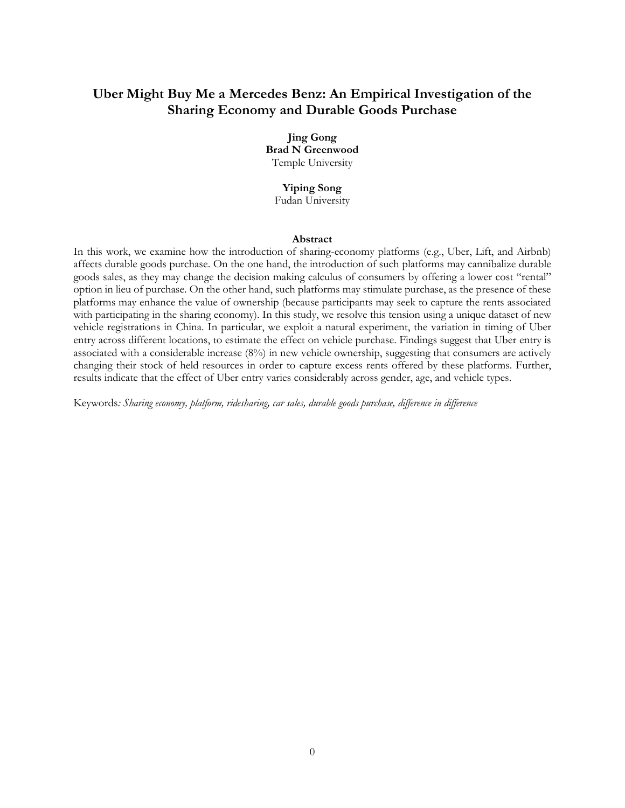# **Uber Might Buy Me a Mercedes Benz: An Empirical Investigation of the Sharing Economy and Durable Goods Purchase**

# **Jing Gong**

**Brad N Greenwood** Temple University

# **Yiping Song**

Fudan University

### **Abstract**

In this work, we examine how the introduction of sharing-economy platforms (e.g., Uber, Lift, and Airbnb) affects durable goods purchase. On the one hand, the introduction of such platforms may cannibalize durable goods sales, as they may change the decision making calculus of consumers by offering a lower cost "rental" option in lieu of purchase. On the other hand, such platforms may stimulate purchase, as the presence of these platforms may enhance the value of ownership (because participants may seek to capture the rents associated with participating in the sharing economy). In this study, we resolve this tension using a unique dataset of new vehicle registrations in China. In particular, we exploit a natural experiment, the variation in timing of Uber entry across different locations, to estimate the effect on vehicle purchase. Findings suggest that Uber entry is associated with a considerable increase (8%) in new vehicle ownership, suggesting that consumers are actively changing their stock of held resources in order to capture excess rents offered by these platforms. Further, results indicate that the effect of Uber entry varies considerably across gender, age, and vehicle types.

Keywords*: Sharing economy, platform, ridesharing, car sales, durable goods purchase, difference in difference*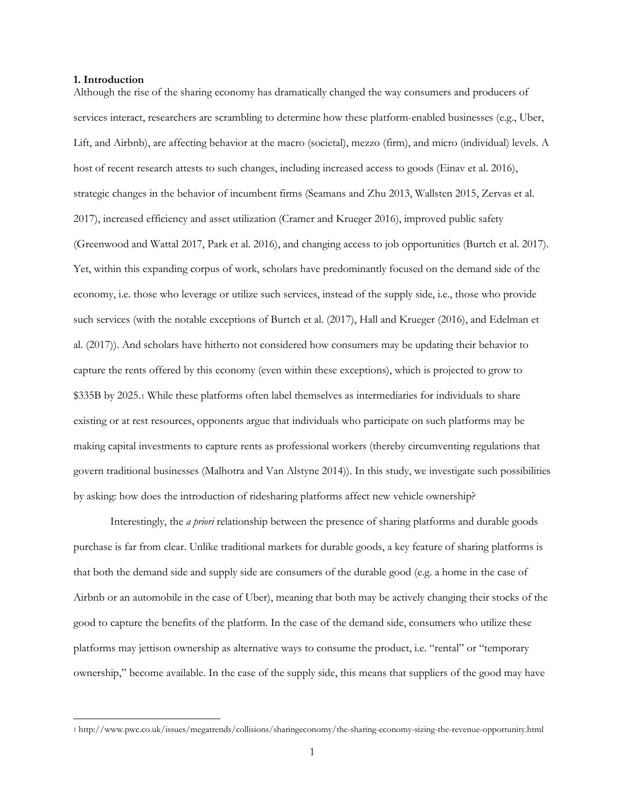#### **1. Introduction**

Although the rise of the sharing economy has dramatically changed the way consumers and producers of services interact, researchers are scrambling to determine how these platform-enabled businesses (e.g., Uber, Lift, and Airbnb), are affecting behavior at the macro (societal), mezzo (firm), and micro (individual) levels. A host of recent research attests to such changes, including increased access to goods (Einav et al. 2016), strategic changes in the behavior of incumbent firms (Seamans and Zhu 2013, Wallsten 2015, Zervas et al. 2017), increased efficiency and asset utilization (Cramer and Krueger 2016), improved public safety (Greenwood and Wattal 2017, Park et al. 2016), and changing access to job opportunities (Burtch et al. 2017). Yet, within this expanding corpus of work, scholars have predominantly focused on the demand side of the economy, i.e. those who leverage or utilize such services, instead of the supply side, i.e., those who provide such services (with the notable exceptions of Burtch et al. (2017), Hall and Krueger (2016), and Edelman et al. (2017)). And scholars have hitherto not considered how consumers may be updating their behavior to capture the rents offered by this economy (even within these exceptions), which is projected to grow to \$335B by 2025.[1](#page-1-0) While these platforms often label themselves as intermediaries for individuals to share existing or at rest resources, opponents argue that individuals who participate on such platforms may be making capital investments to capture rents as professional workers (thereby circumventing regulations that govern traditional businesses (Malhotra and Van Alstyne 2014)). In this study, we investigate such possibilities by asking: how does the introduction of ridesharing platforms affect new vehicle ownership?

Interestingly, the *a priori* relationship between the presence of sharing platforms and durable goods purchase is far from clear. Unlike traditional markets for durable goods, a key feature of sharing platforms is that both the demand side and supply side are consumers of the durable good (e.g. a home in the case of Airbnb or an automobile in the case of Uber), meaning that both may be actively changing their stocks of the good to capture the benefits of the platform. In the case of the demand side, consumers who utilize these platforms may jettison ownership as alternative ways to consume the product, i.e. "rental" or "temporary ownership," become available. In the case of the supply side, this means that suppliers of the good may have

<span id="page-1-0"></span> <sup>1</sup> http://www.pwc.co.uk/issues/megatrends/collisions/sharingeconomy/the-sharing-economy-sizing-the-revenue-opportunity.html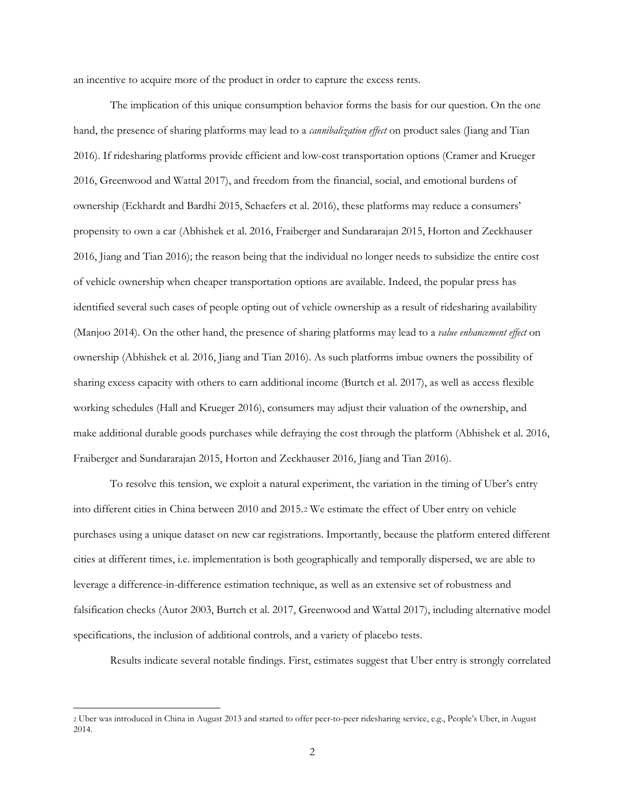an incentive to acquire more of the product in order to capture the excess rents.

The implication of this unique consumption behavior forms the basis for our question. On the one hand, the presence of sharing platforms may lead to a *cannibalization effect* on product sales (Jiang and Tian 2016). If ridesharing platforms provide efficient and low-cost transportation options (Cramer and Krueger 2016, Greenwood and Wattal 2017), and freedom from the financial, social, and emotional burdens of ownership (Eckhardt and Bardhi 2015, Schaefers et al. 2016), these platforms may reduce a consumers' propensity to own a car (Abhishek et al. 2016, Fraiberger and Sundararajan 2015, Horton and Zeckhauser 2016, Jiang and Tian 2016); the reason being that the individual no longer needs to subsidize the entire cost of vehicle ownership when cheaper transportation options are available. Indeed, the popular press has identified several such cases of people opting out of vehicle ownership as a result of ridesharing availability (Manjoo 2014). On the other hand, the presence of sharing platforms may lead to a *value enhancement effect* on ownership (Abhishek et al. 2016, Jiang and Tian 2016). As such platforms imbue owners the possibility of sharing excess capacity with others to earn additional income (Burtch et al. 2017), as well as access flexible working schedules (Hall and Krueger 2016), consumers may adjust their valuation of the ownership, and make additional durable goods purchases while defraying the cost through the platform (Abhishek et al. 2016, Fraiberger and Sundararajan 2015, Horton and Zeckhauser 2016, Jiang and Tian 2016).

To resolve this tension, we exploit a natural experiment, the variation in the timing of Uber's entry into different cities in China between 2010 and 2015.[2](#page-2-0) We estimate the effect of Uber entry on vehicle purchases using a unique dataset on new car registrations. Importantly, because the platform entered different cities at different times, i.e. implementation is both geographically and temporally dispersed, we are able to leverage a difference-in-difference estimation technique, as well as an extensive set of robustness and falsification checks (Autor 2003, Burtch et al. 2017, Greenwood and Wattal 2017), including alternative model specifications, the inclusion of additional controls, and a variety of placebo tests.

Results indicate several notable findings. First, estimates suggest that Uber entry is strongly correlated

<span id="page-2-0"></span> <sup>2</sup> Uber was introduced in China in August 2013 and started to offer peer-to-peer ridesharing service, e.g., People's Uber, in August 2014.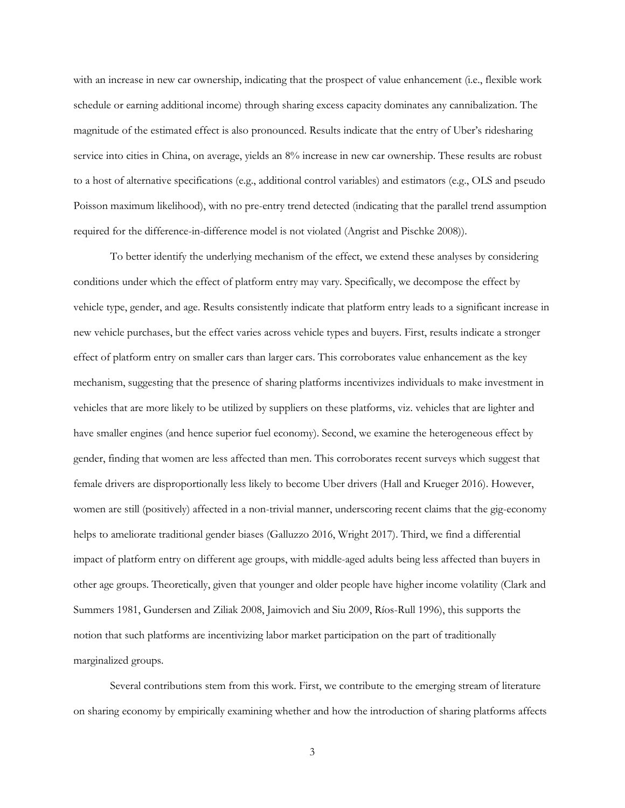with an increase in new car ownership, indicating that the prospect of value enhancement (i.e., flexible work schedule or earning additional income) through sharing excess capacity dominates any cannibalization. The magnitude of the estimated effect is also pronounced. Results indicate that the entry of Uber's ridesharing service into cities in China, on average, yields an 8% increase in new car ownership. These results are robust to a host of alternative specifications (e.g., additional control variables) and estimators (e.g., OLS and pseudo Poisson maximum likelihood), with no pre-entry trend detected (indicating that the parallel trend assumption required for the difference-in-difference model is not violated (Angrist and Pischke 2008)).

To better identify the underlying mechanism of the effect, we extend these analyses by considering conditions under which the effect of platform entry may vary. Specifically, we decompose the effect by vehicle type, gender, and age. Results consistently indicate that platform entry leads to a significant increase in new vehicle purchases, but the effect varies across vehicle types and buyers. First, results indicate a stronger effect of platform entry on smaller cars than larger cars. This corroborates value enhancement as the key mechanism, suggesting that the presence of sharing platforms incentivizes individuals to make investment in vehicles that are more likely to be utilized by suppliers on these platforms, viz. vehicles that are lighter and have smaller engines (and hence superior fuel economy). Second, we examine the heterogeneous effect by gender, finding that women are less affected than men. This corroborates recent surveys which suggest that female drivers are disproportionally less likely to become Uber drivers (Hall and Krueger 2016). However, women are still (positively) affected in a non-trivial manner, underscoring recent claims that the gig-economy helps to ameliorate traditional gender biases (Galluzzo 2016, Wright 2017). Third, we find a differential impact of platform entry on different age groups, with middle-aged adults being less affected than buyers in other age groups. Theoretically, given that younger and older people have higher income volatility (Clark and Summers 1981, Gundersen and Ziliak 2008, Jaimovich and Siu 2009, Ríos-Rull 1996), this supports the notion that such platforms are incentivizing labor market participation on the part of traditionally marginalized groups.

Several contributions stem from this work. First, we contribute to the emerging stream of literature on sharing economy by empirically examining whether and how the introduction of sharing platforms affects

3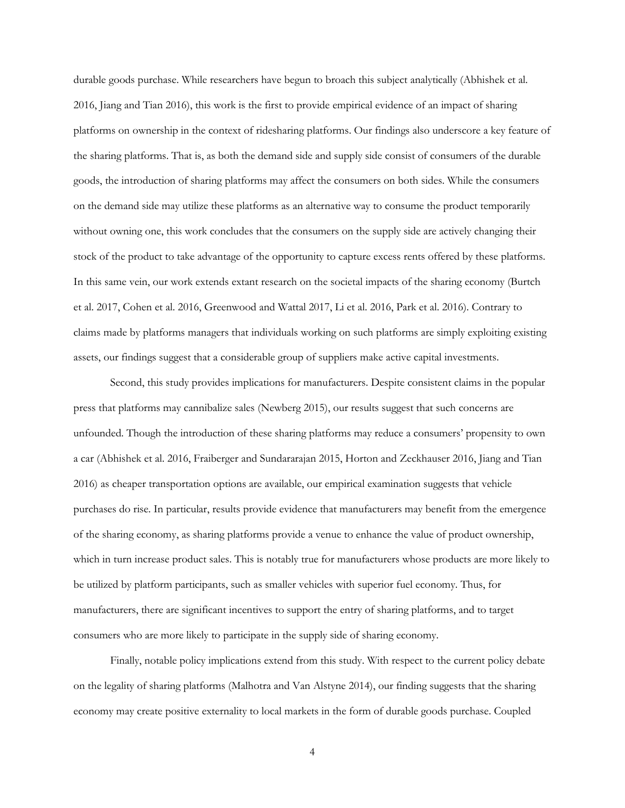durable goods purchase. While researchers have begun to broach this subject analytically (Abhishek et al. 2016, Jiang and Tian 2016), this work is the first to provide empirical evidence of an impact of sharing platforms on ownership in the context of ridesharing platforms. Our findings also underscore a key feature of the sharing platforms. That is, as both the demand side and supply side consist of consumers of the durable goods, the introduction of sharing platforms may affect the consumers on both sides. While the consumers on the demand side may utilize these platforms as an alternative way to consume the product temporarily without owning one, this work concludes that the consumers on the supply side are actively changing their stock of the product to take advantage of the opportunity to capture excess rents offered by these platforms. In this same vein, our work extends extant research on the societal impacts of the sharing economy (Burtch et al. 2017, Cohen et al. 2016, Greenwood and Wattal 2017, Li et al. 2016, Park et al. 2016). Contrary to claims made by platforms managers that individuals working on such platforms are simply exploiting existing assets, our findings suggest that a considerable group of suppliers make active capital investments.

Second, this study provides implications for manufacturers. Despite consistent claims in the popular press that platforms may cannibalize sales (Newberg 2015), our results suggest that such concerns are unfounded. Though the introduction of these sharing platforms may reduce a consumers' propensity to own a car (Abhishek et al. 2016, Fraiberger and Sundararajan 2015, Horton and Zeckhauser 2016, Jiang and Tian 2016) as cheaper transportation options are available, our empirical examination suggests that vehicle purchases do rise. In particular, results provide evidence that manufacturers may benefit from the emergence of the sharing economy, as sharing platforms provide a venue to enhance the value of product ownership, which in turn increase product sales. This is notably true for manufacturers whose products are more likely to be utilized by platform participants, such as smaller vehicles with superior fuel economy. Thus, for manufacturers, there are significant incentives to support the entry of sharing platforms, and to target consumers who are more likely to participate in the supply side of sharing economy.

Finally, notable policy implications extend from this study. With respect to the current policy debate on the legality of sharing platforms (Malhotra and Van Alstyne 2014), our finding suggests that the sharing economy may create positive externality to local markets in the form of durable goods purchase. Coupled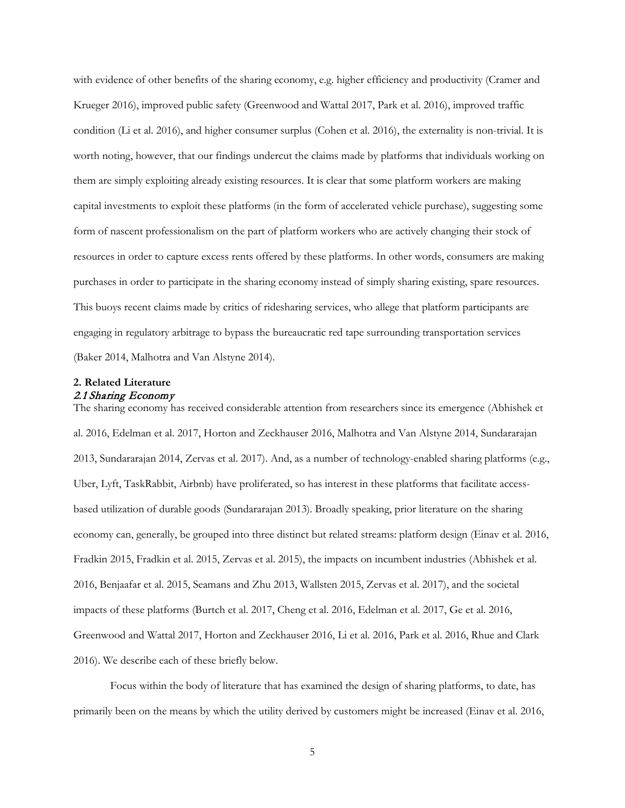with evidence of other benefits of the sharing economy, e.g. higher efficiency and productivity (Cramer and Krueger 2016), improved public safety (Greenwood and Wattal 2017, Park et al. 2016), improved traffic condition (Li et al. 2016), and higher consumer surplus (Cohen et al. 2016), the externality is non-trivial. It is worth noting, however, that our findings undercut the claims made by platforms that individuals working on them are simply exploiting already existing resources. It is clear that some platform workers are making capital investments to exploit these platforms (in the form of accelerated vehicle purchase), suggesting some form of nascent professionalism on the part of platform workers who are actively changing their stock of resources in order to capture excess rents offered by these platforms. In other words, consumers are making purchases in order to participate in the sharing economy instead of simply sharing existing, spare resources. This buoys recent claims made by critics of ridesharing services, who allege that platform participants are engaging in regulatory arbitrage to bypass the bureaucratic red tape surrounding transportation services (Baker 2014, Malhotra and Van Alstyne 2014).

# **2. Related Literature** 2.1 Sharing Economy

The sharing economy has received considerable attention from researchers since its emergence (Abhishek et al. 2016, Edelman et al. 2017, Horton and Zeckhauser 2016, Malhotra and Van Alstyne 2014, Sundararajan 2013, Sundararajan 2014, Zervas et al. 2017). And, as a number of technology-enabled sharing platforms (e.g., Uber, Lyft, TaskRabbit, Airbnb) have proliferated, so has interest in these platforms that facilitate accessbased utilization of durable goods (Sundararajan 2013). Broadly speaking, prior literature on the sharing economy can, generally, be grouped into three distinct but related streams: platform design (Einav et al. 2016, Fradkin 2015, Fradkin et al. 2015, Zervas et al. 2015), the impacts on incumbent industries (Abhishek et al. 2016, Benjaafar et al. 2015, Seamans and Zhu 2013, Wallsten 2015, Zervas et al. 2017), and the societal impacts of these platforms (Burtch et al. 2017, Cheng et al. 2016, Edelman et al. 2017, Ge et al. 2016, Greenwood and Wattal 2017, Horton and Zeckhauser 2016, Li et al. 2016, Park et al. 2016, Rhue and Clark 2016). We describe each of these briefly below.

Focus within the body of literature that has examined the design of sharing platforms, to date, has primarily been on the means by which the utility derived by customers might be increased (Einav et al. 2016,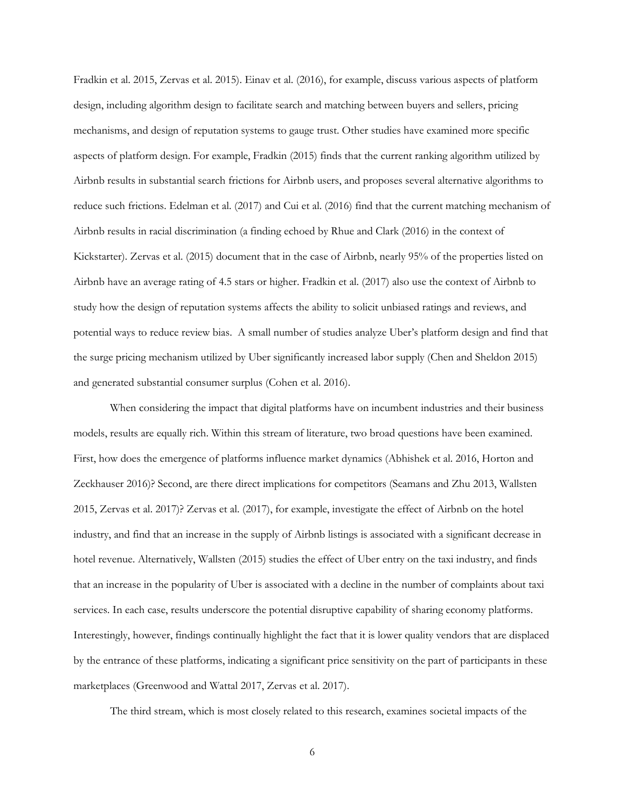Fradkin et al. 2015, Zervas et al. 2015). Einav et al. (2016), for example, discuss various aspects of platform design, including algorithm design to facilitate search and matching between buyers and sellers, pricing mechanisms, and design of reputation systems to gauge trust. Other studies have examined more specific aspects of platform design. For example, Fradkin (2015) finds that the current ranking algorithm utilized by Airbnb results in substantial search frictions for Airbnb users, and proposes several alternative algorithms to reduce such frictions. Edelman et al. (2017) and Cui et al. (2016) find that the current matching mechanism of Airbnb results in racial discrimination (a finding echoed by Rhue and Clark (2016) in the context of Kickstarter). Zervas et al. (2015) document that in the case of Airbnb, nearly 95% of the properties listed on Airbnb have an average rating of 4.5 stars or higher. Fradkin et al. (2017) also use the context of Airbnb to study how the design of reputation systems affects the ability to solicit unbiased ratings and reviews, and potential ways to reduce review bias. A small number of studies analyze Uber's platform design and find that the surge pricing mechanism utilized by Uber significantly increased labor supply (Chen and Sheldon 2015) and generated substantial consumer surplus (Cohen et al. 2016).

When considering the impact that digital platforms have on incumbent industries and their business models, results are equally rich. Within this stream of literature, two broad questions have been examined. First, how does the emergence of platforms influence market dynamics (Abhishek et al. 2016, Horton and Zeckhauser 2016)? Second, are there direct implications for competitors (Seamans and Zhu 2013, Wallsten 2015, Zervas et al. 2017)? Zervas et al. (2017), for example, investigate the effect of Airbnb on the hotel industry, and find that an increase in the supply of Airbnb listings is associated with a significant decrease in hotel revenue. Alternatively, Wallsten (2015) studies the effect of Uber entry on the taxi industry, and finds that an increase in the popularity of Uber is associated with a decline in the number of complaints about taxi services. In each case, results underscore the potential disruptive capability of sharing economy platforms. Interestingly, however, findings continually highlight the fact that it is lower quality vendors that are displaced by the entrance of these platforms, indicating a significant price sensitivity on the part of participants in these marketplaces (Greenwood and Wattal 2017, Zervas et al. 2017).

The third stream, which is most closely related to this research, examines societal impacts of the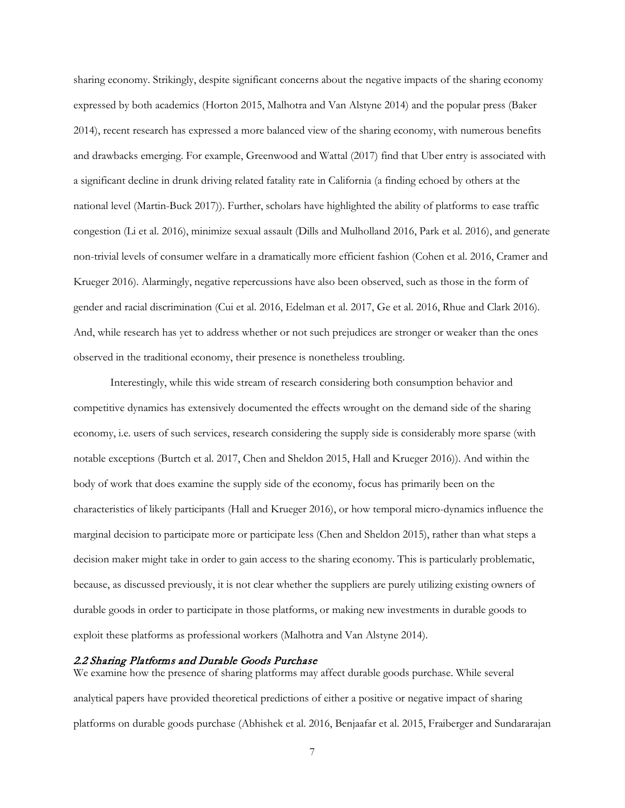sharing economy. Strikingly, despite significant concerns about the negative impacts of the sharing economy expressed by both academics (Horton 2015, Malhotra and Van Alstyne 2014) and the popular press (Baker 2014), recent research has expressed a more balanced view of the sharing economy, with numerous benefits and drawbacks emerging. For example, Greenwood and Wattal (2017) find that Uber entry is associated with a significant decline in drunk driving related fatality rate in California (a finding echoed by others at the national level (Martin-Buck 2017)). Further, scholars have highlighted the ability of platforms to ease traffic congestion (Li et al. 2016), minimize sexual assault (Dills and Mulholland 2016, Park et al. 2016), and generate non-trivial levels of consumer welfare in a dramatically more efficient fashion (Cohen et al. 2016, Cramer and Krueger 2016). Alarmingly, negative repercussions have also been observed, such as those in the form of gender and racial discrimination (Cui et al. 2016, Edelman et al. 2017, Ge et al. 2016, Rhue and Clark 2016). And, while research has yet to address whether or not such prejudices are stronger or weaker than the ones observed in the traditional economy, their presence is nonetheless troubling.

Interestingly, while this wide stream of research considering both consumption behavior and competitive dynamics has extensively documented the effects wrought on the demand side of the sharing economy, i.e. users of such services, research considering the supply side is considerably more sparse (with notable exceptions (Burtch et al. 2017, Chen and Sheldon 2015, Hall and Krueger 2016)). And within the body of work that does examine the supply side of the economy, focus has primarily been on the characteristics of likely participants (Hall and Krueger 2016), or how temporal micro-dynamics influence the marginal decision to participate more or participate less (Chen and Sheldon 2015), rather than what steps a decision maker might take in order to gain access to the sharing economy. This is particularly problematic, because, as discussed previously, it is not clear whether the suppliers are purely utilizing existing owners of durable goods in order to participate in those platforms, or making new investments in durable goods to exploit these platforms as professional workers (Malhotra and Van Alstyne 2014).

#### 2.2 Sharing Platforms and Durable Goods Purchase

We examine how the presence of sharing platforms may affect durable goods purchase. While several analytical papers have provided theoretical predictions of either a positive or negative impact of sharing platforms on durable goods purchase (Abhishek et al. 2016, Benjaafar et al. 2015, Fraiberger and Sundararajan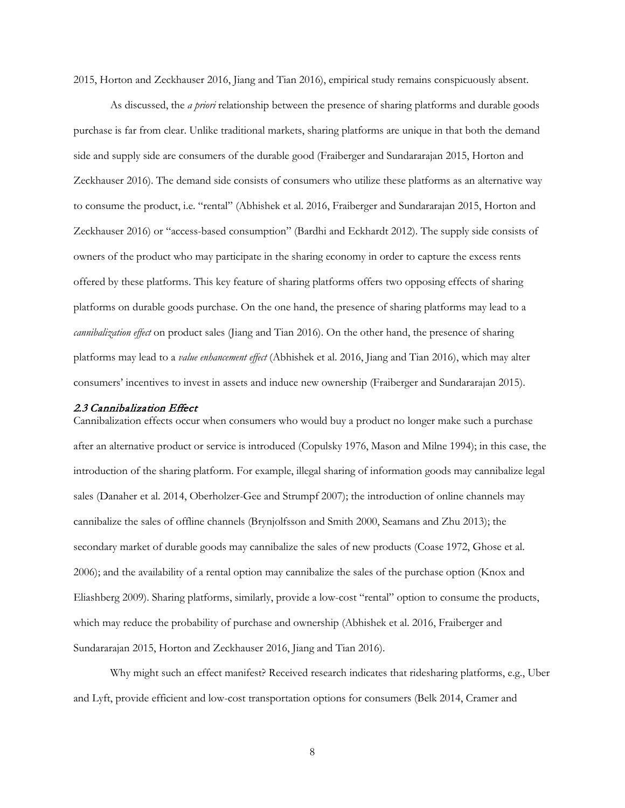2015, Horton and Zeckhauser 2016, Jiang and Tian 2016), empirical study remains conspicuously absent.

As discussed, the *a priori* relationship between the presence of sharing platforms and durable goods purchase is far from clear. Unlike traditional markets, sharing platforms are unique in that both the demand side and supply side are consumers of the durable good (Fraiberger and Sundararajan 2015, Horton and Zeckhauser 2016). The demand side consists of consumers who utilize these platforms as an alternative way to consume the product, i.e. "rental" (Abhishek et al. 2016, Fraiberger and Sundararajan 2015, Horton and Zeckhauser 2016) or "access-based consumption" (Bardhi and Eckhardt 2012). The supply side consists of owners of the product who may participate in the sharing economy in order to capture the excess rents offered by these platforms. This key feature of sharing platforms offers two opposing effects of sharing platforms on durable goods purchase. On the one hand, the presence of sharing platforms may lead to a *cannibalization effect* on product sales (Jiang and Tian 2016). On the other hand, the presence of sharing platforms may lead to a *value enhancement effect* (Abhishek et al. 2016, Jiang and Tian 2016), which may alter consumers' incentives to invest in assets and induce new ownership (Fraiberger and Sundararajan 2015).

#### 2.3 Cannibalization Effect

Cannibalization effects occur when consumers who would buy a product no longer make such a purchase after an alternative product or service is introduced (Copulsky 1976, Mason and Milne 1994); in this case, the introduction of the sharing platform. For example, illegal sharing of information goods may cannibalize legal sales (Danaher et al. 2014, Oberholzer-Gee and Strumpf 2007); the introduction of online channels may cannibalize the sales of offline channels (Brynjolfsson and Smith 2000, Seamans and Zhu 2013); the secondary market of durable goods may cannibalize the sales of new products (Coase 1972, Ghose et al. 2006); and the availability of a rental option may cannibalize the sales of the purchase option (Knox and Eliashberg 2009). Sharing platforms, similarly, provide a low-cost "rental" option to consume the products, which may reduce the probability of purchase and ownership (Abhishek et al. 2016, Fraiberger and Sundararajan 2015, Horton and Zeckhauser 2016, Jiang and Tian 2016).

Why might such an effect manifest? Received research indicates that ridesharing platforms, e.g., Uber and Lyft, provide efficient and low-cost transportation options for consumers (Belk 2014, Cramer and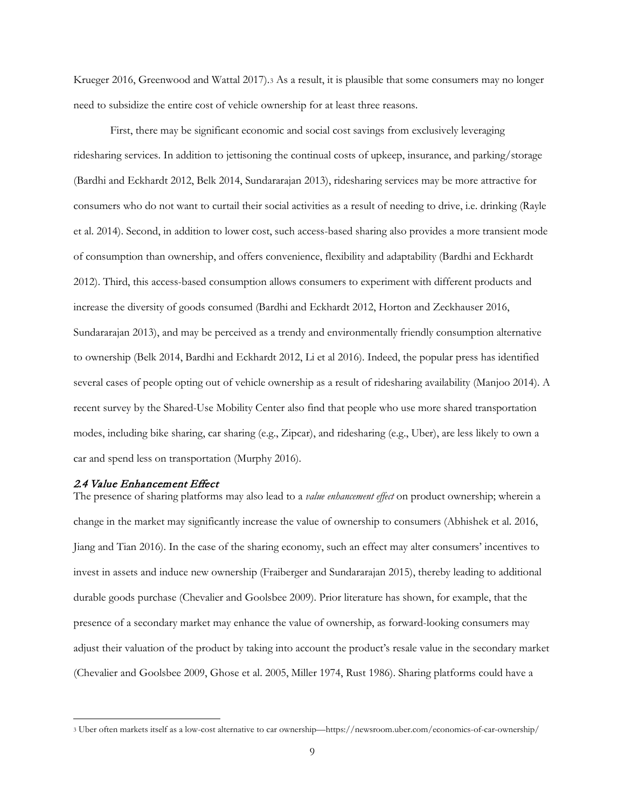Krueger 2016, Greenwood and Wattal 2017).[3](#page-9-0) As a result, it is plausible that some consumers may no longer need to subsidize the entire cost of vehicle ownership for at least three reasons.

First, there may be significant economic and social cost savings from exclusively leveraging ridesharing services. In addition to jettisoning the continual costs of upkeep, insurance, and parking/storage (Bardhi and Eckhardt 2012, Belk 2014, Sundararajan 2013), ridesharing services may be more attractive for consumers who do not want to curtail their social activities as a result of needing to drive, i.e. drinking (Rayle et al. 2014). Second, in addition to lower cost, such access-based sharing also provides a more transient mode of consumption than ownership, and offers convenience, flexibility and adaptability (Bardhi and Eckhardt 2012). Third, this access-based consumption allows consumers to experiment with different products and increase the diversity of goods consumed (Bardhi and Eckhardt 2012, Horton and Zeckhauser 2016, Sundararajan 2013), and may be perceived as a trendy and environmentally friendly consumption alternative to ownership (Belk 2014, Bardhi and Eckhardt 2012, Li et al 2016). Indeed, the popular press has identified several cases of people opting out of vehicle ownership as a result of ridesharing availability (Manjoo 2014). A recent survey by the Shared-Use Mobility Center also find that people who use more shared transportation modes, including bike sharing, car sharing (e.g., Zipcar), and ridesharing (e.g., Uber), are less likely to own a car and spend less on transportation (Murphy 2016).

#### 2.4 Value Enhancement Effect

The presence of sharing platforms may also lead to a *value enhancement effect* on product ownership; wherein a change in the market may significantly increase the value of ownership to consumers (Abhishek et al. 2016, Jiang and Tian 2016). In the case of the sharing economy, such an effect may alter consumers' incentives to invest in assets and induce new ownership (Fraiberger and Sundararajan 2015), thereby leading to additional durable goods purchase (Chevalier and Goolsbee 2009). Prior literature has shown, for example, that the presence of a secondary market may enhance the value of ownership, as forward-looking consumers may adjust their valuation of the product by taking into account the product's resale value in the secondary market (Chevalier and Goolsbee 2009, Ghose et al. 2005, Miller 1974, Rust 1986). Sharing platforms could have a

<span id="page-9-0"></span> <sup>3</sup> Uber often markets itself as a low-cost alternative to car ownership—https://newsroom.uber.com/economics-of-car-ownership/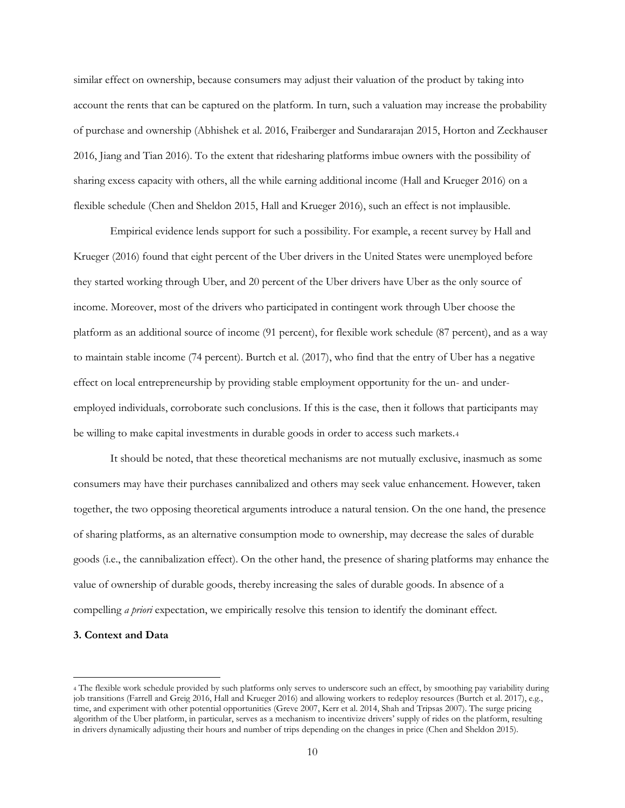similar effect on ownership, because consumers may adjust their valuation of the product by taking into account the rents that can be captured on the platform. In turn, such a valuation may increase the probability of purchase and ownership (Abhishek et al. 2016, Fraiberger and Sundararajan 2015, Horton and Zeckhauser 2016, Jiang and Tian 2016). To the extent that ridesharing platforms imbue owners with the possibility of sharing excess capacity with others, all the while earning additional income (Hall and Krueger 2016) on a flexible schedule (Chen and Sheldon 2015, Hall and Krueger 2016), such an effect is not implausible.

Empirical evidence lends support for such a possibility. For example, a recent survey by Hall and Krueger (2016) found that eight percent of the Uber drivers in the United States were unemployed before they started working through Uber, and 20 percent of the Uber drivers have Uber as the only source of income. Moreover, most of the drivers who participated in contingent work through Uber choose the platform as an additional source of income (91 percent), for flexible work schedule (87 percent), and as a way to maintain stable income (74 percent). Burtch et al. (2017), who find that the entry of Uber has a negative effect on local entrepreneurship by providing stable employment opportunity for the un- and underemployed individuals, corroborate such conclusions. If this is the case, then it follows that participants may be willing to make capital investments in durable goods in order to access such markets.[4](#page-10-0)

It should be noted, that these theoretical mechanisms are not mutually exclusive, inasmuch as some consumers may have their purchases cannibalized and others may seek value enhancement. However, taken together, the two opposing theoretical arguments introduce a natural tension. On the one hand, the presence of sharing platforms, as an alternative consumption mode to ownership, may decrease the sales of durable goods (i.e., the cannibalization effect). On the other hand, the presence of sharing platforms may enhance the value of ownership of durable goods, thereby increasing the sales of durable goods. In absence of a compelling *a priori* expectation, we empirically resolve this tension to identify the dominant effect.

#### **3. Context and Data**

<span id="page-10-0"></span> <sup>4</sup> The flexible work schedule provided by such platforms only serves to underscore such an effect, by smoothing pay variability during job transitions (Farrell and Greig 2016, Hall and Krueger 2016) and allowing workers to redeploy resources (Burtch et al. 2017), e.g., time, and experiment with other potential opportunities (Greve 2007, Kerr et al. 2014, Shah and Tripsas 2007). The surge pricing algorithm of the Uber platform, in particular, serves as a mechanism to incentivize drivers' supply of rides on the platform, resulting in drivers dynamically adjusting their hours and number of trips depending on the changes in price (Chen and Sheldon 2015).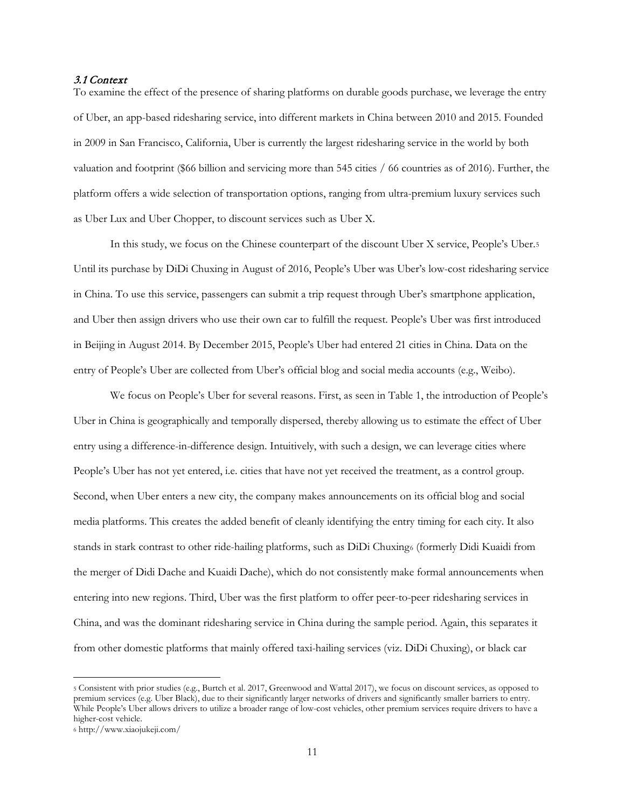## 3.1 Context

To examine the effect of the presence of sharing platforms on durable goods purchase, we leverage the entry of Uber, an app-based ridesharing service, into different markets in China between 2010 and 2015. Founded in 2009 in San Francisco, California, Uber is currently the largest ridesharing service in the world by both valuation and footprint (\$66 billion and servicing more than 545 cities / 66 countries as of 2016). Further, the platform offers a wide selection of transportation options, ranging from ultra-premium luxury services such as Uber Lux and Uber Chopper, to discount services such as Uber X.

In this study, we focus on the Chinese counterpart of the discount Uber X service, People's Uber.[5](#page-11-0) Until its purchase by DiDi Chuxing in August of 2016, People's Uber was Uber's low-cost ridesharing service in China. To use this service, passengers can submit a trip request through Uber's smartphone application, and Uber then assign drivers who use their own car to fulfill the request. People's Uber was first introduced in Beijing in August 2014. By December 2015, People's Uber had entered 21 cities in China. Data on the entry of People's Uber are collected from Uber's official blog and social media accounts (e.g., Weibo).

We focus on People's Uber for several reasons. First, as seen in Table 1, the introduction of People's Uber in China is geographically and temporally dispersed, thereby allowing us to estimate the effect of Uber entry using a difference-in-difference design. Intuitively, with such a design, we can leverage cities where People's Uber has not yet entered, i.e. cities that have not yet received the treatment, as a control group. Second, when Uber enters a new city, the company makes announcements on its official blog and social media platforms. This creates the added benefit of cleanly identifying the entry timing for each city. It also stands in stark contrast to other ride-hailing platforms, such as DiDi Chuxing[6](#page-11-1) (formerly Didi Kuaidi from the merger of Didi Dache and Kuaidi Dache), which do not consistently make formal announcements when entering into new regions. Third, Uber was the first platform to offer peer-to-peer ridesharing services in China, and was the dominant ridesharing service in China during the sample period. Again, this separates it from other domestic platforms that mainly offered taxi-hailing services (viz. DiDi Chuxing), or black car

<span id="page-11-0"></span> <sup>5</sup> Consistent with prior studies (e.g., Burtch et al. 2017, Greenwood and Wattal 2017), we focus on discount services, as opposed to premium services (e.g. Uber Black), due to their significantly larger networks of drivers and significantly smaller barriers to entry. While People's Uber allows drivers to utilize a broader range of low-cost vehicles, other premium services require drivers to have a higher-cost vehicle.

<span id="page-11-1"></span><sup>6</sup> http://www.xiaojukeji.com/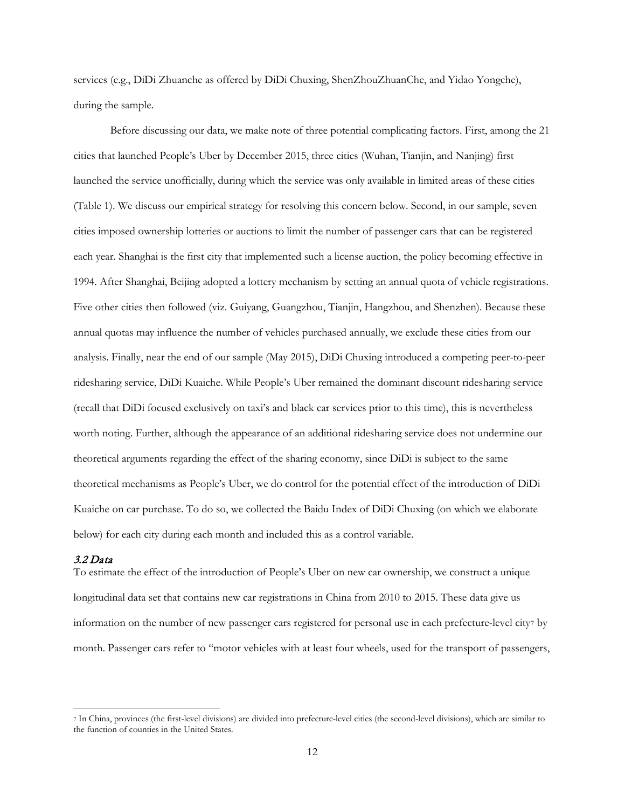services (e.g., DiDi Zhuanche as offered by DiDi Chuxing, ShenZhouZhuanChe, and Yidao Yongche), during the sample.

Before discussing our data, we make note of three potential complicating factors. First, among the 21 cities that launched People's Uber by December 2015, three cities (Wuhan, Tianjin, and Nanjing) first launched the service unofficially, during which the service was only available in limited areas of these cities (Table 1). We discuss our empirical strategy for resolving this concern below. Second, in our sample, seven cities imposed ownership lotteries or auctions to limit the number of passenger cars that can be registered each year. Shanghai is the first city that implemented such a license auction, the policy becoming effective in 1994. After Shanghai, Beijing adopted a lottery mechanism by setting an annual quota of vehicle registrations. Five other cities then followed (viz. Guiyang, Guangzhou, Tianjin, Hangzhou, and Shenzhen). Because these annual quotas may influence the number of vehicles purchased annually, we exclude these cities from our analysis. Finally, near the end of our sample (May 2015), DiDi Chuxing introduced a competing peer-to-peer ridesharing service, DiDi Kuaiche. While People's Uber remained the dominant discount ridesharing service (recall that DiDi focused exclusively on taxi's and black car services prior to this time), this is nevertheless worth noting. Further, although the appearance of an additional ridesharing service does not undermine our theoretical arguments regarding the effect of the sharing economy, since DiDi is subject to the same theoretical mechanisms as People's Uber, we do control for the potential effect of the introduction of DiDi Kuaiche on car purchase. To do so, we collected the Baidu Index of DiDi Chuxing (on which we elaborate below) for each city during each month and included this as a control variable.

#### 3.2 Data

To estimate the effect of the introduction of People's Uber on new car ownership, we construct a unique longitudinal data set that contains new car registrations in China from 2010 to 2015. These data give us information on the number of new passenger cars registered for personal use in each prefecture-level city[7](#page-12-0) by month. Passenger cars refer to "motor vehicles with at least four wheels, used for the transport of passengers,

<span id="page-12-0"></span> <sup>7</sup> In China, provinces (the first-level divisions) are divided into prefecture-level cities (the second-level divisions), which are similar to the function of counties in the United States.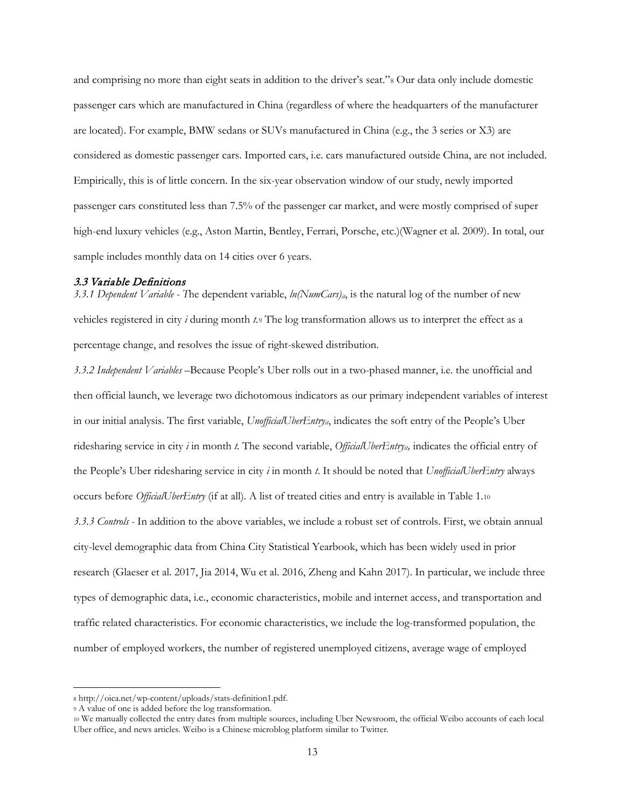and comprising no more than eight seats in addition to the driver's seat."[8](#page-13-0) Our data only include domestic passenger cars which are manufactured in China (regardless of where the headquarters of the manufacturer are located). For example, BMW sedans or SUVs manufactured in China (e.g., the 3 series or X3) are considered as domestic passenger cars. Imported cars, i.e. cars manufactured outside China, are not included. Empirically, this is of little concern. In the six-year observation window of our study, newly imported passenger cars constituted less than 7.5% of the passenger car market, and were mostly comprised of super high-end luxury vehicles (e.g., Aston Martin, Bentley, Ferrari, Porsche, etc.)(Wagner et al. 2009). In total, our sample includes monthly data on 14 cities over 6 years.

#### 3.3 Variable Definitions

*3.3.1 Dependent Variable -* The dependent variable,  $ln(NumCars)_{ii}$ , is the natural log of the number of new vehicles registered in city *i* during month *t*[.9](#page-13-1) The log transformation allows us to interpret the effect as a percentage change, and resolves the issue of right-skewed distribution.

*3.3.2 Independent Variables –*Because People's Uber rolls out in a two-phased manner, i.e. the unofficial and then official launch, we leverage two dichotomous indicators as our primary independent variables of interest in our initial analysis. The first variable, *UnofficialUberEntryit*, indicates the soft entry of the People's Uber ridesharing service in city *i* in month *t*. The second variable, *OfficialUberEntry<sub>it</sub>*, indicates the official entry of the People's Uber ridesharing service in city *i* in month *t*. It should be noted that *UnofficialUberEntry* always occurs before *OfficialUberEntry* (if at all)*.* A list of treated cities and entry is available in Table 1.[10](#page-13-2) *3.3.3 Controls -* In addition to the above variables, we include a robust set of controls. First, we obtain annual city-level demographic data from China City Statistical Yearbook, which has been widely used in prior research (Glaeser et al. 2017, Jia 2014, Wu et al. 2016, Zheng and Kahn 2017). In particular, we include three types of demographic data, i.e., economic characteristics, mobile and internet access, and transportation and traffic related characteristics. For economic characteristics, we include the log-transformed population, the number of employed workers, the number of registered unemployed citizens, average wage of employed

<span id="page-13-0"></span> <sup>8</sup> http://oica.net/wp-content/uploads/stats-definition1.pdf.

<span id="page-13-1"></span><sup>9</sup> A value of one is added before the log transformation.

<span id="page-13-2"></span><sup>10</sup> We manually collected the entry dates from multiple sources, including Uber Newsroom, the official Weibo accounts of each local Uber office, and news articles. Weibo is a Chinese microblog platform similar to Twitter.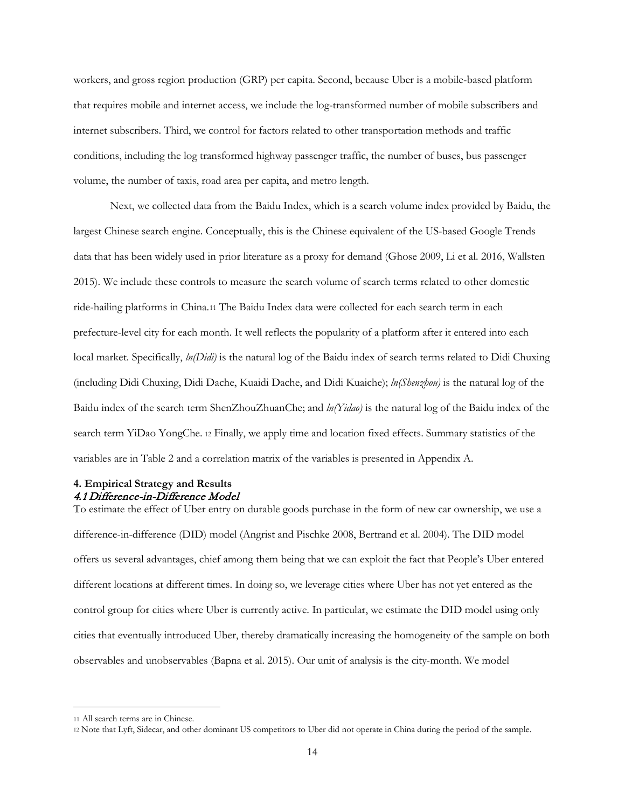workers, and gross region production (GRP) per capita. Second, because Uber is a mobile-based platform that requires mobile and internet access, we include the log-transformed number of mobile subscribers and internet subscribers. Third, we control for factors related to other transportation methods and traffic conditions, including the log transformed highway passenger traffic, the number of buses, bus passenger volume, the number of taxis, road area per capita, and metro length.

Next, we collected data from the Baidu Index, which is a search volume index provided by Baidu, the largest Chinese search engine. Conceptually, this is the Chinese equivalent of the US-based Google Trends data that has been widely used in prior literature as a proxy for demand (Ghose 2009, Li et al. 2016, Wallsten 2015). We include these controls to measure the search volume of search terms related to other domestic ride-hailing platforms in China.[11](#page-14-0) The Baidu Index data were collected for each search term in each prefecture-level city for each month. It well reflects the popularity of a platform after it entered into each local market. Specifically, *ln(Didi)* is the natural log of the Baidu index of search terms related to Didi Chuxing (including Didi Chuxing, Didi Dache, Kuaidi Dache, and Didi Kuaiche); *ln(Shenzhou)* is the natural log of the Baidu index of the search term ShenZhouZhuanChe; and *ln(Yidao)* is the natural log of the Baidu index of the search term YiDao YongChe. [12](#page-14-1) Finally, we apply time and location fixed effects. Summary statistics of the variables are in Table 2 and a correlation matrix of the variables is presented in Appendix A.

# **4. Empirical Strategy and Results** 4.1 Difference-in-Difference Model

To estimate the effect of Uber entry on durable goods purchase in the form of new car ownership, we use a difference-in-difference (DID) model (Angrist and Pischke 2008, Bertrand et al. 2004). The DID model offers us several advantages, chief among them being that we can exploit the fact that People's Uber entered different locations at different times. In doing so, we leverage cities where Uber has not yet entered as the control group for cities where Uber is currently active. In particular, we estimate the DID model using only cities that eventually introduced Uber, thereby dramatically increasing the homogeneity of the sample on both observables and unobservables (Bapna et al. 2015). Our unit of analysis is the city-month. We model

 $\ddot{\phantom{a}}$ 

<span id="page-14-0"></span><sup>11</sup> All search terms are in Chinese.

<span id="page-14-1"></span><sup>12</sup> Note that Lyft, Sidecar, and other dominant US competitors to Uber did not operate in China during the period of the sample.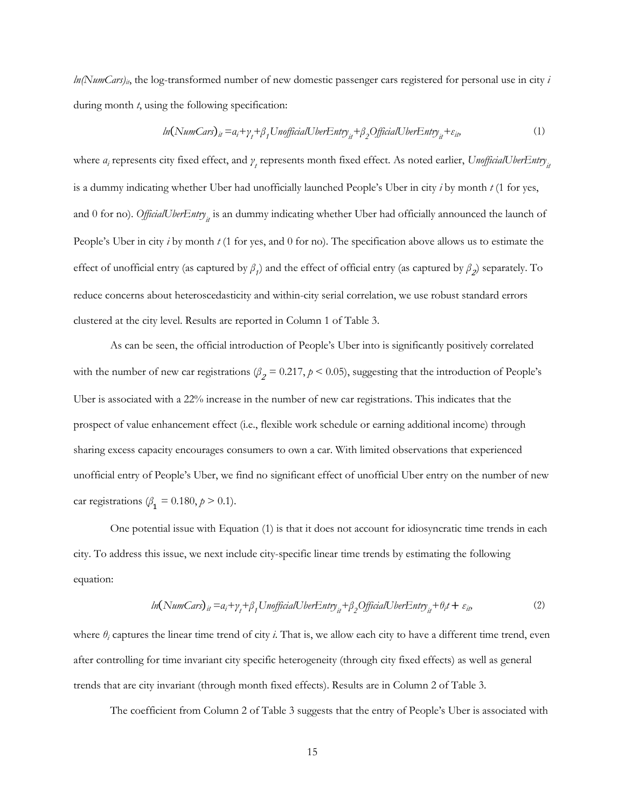*ln(NumCars)<sub>it</sub>*, the log-transformed number of new domestic passenger cars registered for personal use in city *i* during month *t*, using the following specification:

$$
ln(NumCars)it = ai + \gammat + \beta1 Un officialÜberEntryit + \beta2OfficialÜberEntryit + \varepsilonit,
$$
\n(1)

where  $a_i$  represents city fixed effect, and  $\gamma_t$  represents month fixed effect. As noted earlier, *UnofficialUberEntry*<sub>it</sub> is a dummy indicating whether Uber had unofficially launched People's Uber in city *i* by month *t* (1 for yes, and 0 for no). *OfficialUberEntry<sub>it</sub>* is an dummy indicating whether Uber had officially announced the launch of People's Uber in city *i* by month *t* (1 for yes, and 0 for no). The specification above allows us to estimate the effect of unofficial entry (as captured by  $\beta_1$ ) and the effect of official entry (as captured by  $\beta_2$ ) separately. To reduce concerns about heteroscedasticity and within-city serial correlation, we use robust standard errors clustered at the city level. Results are reported in Column 1 of Table 3.

As can be seen, the official introduction of People's Uber into is significantly positively correlated with the number of new car registrations ( $\beta_2$  = 0.217,  $p$  < 0.05), suggesting that the introduction of People's Uber is associated with a 22% increase in the number of new car registrations. This indicates that the prospect of value enhancement effect (i.e., flexible work schedule or earning additional income) through sharing excess capacity encourages consumers to own a car. With limited observations that experienced unofficial entry of People's Uber, we find no significant effect of unofficial Uber entry on the number of new car registrations ( $\beta_1 = 0.180, p > 0.1$ ).

One potential issue with Equation (1) is that it does not account for idiosyncratic time trends in each city. To address this issue, we next include city-specific linear time trends by estimating the following equation:

$$
ln(NumCars)it = ai + \gammat + \beta1 Un officialÜberEntryit + \beta2OfficialÜberEntryit + \thetait + \varepsilonit,
$$
\n(2)

where  $\theta_i$  captures the linear time trend of city *i*. That is, we allow each city to have a different time trend, even after controlling for time invariant city specific heterogeneity (through city fixed effects) as well as general trends that are city invariant (through month fixed effects). Results are in Column 2 of Table 3.

The coefficient from Column 2 of Table 3 suggests that the entry of People's Uber is associated with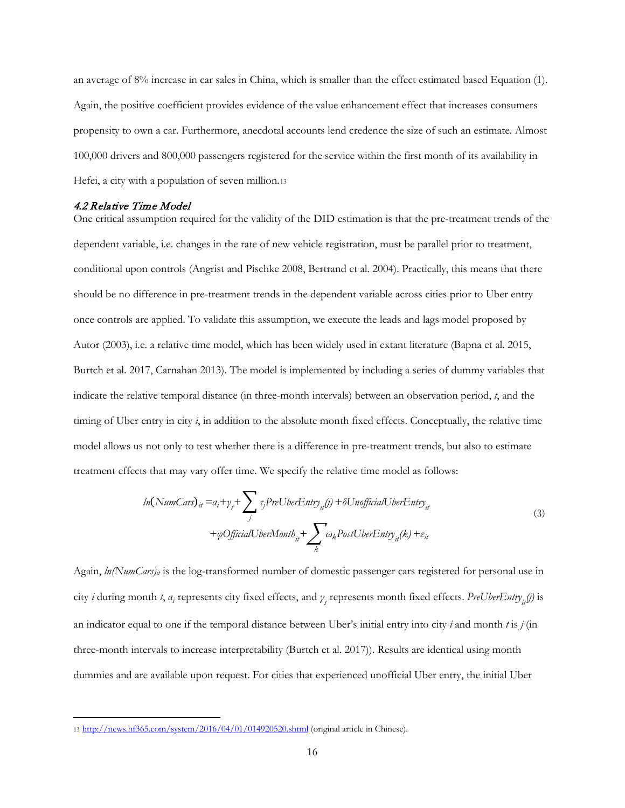an average of 8% increase in car sales in China, which is smaller than the effect estimated based Equation (1). Again, the positive coefficient provides evidence of the value enhancement effect that increases consumers propensity to own a car. Furthermore, anecdotal accounts lend credence the size of such an estimate. Almost 100,000 drivers and 800,000 passengers registered for the service within the first month of its availability in Hefei, a city with a population of seven million[.13](#page-16-0)

#### 4.2 Relative Time Model

 $\ddot{\phantom{a}}$ 

One critical assumption required for the validity of the DID estimation is that the pre-treatment trends of the dependent variable, i.e. changes in the rate of new vehicle registration, must be parallel prior to treatment, conditional upon controls (Angrist and Pischke 2008, Bertrand et al. 2004). Practically, this means that there should be no difference in pre-treatment trends in the dependent variable across cities prior to Uber entry once controls are applied. To validate this assumption, we execute the leads and lags model proposed by Autor (2003), i.e. a relative time model, which has been widely used in extant literature (Bapna et al. 2015, Burtch et al. 2017, Carnahan 2013). The model is implemented by including a series of dummy variables that indicate the relative temporal distance (in three-month intervals) between an observation period, *t*, and the timing of Uber entry in city *i*, in addition to the absolute month fixed effects. Conceptually, the relative time model allows us not only to test whether there is a difference in pre-treatment trends, but also to estimate treatment effects that may vary offer time. We specify the relative time model as follows:

$$
ln(NumCars)it = ai + \gamma_{t} + \sum_{j} \tau_{j} PreUberEntry_{it}(j) + \delta Un officialUberEntry_{it}
$$
  
+  $\varphi \text{OfficialUberMonth}_{it} + \sum_{k} \omega_{k} PostUberEntry_{it}(k) + \varepsilon_{it}$  (3)

Again, *ln*(NumCars)<sub>it</sub> is the log-transformed number of domestic passenger cars registered for personal use in city *i* during month *t*, *α<sup>i</sup>* represents city fixed effects, and *γ <sup>t</sup>* represents month fixed effects. *PreUberEntry it(j)* is an indicator equal to one if the temporal distance between Uber's initial entry into city *i* and month *t* is *j* (in three-month intervals to increase interpretability (Burtch et al. 2017)). Results are identical using month dummies and are available upon request. For cities that experienced unofficial Uber entry, the initial Uber

<span id="page-16-0"></span><sup>13</sup> <http://news.hf365.com/system/2016/04/01/014920520.shtml> (original article in Chinese).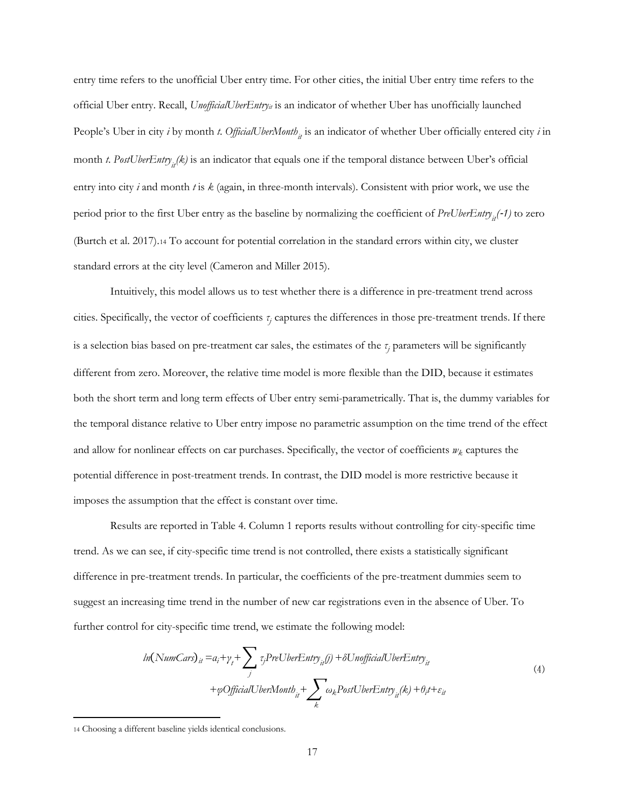entry time refers to the unofficial Uber entry time. For other cities, the initial Uber entry time refers to the official Uber entry. Recall, *UnofficialUberEntry<sub>it</sub>* is an indicator of whether Uber has unofficially launched People's Uber in city *i* by month *t*. *OfficialUberMonth*<sub>it</sub> is an indicator of whether Uber officially entered city *i* in month *t*. PostUberEntry<sub>it</sub>(k) is an indicator that equals one if the temporal distance between Uber's official entry into city *i* and month *t* is *k* (again, in three-month intervals). Consistent with prior work, we use the period prior to the first Uber entry as the baseline by normalizing the coefficient of *PreUberEntry*<sub>it</sub>(-1) to zero (Burtch et al. 2017).[14](#page-17-0) To account for potential correlation in the standard errors within city, we cluster standard errors at the city level (Cameron and Miller 2015).

Intuitively, this model allows us to test whether there is a difference in pre-treatment trend across cities. Specifically, the vector of coefficients *τ<sup>j</sup>* captures the differences in those pre-treatment trends. If there is a selection bias based on pre-treatment car sales, the estimates of the *τ<sup>j</sup>* parameters will be significantly different from zero. Moreover, the relative time model is more flexible than the DID, because it estimates both the short term and long term effects of Uber entry semi-parametrically. That is, the dummy variables for the temporal distance relative to Uber entry impose no parametric assumption on the time trend of the effect and allow for nonlinear effects on car purchases. Specifically, the vector of coefficients  $w_k$  captures the potential difference in post-treatment trends. In contrast, the DID model is more restrictive because it imposes the assumption that the effect is constant over time.

Results are reported in Table 4. Column 1 reports results without controlling for city-specific time trend. As we can see, if city-specific time trend is not controlled, there exists a statistically significant difference in pre-treatment trends. In particular, the coefficients of the pre-treatment dummies seem to suggest an increasing time trend in the number of new car registrations even in the absence of Uber. To further control for city-specific time trend, we estimate the following model:

$$
ln(NumCars)it = ai + \gammat + \sum_{j} \tau_{j} PreUberEntryit(j) + \delta Un officialUberEntryit
$$
  
+  $\varphi \text{OfficialUberMonth}it + \sum_{k} \omega_{k} PostUberEntryit(k) + \theta_{i}t + \varepsilon_{it}$  (4)

 $\ddot{\phantom{a}}$ 

<span id="page-17-0"></span><sup>14</sup> Choosing a different baseline yields identical conclusions.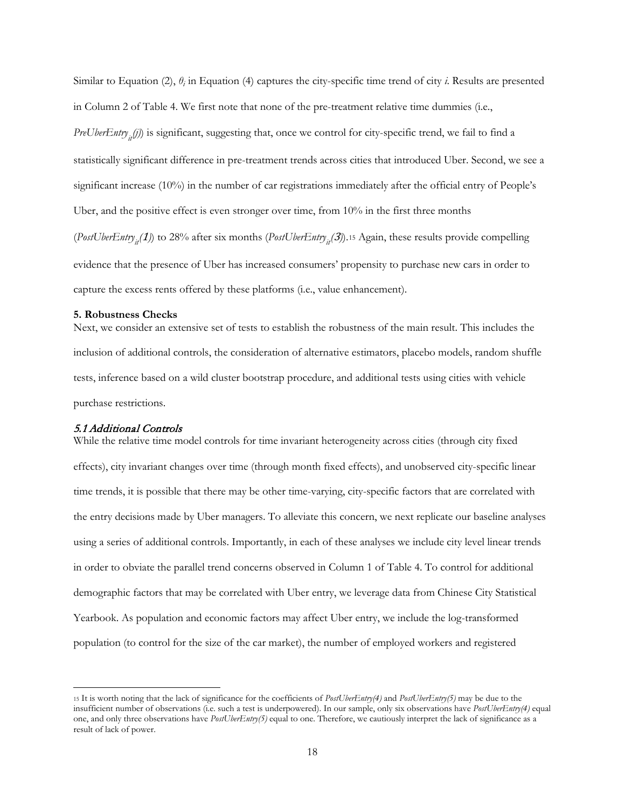Similar to Equation (2),  $\theta$ *<sub>i</sub>* in Equation (4) captures the city-specific time trend of city *i*. Results are presented in Column 2 of Table 4. We first note that none of the pre-treatment relative time dummies (i.e., *PreUberEntry<sub>it</sub>(j)*) is significant, suggesting that, once we control for city-specific trend, we fail to find a statistically significant difference in pre-treatment trends across cities that introduced Uber. Second, we see a significant increase (10%) in the number of car registrations immediately after the official entry of People's Uber, and the positive effect is even stronger over time, from 10% in the first three months (*PostUberEntry<sub>it</sub>*(1)) to 28% after six months (*PostUberEntry<sub>it</sub>*(3)).<sup>[15](#page-18-0)</sup> Again, these results provide compelling evidence that the presence of Uber has increased consumers' propensity to purchase new cars in order to capture the excess rents offered by these platforms (i.e., value enhancement).

#### **5. Robustness Checks**

Next, we consider an extensive set of tests to establish the robustness of the main result. This includes the inclusion of additional controls, the consideration of alternative estimators, placebo models, random shuffle tests, inference based on a wild cluster bootstrap procedure, and additional tests using cities with vehicle purchase restrictions.

### 5.1 Additional Controls

While the relative time model controls for time invariant heterogeneity across cities (through city fixed effects), city invariant changes over time (through month fixed effects), and unobserved city-specific linear time trends, it is possible that there may be other time-varying, city-specific factors that are correlated with the entry decisions made by Uber managers. To alleviate this concern, we next replicate our baseline analyses using a series of additional controls. Importantly, in each of these analyses we include city level linear trends in order to obviate the parallel trend concerns observed in Column 1 of Table 4. To control for additional demographic factors that may be correlated with Uber entry, we leverage data from Chinese City Statistical Yearbook. As population and economic factors may affect Uber entry, we include the log-transformed population (to control for the size of the car market), the number of employed workers and registered

<span id="page-18-0"></span> <sup>15</sup> It is worth noting that the lack of significance for the coefficients of *PostUberEntry(4)* and *PostUberEntry(5)* may be due to the insufficient number of observations (i.e. such a test is underpowered). In our sample, only six observations have *PostUberEntry(4)* equal one, and only three observations have *PostUberEntry(5)* equal to one. Therefore, we cautiously interpret the lack of significance as a result of lack of power.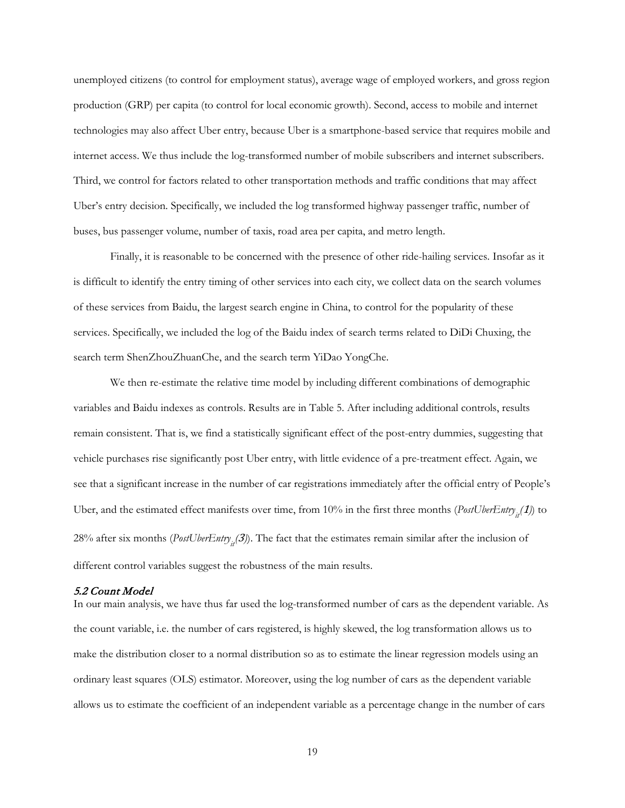unemployed citizens (to control for employment status), average wage of employed workers, and gross region production (GRP) per capita (to control for local economic growth). Second, access to mobile and internet technologies may also affect Uber entry, because Uber is a smartphone-based service that requires mobile and internet access. We thus include the log-transformed number of mobile subscribers and internet subscribers. Third, we control for factors related to other transportation methods and traffic conditions that may affect Uber's entry decision. Specifically, we included the log transformed highway passenger traffic, number of buses, bus passenger volume, number of taxis, road area per capita, and metro length.

Finally, it is reasonable to be concerned with the presence of other ride-hailing services. Insofar as it is difficult to identify the entry timing of other services into each city, we collect data on the search volumes of these services from Baidu, the largest search engine in China, to control for the popularity of these services. Specifically, we included the log of the Baidu index of search terms related to DiDi Chuxing, the search term ShenZhouZhuanChe, and the search term YiDao YongChe.

We then re-estimate the relative time model by including different combinations of demographic variables and Baidu indexes as controls. Results are in Table 5. After including additional controls, results remain consistent. That is, we find a statistically significant effect of the post-entry dummies, suggesting that vehicle purchases rise significantly post Uber entry, with little evidence of a pre-treatment effect. Again, we see that a significant increase in the number of car registrations immediately after the official entry of People's Uber, and the estimated effect manifests over time, from 10% in the first three months (*PostUberEntry*<sub>it</sub>(1)) to 28% after six months (*PostUberEntry<sub>it</sub>*(3)). The fact that the estimates remain similar after the inclusion of different control variables suggest the robustness of the main results.

### 5.2 Count Model

In our main analysis, we have thus far used the log-transformed number of cars as the dependent variable. As the count variable, i.e. the number of cars registered, is highly skewed, the log transformation allows us to make the distribution closer to a normal distribution so as to estimate the linear regression models using an ordinary least squares (OLS) estimator. Moreover, using the log number of cars as the dependent variable allows us to estimate the coefficient of an independent variable as a percentage change in the number of cars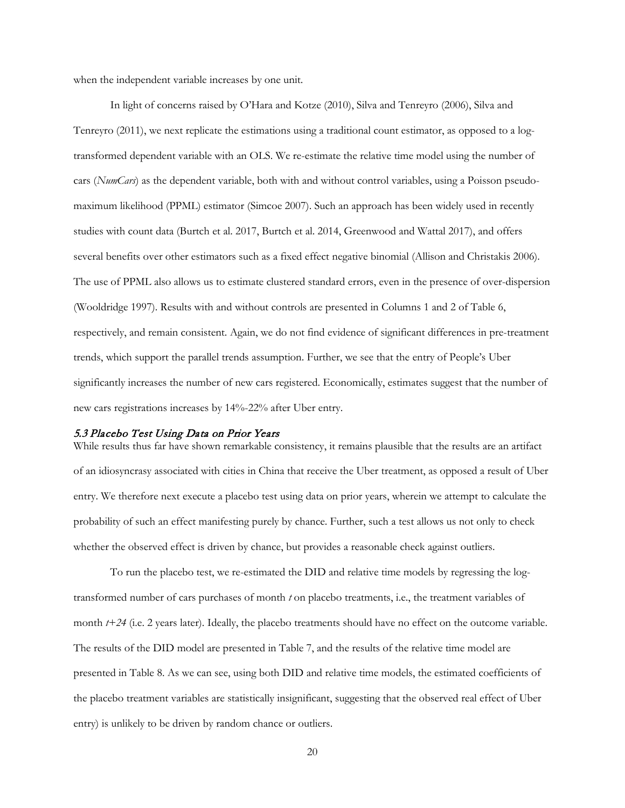when the independent variable increases by one unit.

In light of concerns raised by O'Hara and Kotze (2010), Silva and Tenreyro (2006), Silva and Tenreyro (2011), we next replicate the estimations using a traditional count estimator, as opposed to a logtransformed dependent variable with an OLS. We re-estimate the relative time model using the number of cars (*NumCars*) as the dependent variable, both with and without control variables, using a Poisson pseudomaximum likelihood (PPML) estimator (Simcoe 2007). Such an approach has been widely used in recently studies with count data (Burtch et al. 2017, Burtch et al. 2014, Greenwood and Wattal 2017), and offers several benefits over other estimators such as a fixed effect negative binomial (Allison and Christakis 2006). The use of PPML also allows us to estimate clustered standard errors, even in the presence of over-dispersion (Wooldridge 1997). Results with and without controls are presented in Columns 1 and 2 of Table 6, respectively, and remain consistent. Again, we do not find evidence of significant differences in pre-treatment trends, which support the parallel trends assumption. Further, we see that the entry of People's Uber significantly increases the number of new cars registered. Economically, estimates suggest that the number of new cars registrations increases by 14%-22% after Uber entry.

#### 5.3 Placebo Test Using Data on Prior Years

While results thus far have shown remarkable consistency, it remains plausible that the results are an artifact of an idiosyncrasy associated with cities in China that receive the Uber treatment, as opposed a result of Uber entry. We therefore next execute a placebo test using data on prior years, wherein we attempt to calculate the probability of such an effect manifesting purely by chance. Further, such a test allows us not only to check whether the observed effect is driven by chance, but provides a reasonable check against outliers.

To run the placebo test, we re-estimated the DID and relative time models by regressing the logtransformed number of cars purchases of month *t* on placebo treatments, i.e., the treatment variables of month *t+24* (i.e. 2 years later). Ideally, the placebo treatments should have no effect on the outcome variable. The results of the DID model are presented in Table 7, and the results of the relative time model are presented in Table 8. As we can see, using both DID and relative time models, the estimated coefficients of the placebo treatment variables are statistically insignificant, suggesting that the observed real effect of Uber entry) is unlikely to be driven by random chance or outliers.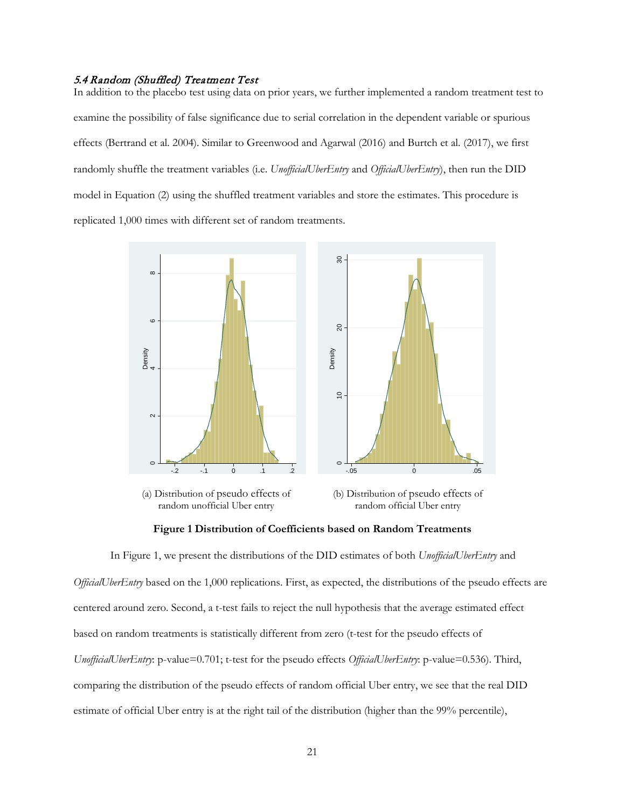### 5.4 Random (Shuffled) Treatment Test

In addition to the placebo test using data on prior years, we further implemented a random treatment test to examine the possibility of false significance due to serial correlation in the dependent variable or spurious effects (Bertrand et al. 2004). Similar to Greenwood and Agarwal (2016) and Burtch et al. (2017), we first randomly shuffle the treatment variables (i.e. *UnofficialUberEntry* and *OfficialUberEntry*), then run the DID model in Equation (2) using the shuffled treatment variables and store the estimates. This procedure is replicated 1,000 times with different set of random treatments.



random unofficial Uber entry

random official Uber entry



In Figure 1, we present the distributions of the DID estimates of both *UnofficialUberEntry* and *OfficialUberEntry* based on the 1,000 replications. First, as expected, the distributions of the pseudo effects are centered around zero. Second, a t-test fails to reject the null hypothesis that the average estimated effect based on random treatments is statistically different from zero (t-test for the pseudo effects of *UnofficialUberEntry*: p-value=0.701; t-test for the pseudo effects *OfficialUberEntry*: p-value=0.536). Third, comparing the distribution of the pseudo effects of random official Uber entry, we see that the real DID estimate of official Uber entry is at the right tail of the distribution (higher than the 99% percentile),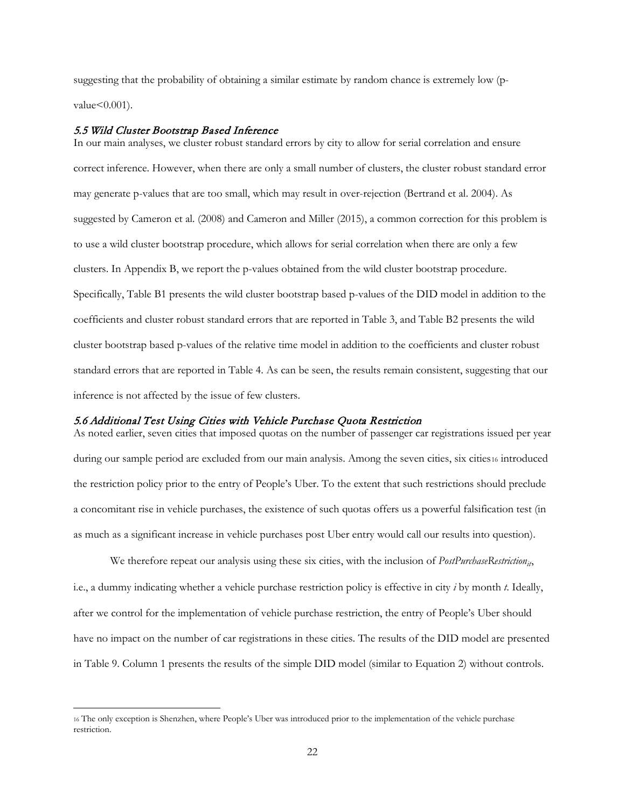suggesting that the probability of obtaining a similar estimate by random chance is extremely low (p $value < 0.001$ ).

## 5.5 Wild Cluster Bootstrap Based Inference

In our main analyses, we cluster robust standard errors by city to allow for serial correlation and ensure correct inference. However, when there are only a small number of clusters, the cluster robust standard error may generate p-values that are too small, which may result in over-rejection (Bertrand et al. 2004). As suggested by Cameron et al. (2008) and Cameron and Miller (2015), a common correction for this problem is to use a wild cluster bootstrap procedure, which allows for serial correlation when there are only a few clusters. In Appendix B, we report the p-values obtained from the wild cluster bootstrap procedure. Specifically, Table B1 presents the wild cluster bootstrap based p-values of the DID model in addition to the coefficients and cluster robust standard errors that are reported in Table 3, and Table B2 presents the wild cluster bootstrap based p-values of the relative time model in addition to the coefficients and cluster robust standard errors that are reported in Table 4. As can be seen, the results remain consistent, suggesting that our inference is not affected by the issue of few clusters.

# 5.6 Additional Test Using Cities with Vehicle Purchase Quota Restriction

As noted earlier, seven cities that imposed quotas on the number of passenger car registrations issued per year during our sample period are excluded from our main analysis. Among the seven cities, six cities[16](#page-22-0) introduced the restriction policy prior to the entry of People's Uber. To the extent that such restrictions should preclude a concomitant rise in vehicle purchases, the existence of such quotas offers us a powerful falsification test (in as much as a significant increase in vehicle purchases post Uber entry would call our results into question).

We therefore repeat our analysis using these six cities, with the inclusion of *PostPurchaseRestriction<sub>it</sub>*, i.e., a dummy indicating whether a vehicle purchase restriction policy is effective in city *i* by month *t*. Ideally, after we control for the implementation of vehicle purchase restriction, the entry of People's Uber should have no impact on the number of car registrations in these cities. The results of the DID model are presented in Table 9. Column 1 presents the results of the simple DID model (similar to Equation 2) without controls.

<span id="page-22-0"></span> <sup>16</sup> The only exception is Shenzhen, where People's Uber was introduced prior to the implementation of the vehicle purchase restriction.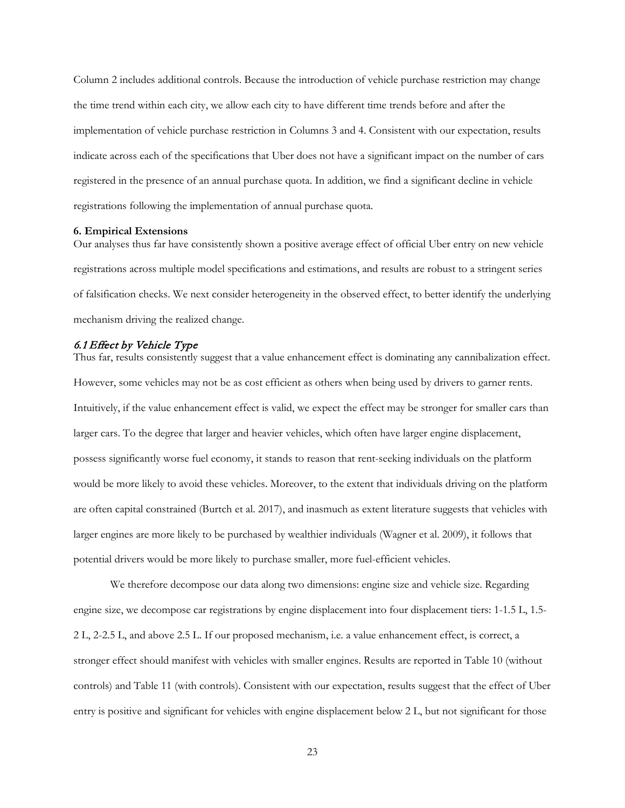Column 2 includes additional controls. Because the introduction of vehicle purchase restriction may change the time trend within each city, we allow each city to have different time trends before and after the implementation of vehicle purchase restriction in Columns 3 and 4. Consistent with our expectation, results indicate across each of the specifications that Uber does not have a significant impact on the number of cars registered in the presence of an annual purchase quota. In addition, we find a significant decline in vehicle registrations following the implementation of annual purchase quota.

#### **6. Empirical Extensions**

Our analyses thus far have consistently shown a positive average effect of official Uber entry on new vehicle registrations across multiple model specifications and estimations, and results are robust to a stringent series of falsification checks. We next consider heterogeneity in the observed effect, to better identify the underlying mechanism driving the realized change.

## 6.1 Effect by Vehicle Type

Thus far, results consistently suggest that a value enhancement effect is dominating any cannibalization effect. However, some vehicles may not be as cost efficient as others when being used by drivers to garner rents. Intuitively, if the value enhancement effect is valid, we expect the effect may be stronger for smaller cars than larger cars. To the degree that larger and heavier vehicles, which often have larger engine displacement, possess significantly worse fuel economy, it stands to reason that rent-seeking individuals on the platform would be more likely to avoid these vehicles. Moreover, to the extent that individuals driving on the platform are often capital constrained (Burtch et al. 2017), and inasmuch as extent literature suggests that vehicles with larger engines are more likely to be purchased by wealthier individuals (Wagner et al. 2009), it follows that potential drivers would be more likely to purchase smaller, more fuel-efficient vehicles.

We therefore decompose our data along two dimensions: engine size and vehicle size. Regarding engine size, we decompose car registrations by engine displacement into four displacement tiers: 1-1.5 L, 1.5- 2 L, 2-2.5 L, and above 2.5 L. If our proposed mechanism, i.e. a value enhancement effect, is correct, a stronger effect should manifest with vehicles with smaller engines. Results are reported in Table 10 (without controls) and Table 11 (with controls). Consistent with our expectation, results suggest that the effect of Uber entry is positive and significant for vehicles with engine displacement below 2 L, but not significant for those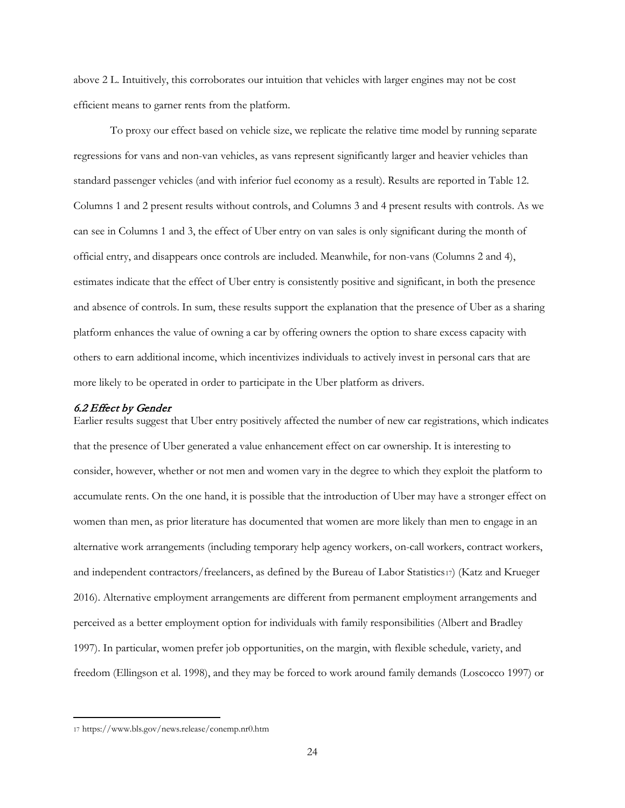above 2 L. Intuitively, this corroborates our intuition that vehicles with larger engines may not be cost efficient means to garner rents from the platform.

To proxy our effect based on vehicle size, we replicate the relative time model by running separate regressions for vans and non-van vehicles, as vans represent significantly larger and heavier vehicles than standard passenger vehicles (and with inferior fuel economy as a result). Results are reported in Table 12. Columns 1 and 2 present results without controls, and Columns 3 and 4 present results with controls. As we can see in Columns 1 and 3, the effect of Uber entry on van sales is only significant during the month of official entry, and disappears once controls are included. Meanwhile, for non-vans (Columns 2 and 4), estimates indicate that the effect of Uber entry is consistently positive and significant, in both the presence and absence of controls. In sum, these results support the explanation that the presence of Uber as a sharing platform enhances the value of owning a car by offering owners the option to share excess capacity with others to earn additional income, which incentivizes individuals to actively invest in personal cars that are more likely to be operated in order to participate in the Uber platform as drivers.

#### 6.2 Effect by Gender

Earlier results suggest that Uber entry positively affected the number of new car registrations, which indicates that the presence of Uber generated a value enhancement effect on car ownership. It is interesting to consider, however, whether or not men and women vary in the degree to which they exploit the platform to accumulate rents. On the one hand, it is possible that the introduction of Uber may have a stronger effect on women than men, as prior literature has documented that women are more likely than men to engage in an alternative work arrangements (including temporary help agency workers, on-call workers, contract workers, and independent contractors/freelancers, as defined by the Bureau of Labor Statistics[17](#page-24-0)) (Katz and Krueger 2016). Alternative employment arrangements are different from permanent employment arrangements and perceived as a better employment option for individuals with family responsibilities (Albert and Bradley 1997). In particular, women prefer job opportunities, on the margin, with flexible schedule, variety, and freedom (Ellingson et al. 1998), and they may be forced to work around family demands (Loscocco 1997) or

 $\ddot{\phantom{a}}$ 

<span id="page-24-0"></span><sup>17</sup> https://www.bls.gov/news.release/conemp.nr0.htm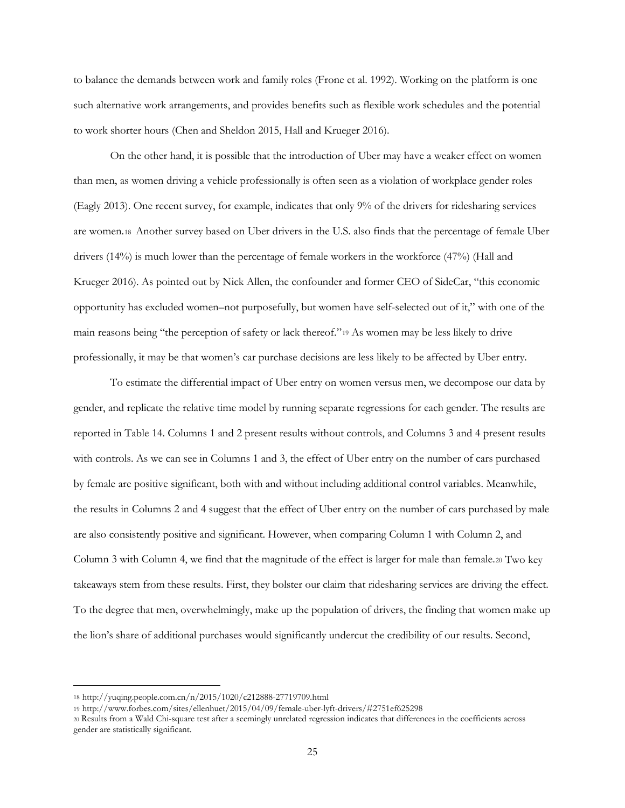to balance the demands between work and family roles (Frone et al. 1992). Working on the platform is one such alternative work arrangements, and provides benefits such as flexible work schedules and the potential to work shorter hours (Chen and Sheldon 2015, Hall and Krueger 2016).

On the other hand, it is possible that the introduction of Uber may have a weaker effect on women than men, as women driving a vehicle professionally is often seen as a violation of workplace gender roles (Eagly 2013). One recent survey, for example, indicates that only 9% of the drivers for ridesharing services are women.[18](#page-25-0) Another survey based on Uber drivers in the U.S. also finds that the percentage of female Uber drivers (14%) is much lower than the percentage of female workers in the workforce (47%) (Hall and Krueger 2016). As pointed out by Nick Allen, the confounder and former CEO of SideCar, "this economic opportunity has excluded women–not purposefully, but women have self-selected out of it," with one of the main reasons being "the perception of safety or lack thereof."[19](#page-25-1) As women may be less likely to drive professionally, it may be that women's car purchase decisions are less likely to be affected by Uber entry.

To estimate the differential impact of Uber entry on women versus men, we decompose our data by gender, and replicate the relative time model by running separate regressions for each gender. The results are reported in Table 14. Columns 1 and 2 present results without controls, and Columns 3 and 4 present results with controls. As we can see in Columns 1 and 3, the effect of Uber entry on the number of cars purchased by female are positive significant, both with and without including additional control variables. Meanwhile, the results in Columns 2 and 4 suggest that the effect of Uber entry on the number of cars purchased by male are also consistently positive and significant. However, when comparing Column 1 with Column 2, and Column 3 with Column 4, we find that the magnitude of the effect is larger for male than female.[20](#page-25-2) Two key takeaways stem from these results. First, they bolster our claim that ridesharing services are driving the effect. To the degree that men, overwhelmingly, make up the population of drivers, the finding that women make up the lion's share of additional purchases would significantly undercut the credibility of our results. Second,

 $\overline{a}$ 

<span id="page-25-0"></span><sup>18</sup> http://yuqing.people.com.cn/n/2015/1020/c212888-27719709.html

<span id="page-25-1"></span><sup>19</sup> http://www.forbes.com/sites/ellenhuet/2015/04/09/female-uber-lyft-drivers/#2751ef625298

<span id="page-25-2"></span><sup>20</sup> Results from a Wald Chi-square test after a seemingly unrelated regression indicates that differences in the coefficients across gender are statistically significant.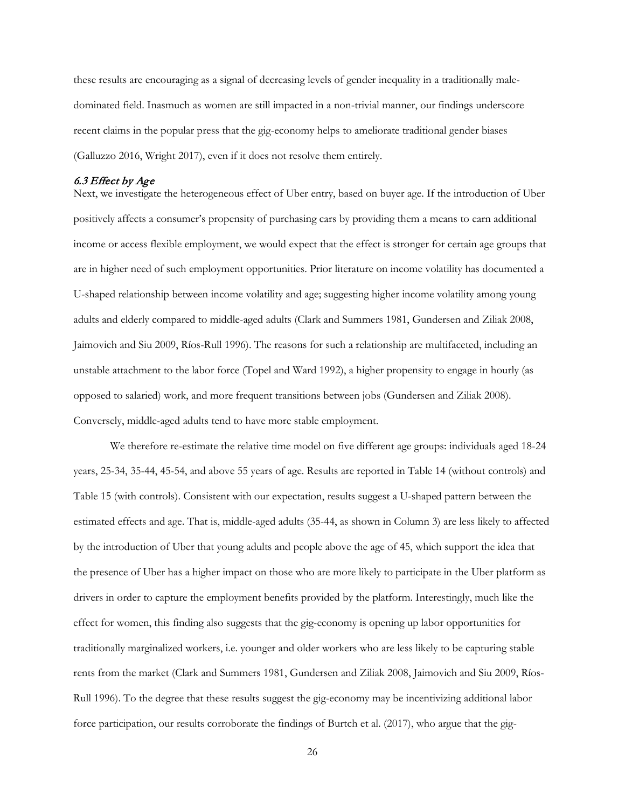these results are encouraging as a signal of decreasing levels of gender inequality in a traditionally maledominated field. Inasmuch as women are still impacted in a non-trivial manner, our findings underscore recent claims in the popular press that the gig-economy helps to ameliorate traditional gender biases (Galluzzo 2016, Wright 2017), even if it does not resolve them entirely.

## 6.3 Effect by Age

Next, we investigate the heterogeneous effect of Uber entry, based on buyer age. If the introduction of Uber positively affects a consumer's propensity of purchasing cars by providing them a means to earn additional income or access flexible employment, we would expect that the effect is stronger for certain age groups that are in higher need of such employment opportunities. Prior literature on income volatility has documented a U-shaped relationship between income volatility and age; suggesting higher income volatility among young adults and elderly compared to middle-aged adults (Clark and Summers 1981, Gundersen and Ziliak 2008, Jaimovich and Siu 2009, Ríos-Rull 1996). The reasons for such a relationship are multifaceted, including an unstable attachment to the labor force (Topel and Ward 1992), a higher propensity to engage in hourly (as opposed to salaried) work, and more frequent transitions between jobs (Gundersen and Ziliak 2008). Conversely, middle-aged adults tend to have more stable employment.

We therefore re-estimate the relative time model on five different age groups: individuals aged 18-24 years, 25-34, 35-44, 45-54, and above 55 years of age. Results are reported in Table 14 (without controls) and Table 15 (with controls). Consistent with our expectation, results suggest a U-shaped pattern between the estimated effects and age. That is, middle-aged adults (35-44, as shown in Column 3) are less likely to affected by the introduction of Uber that young adults and people above the age of 45, which support the idea that the presence of Uber has a higher impact on those who are more likely to participate in the Uber platform as drivers in order to capture the employment benefits provided by the platform. Interestingly, much like the effect for women, this finding also suggests that the gig-economy is opening up labor opportunities for traditionally marginalized workers, i.e. younger and older workers who are less likely to be capturing stable rents from the market (Clark and Summers 1981, Gundersen and Ziliak 2008, Jaimovich and Siu 2009, Ríos-Rull 1996). To the degree that these results suggest the gig-economy may be incentivizing additional labor force participation, our results corroborate the findings of Burtch et al. (2017), who argue that the gig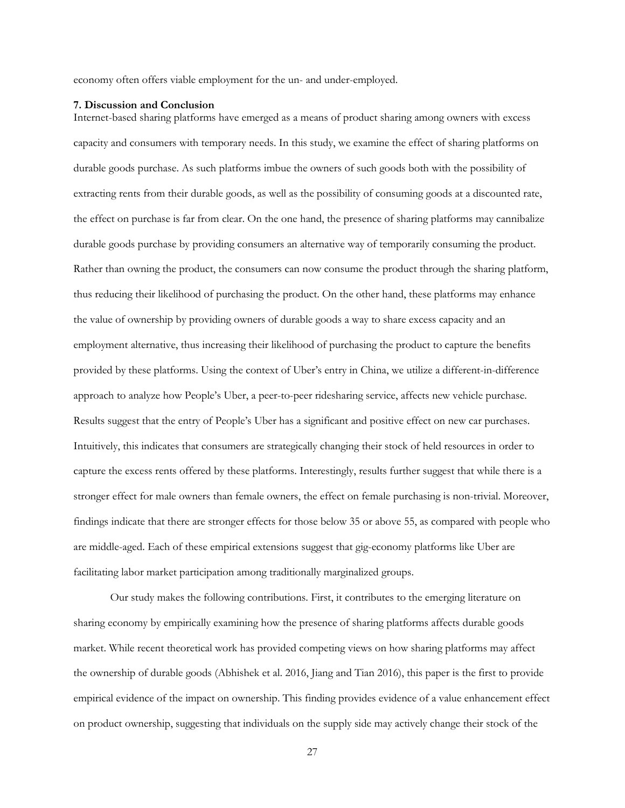economy often offers viable employment for the un- and under-employed.

#### **7. Discussion and Conclusion**

Internet-based sharing platforms have emerged as a means of product sharing among owners with excess capacity and consumers with temporary needs. In this study, we examine the effect of sharing platforms on durable goods purchase. As such platforms imbue the owners of such goods both with the possibility of extracting rents from their durable goods, as well as the possibility of consuming goods at a discounted rate, the effect on purchase is far from clear. On the one hand, the presence of sharing platforms may cannibalize durable goods purchase by providing consumers an alternative way of temporarily consuming the product. Rather than owning the product, the consumers can now consume the product through the sharing platform, thus reducing their likelihood of purchasing the product. On the other hand, these platforms may enhance the value of ownership by providing owners of durable goods a way to share excess capacity and an employment alternative, thus increasing their likelihood of purchasing the product to capture the benefits provided by these platforms. Using the context of Uber's entry in China, we utilize a different-in-difference approach to analyze how People's Uber, a peer-to-peer ridesharing service, affects new vehicle purchase. Results suggest that the entry of People's Uber has a significant and positive effect on new car purchases. Intuitively, this indicates that consumers are strategically changing their stock of held resources in order to capture the excess rents offered by these platforms. Interestingly, results further suggest that while there is a stronger effect for male owners than female owners, the effect on female purchasing is non-trivial. Moreover, findings indicate that there are stronger effects for those below 35 or above 55, as compared with people who are middle-aged. Each of these empirical extensions suggest that gig-economy platforms like Uber are facilitating labor market participation among traditionally marginalized groups.

Our study makes the following contributions. First, it contributes to the emerging literature on sharing economy by empirically examining how the presence of sharing platforms affects durable goods market. While recent theoretical work has provided competing views on how sharing platforms may affect the ownership of durable goods (Abhishek et al. 2016, Jiang and Tian 2016), this paper is the first to provide empirical evidence of the impact on ownership. This finding provides evidence of a value enhancement effect on product ownership, suggesting that individuals on the supply side may actively change their stock of the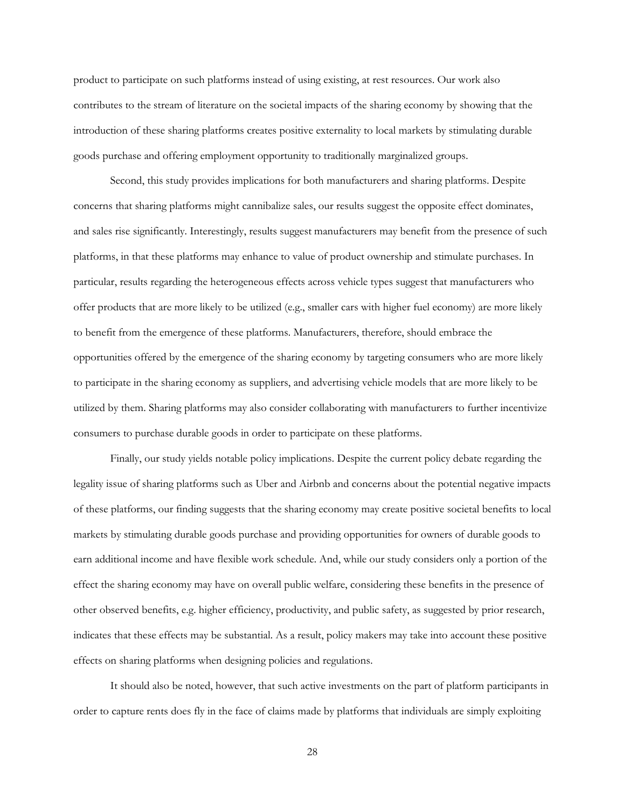product to participate on such platforms instead of using existing, at rest resources. Our work also contributes to the stream of literature on the societal impacts of the sharing economy by showing that the introduction of these sharing platforms creates positive externality to local markets by stimulating durable goods purchase and offering employment opportunity to traditionally marginalized groups.

Second, this study provides implications for both manufacturers and sharing platforms. Despite concerns that sharing platforms might cannibalize sales, our results suggest the opposite effect dominates, and sales rise significantly. Interestingly, results suggest manufacturers may benefit from the presence of such platforms, in that these platforms may enhance to value of product ownership and stimulate purchases. In particular, results regarding the heterogeneous effects across vehicle types suggest that manufacturers who offer products that are more likely to be utilized (e.g., smaller cars with higher fuel economy) are more likely to benefit from the emergence of these platforms. Manufacturers, therefore, should embrace the opportunities offered by the emergence of the sharing economy by targeting consumers who are more likely to participate in the sharing economy as suppliers, and advertising vehicle models that are more likely to be utilized by them. Sharing platforms may also consider collaborating with manufacturers to further incentivize consumers to purchase durable goods in order to participate on these platforms.

Finally, our study yields notable policy implications. Despite the current policy debate regarding the legality issue of sharing platforms such as Uber and Airbnb and concerns about the potential negative impacts of these platforms, our finding suggests that the sharing economy may create positive societal benefits to local markets by stimulating durable goods purchase and providing opportunities for owners of durable goods to earn additional income and have flexible work schedule. And, while our study considers only a portion of the effect the sharing economy may have on overall public welfare, considering these benefits in the presence of other observed benefits, e.g. higher efficiency, productivity, and public safety, as suggested by prior research, indicates that these effects may be substantial. As a result, policy makers may take into account these positive effects on sharing platforms when designing policies and regulations.

It should also be noted, however, that such active investments on the part of platform participants in order to capture rents does fly in the face of claims made by platforms that individuals are simply exploiting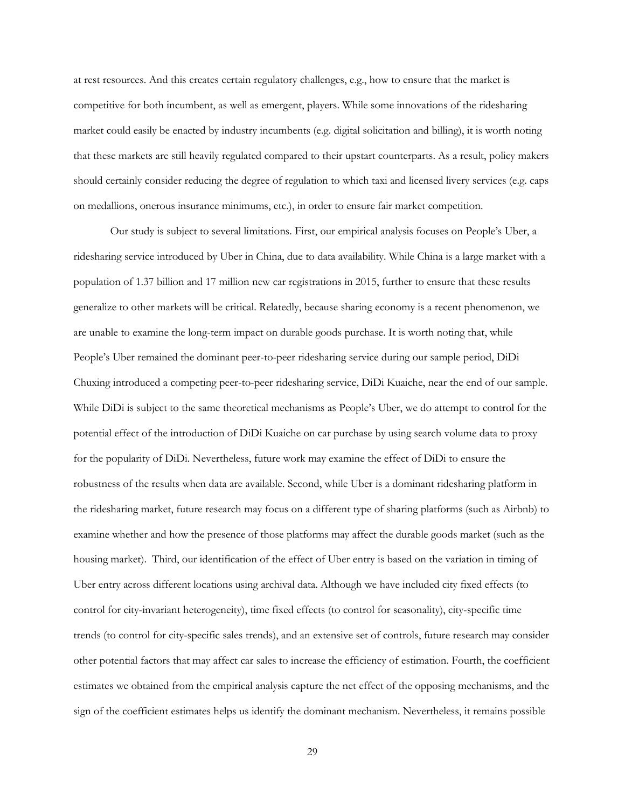at rest resources. And this creates certain regulatory challenges, e.g., how to ensure that the market is competitive for both incumbent, as well as emergent, players. While some innovations of the ridesharing market could easily be enacted by industry incumbents (e.g. digital solicitation and billing), it is worth noting that these markets are still heavily regulated compared to their upstart counterparts. As a result, policy makers should certainly consider reducing the degree of regulation to which taxi and licensed livery services (e.g. caps on medallions, onerous insurance minimums, etc.), in order to ensure fair market competition.

Our study is subject to several limitations. First, our empirical analysis focuses on People's Uber, a ridesharing service introduced by Uber in China, due to data availability. While China is a large market with a population of 1.37 billion and 17 million new car registrations in 2015, further to ensure that these results generalize to other markets will be critical. Relatedly, because sharing economy is a recent phenomenon, we are unable to examine the long-term impact on durable goods purchase. It is worth noting that, while People's Uber remained the dominant peer-to-peer ridesharing service during our sample period, DiDi Chuxing introduced a competing peer-to-peer ridesharing service, DiDi Kuaiche, near the end of our sample. While DiDi is subject to the same theoretical mechanisms as People's Uber, we do attempt to control for the potential effect of the introduction of DiDi Kuaiche on car purchase by using search volume data to proxy for the popularity of DiDi. Nevertheless, future work may examine the effect of DiDi to ensure the robustness of the results when data are available. Second, while Uber is a dominant ridesharing platform in the ridesharing market, future research may focus on a different type of sharing platforms (such as Airbnb) to examine whether and how the presence of those platforms may affect the durable goods market (such as the housing market). Third, our identification of the effect of Uber entry is based on the variation in timing of Uber entry across different locations using archival data. Although we have included city fixed effects (to control for city-invariant heterogeneity), time fixed effects (to control for seasonality), city-specific time trends (to control for city-specific sales trends), and an extensive set of controls, future research may consider other potential factors that may affect car sales to increase the efficiency of estimation. Fourth, the coefficient estimates we obtained from the empirical analysis capture the net effect of the opposing mechanisms, and the sign of the coefficient estimates helps us identify the dominant mechanism. Nevertheless, it remains possible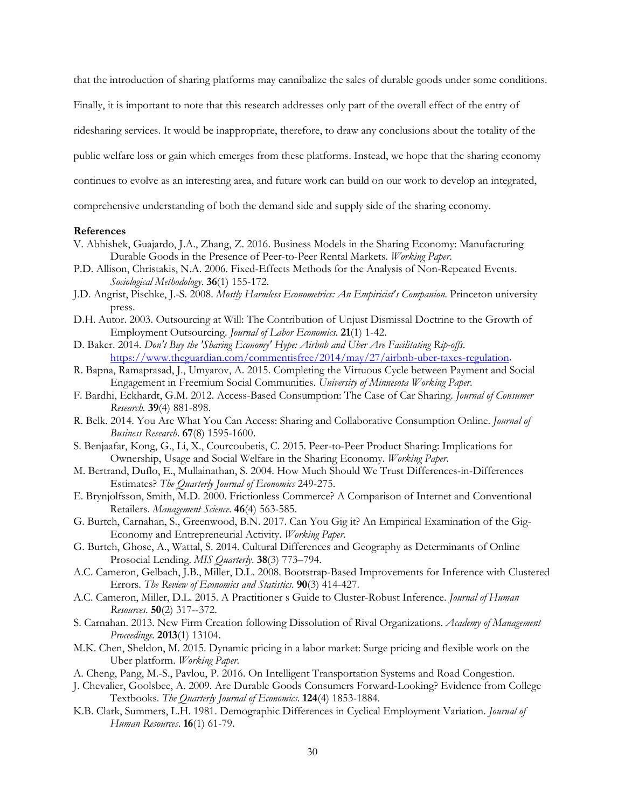that the introduction of sharing platforms may cannibalize the sales of durable goods under some conditions.

Finally, it is important to note that this research addresses only part of the overall effect of the entry of

ridesharing services. It would be inappropriate, therefore, to draw any conclusions about the totality of the

public welfare loss or gain which emerges from these platforms. Instead, we hope that the sharing economy

continues to evolve as an interesting area, and future work can build on our work to develop an integrated,

comprehensive understanding of both the demand side and supply side of the sharing economy.

### **References**

- V. Abhishek, Guajardo, J.A., Zhang, Z. 2016. Business Models in the Sharing Economy: Manufacturing Durable Goods in the Presence of Peer-to-Peer Rental Markets. *Working Paper*.
- P.D. Allison, Christakis, N.A. 2006. Fixed-Effects Methods for the Analysis of Non-Repeated Events. *Sociological Methodology*. **36**(1) 155-172.
- J.D. Angrist, Pischke, J.-S. 2008. *Mostly Harmless Econometrics: An Empiricist's Companion*. Princeton university press.
- D.H. Autor. 2003. Outsourcing at Will: The Contribution of Unjust Dismissal Doctrine to the Growth of Employment Outsourcing. *Journal of Labor Economics*. **21**(1) 1-42.
- D. Baker. 2014. *Don't Buy the 'Sharing Economy' Hype: Airbnb and Uber Are Facilitating Rip-offs*. [https://www.theguardian.com/commentisfree/2014/may/27/airbnb-uber-taxes-regulation.](https://www.theguardian.com/commentisfree/2014/may/27/airbnb-uber-taxes-regulation)
- R. Bapna, Ramaprasad, J., Umyarov, A. 2015. Completing the Virtuous Cycle between Payment and Social Engagement in Freemium Social Communities. *University of Minnesota Working Paper*.
- F. Bardhi, Eckhardt, G.M. 2012. Access-Based Consumption: The Case of Car Sharing. *Journal of Consumer Research*. **39**(4) 881-898.
- R. Belk. 2014. You Are What You Can Access: Sharing and Collaborative Consumption Online. *Journal of Business Research*. **67**(8) 1595-1600.
- S. Benjaafar, Kong, G., Li, X., Courcoubetis, C. 2015. Peer-to-Peer Product Sharing: Implications for Ownership, Usage and Social Welfare in the Sharing Economy. *Working Paper*.
- M. Bertrand, Duflo, E., Mullainathan, S. 2004. How Much Should We Trust Differences-in-Differences Estimates? *The Quarterly Journal of Economics* 249-275.
- E. Brynjolfsson, Smith, M.D. 2000. Frictionless Commerce? A Comparison of Internet and Conventional Retailers. *Management Science*. **46**(4) 563-585.
- G. Burtch, Carnahan, S., Greenwood, B.N. 2017. Can You Gig it? An Empirical Examination of the Gig-Economy and Entrepreneurial Activity. *Working Paper*.
- G. Burtch, Ghose, A., Wattal, S. 2014. Cultural Differences and Geography as Determinants of Online Prosocial Lending. *MIS Quarterly*. **38**(3) 773–794.
- A.C. Cameron, Gelbach, J.B., Miller, D.L. 2008. Bootstrap-Based Improvements for Inference with Clustered Errors. *The Review of Economics and Statistics*. **90**(3) 414-427.
- A.C. Cameron, Miller, D.L. 2015. A Practitioner s Guide to Cluster-Robust Inference. *Journal of Human Resources*. **50**(2) 317--372.
- S. Carnahan. 2013. New Firm Creation following Dissolution of Rival Organizations. *Academy of Management Proceedings*. **2013**(1) 13104.
- M.K. Chen, Sheldon, M. 2015. Dynamic pricing in a labor market: Surge pricing and flexible work on the Uber platform. *Working Paper*.
- A. Cheng, Pang, M.-S., Pavlou, P. 2016. On Intelligent Transportation Systems and Road Congestion.
- J. Chevalier, Goolsbee, A. 2009. Are Durable Goods Consumers Forward-Looking? Evidence from College Textbooks. *The Quarterly Journal of Economics*. **124**(4) 1853-1884.
- K.B. Clark, Summers, L.H. 1981. Demographic Differences in Cyclical Employment Variation. *Journal of Human Resources*. **16**(1) 61-79.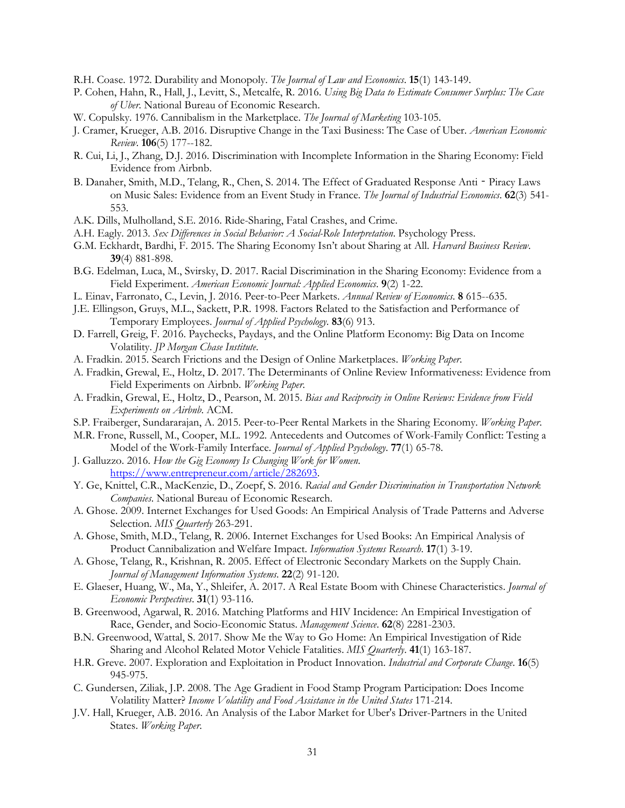R.H. Coase. 1972. Durability and Monopoly. *The Journal of Law and Economics*. **15**(1) 143-149.

- P. Cohen, Hahn, R., Hall, J., Levitt, S., Metcalfe, R. 2016. *Using Big Data to Estimate Consumer Surplus: The Case of Uber*. National Bureau of Economic Research.
- W. Copulsky. 1976. Cannibalism in the Marketplace. *The Journal of Marketing* 103-105.
- J. Cramer, Krueger, A.B. 2016. Disruptive Change in the Taxi Business: The Case of Uber. *American Economic Review*. **106**(5) 177--182.
- R. Cui, Li, J., Zhang, D.J. 2016. Discrimination with Incomplete Information in the Sharing Economy: Field Evidence from Airbnb.
- B. Danaher, Smith, M.D., Telang, R., Chen, S. 2014. The Effect of Graduated Response Anti Piracy Laws on Music Sales: Evidence from an Event Study in France. *The Journal of Industrial Economics*. **62**(3) 541- 553.
- A.K. Dills, Mulholland, S.E. 2016. Ride-Sharing, Fatal Crashes, and Crime.
- A.H. Eagly. 2013. *Sex Differences in Social Behavior: A Social-Role Interpretation*. Psychology Press.
- G.M. Eckhardt, Bardhi, F. 2015. The Sharing Economy Isn't about Sharing at All. *Harvard Business Review*. **39**(4) 881-898.
- B.G. Edelman, Luca, M., Svirsky, D. 2017. Racial Discrimination in the Sharing Economy: Evidence from a Field Experiment. *American Economic Journal: Applied Economics*. **9**(2) 1-22.
- L. Einav, Farronato, C., Levin, J. 2016. Peer-to-Peer Markets. *Annual Review of Economics*. **8** 615--635.
- J.E. Ellingson, Gruys, M.L., Sackett, P.R. 1998. Factors Related to the Satisfaction and Performance of Temporary Employees. *Journal of Applied Psychology*. **83**(6) 913.
- D. Farrell, Greig, F. 2016. Paychecks, Paydays, and the Online Platform Economy: Big Data on Income Volatility. *JP Morgan Chase Institute*.
- A. Fradkin. 2015. Search Frictions and the Design of Online Marketplaces. *Working Paper*.
- A. Fradkin, Grewal, E., Holtz, D. 2017. The Determinants of Online Review Informativeness: Evidence from Field Experiments on Airbnb. *Working Paper*.
- A. Fradkin, Grewal, E., Holtz, D., Pearson, M. 2015. *Bias and Reciprocity in Online Reviews: Evidence from Field Experiments on Airbnb*. ACM.
- S.P. Fraiberger, Sundararajan, A. 2015. Peer-to-Peer Rental Markets in the Sharing Economy. *Working Paper*.
- M.R. Frone, Russell, M., Cooper, M.L. 1992. Antecedents and Outcomes of Work-Family Conflict: Testing a Model of the Work-Family Interface. *Journal of Applied Psychology*. **77**(1) 65-78.
- J. Galluzzo. 2016. *How the Gig Economy Is Changing Work for Women*. [https://www.entrepreneur.com/article/282693.](https://www.entrepreneur.com/article/282693)
- Y. Ge, Knittel, C.R., MacKenzie, D., Zoepf, S. 2016. *Racial and Gender Discrimination in Transportation Network Companies*. National Bureau of Economic Research.
- A. Ghose. 2009. Internet Exchanges for Used Goods: An Empirical Analysis of Trade Patterns and Adverse Selection. *MIS Quarterly* 263-291.
- A. Ghose, Smith, M.D., Telang, R. 2006. Internet Exchanges for Used Books: An Empirical Analysis of Product Cannibalization and Welfare Impact. *Information Systems Research*. **17**(1) 3-19.
- A. Ghose, Telang, R., Krishnan, R. 2005. Effect of Electronic Secondary Markets on the Supply Chain. *Journal of Management Information Systems*. **22**(2) 91-120.
- E. Glaeser, Huang, W., Ma, Y., Shleifer, A. 2017. A Real Estate Boom with Chinese Characteristics. *Journal of Economic Perspectives*. **31**(1) 93-116.
- B. Greenwood, Agarwal, R. 2016. Matching Platforms and HIV Incidence: An Empirical Investigation of Race, Gender, and Socio-Economic Status. *Management Science*. **62**(8) 2281-2303.
- B.N. Greenwood, Wattal, S. 2017. Show Me the Way to Go Home: An Empirical Investigation of Ride Sharing and Alcohol Related Motor Vehicle Fatalities. *MIS Quarterly*. **41**(1) 163-187.
- H.R. Greve. 2007. Exploration and Exploitation in Product Innovation. *Industrial and Corporate Change*. **16**(5) 945-975.
- C. Gundersen, Ziliak, J.P. 2008. The Age Gradient in Food Stamp Program Participation: Does Income Volatility Matter? *Income Volatility and Food Assistance in the United States* 171-214.
- J.V. Hall, Krueger, A.B. 2016. An Analysis of the Labor Market for Uber's Driver-Partners in the United States. *Working Paper*.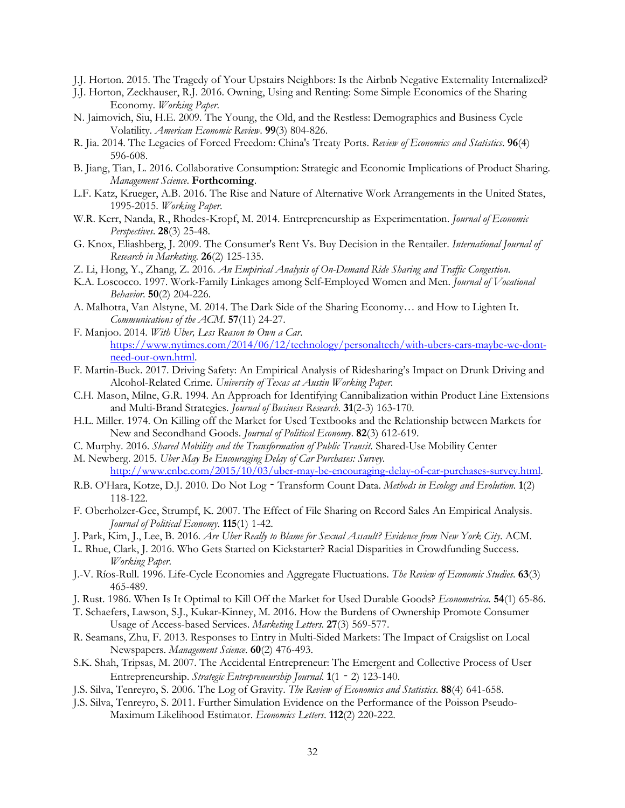- J.J. Horton. 2015. The Tragedy of Your Upstairs Neighbors: Is the Airbnb Negative Externality Internalized?
- J.J. Horton, Zeckhauser, R.J. 2016. Owning, Using and Renting: Some Simple Economics of the Sharing Economy. *Working Paper*.
- N. Jaimovich, Siu, H.E. 2009. The Young, the Old, and the Restless: Demographics and Business Cycle Volatility. *American Economic Review*. **99**(3) 804-826.
- R. Jia. 2014. The Legacies of Forced Freedom: China's Treaty Ports. *Review of Economics and Statistics*. **96**(4) 596-608.
- B. Jiang, Tian, L. 2016. Collaborative Consumption: Strategic and Economic Implications of Product Sharing. *Management Science*. **Forthcoming**.
- L.F. Katz, Krueger, A.B. 2016. The Rise and Nature of Alternative Work Arrangements in the United States, 1995-2015. *Working Paper*.
- W.R. Kerr, Nanda, R., Rhodes-Kropf, M. 2014. Entrepreneurship as Experimentation. *Journal of Economic Perspectives*. **28**(3) 25-48.
- G. Knox, Eliashberg, J. 2009. The Consumer's Rent Vs. Buy Decision in the Rentailer. *International Journal of Research in Marketing*. **26**(2) 125-135.
- Z. Li, Hong, Y., Zhang, Z. 2016. *An Empirical Analysis of On-Demand Ride Sharing and Traffic Congestion*.
- K.A. Loscocco. 1997. Work-Family Linkages among Self-Employed Women and Men. *Journal of Vocational Behavior*. **50**(2) 204-226.
- A. Malhotra, Van Alstyne, M. 2014. The Dark Side of the Sharing Economy… and How to Lighten It. *Communications of the ACM*. **57**(11) 24-27.
- F. Manjoo. 2014. *With Uber, Less Reason to Own a Car*. [https://www.nytimes.com/2014/06/12/technology/personaltech/with-ubers-cars-maybe-we-dont](https://www.nytimes.com/2014/06/12/technology/personaltech/with-ubers-cars-maybe-we-dont-need-our-own.html)[need-our-own.html.](https://www.nytimes.com/2014/06/12/technology/personaltech/with-ubers-cars-maybe-we-dont-need-our-own.html)
- F. Martin-Buck. 2017. Driving Safety: An Empirical Analysis of Ridesharing's Impact on Drunk Driving and Alcohol-Related Crime. *University of Texas at Austin Working Paper*.
- C.H. Mason, Milne, G.R. 1994. An Approach for Identifying Cannibalization within Product Line Extensions and Multi-Brand Strategies. *Journal of Business Research*. **31**(2-3) 163-170.
- H.L. Miller. 1974. On Killing off the Market for Used Textbooks and the Relationship between Markets for New and Secondhand Goods. *Journal of Political Economy*. **82**(3) 612-619.
- C. Murphy. 2016. *Shared Mobility and the Transformation of Public Transit*. Shared-Use Mobility Center
- M. Newberg. 2015. *Uber May Be Encouraging Delay of Car Purchases: Survey*. [http://www.cnbc.com/2015/10/03/uber-may-be-encouraging-delay-of-car-purchases-survey.html.](http://www.cnbc.com/2015/10/03/uber-may-be-encouraging-delay-of-car-purchases-survey.html)
- R.B. O'Hara, Kotze, D.J. 2010. Do Not Log‐Transform Count Data. *Methods in Ecology and Evolution*. **1**(2) 118-122.
- F. Oberholzer-Gee, Strumpf, K. 2007. The Effect of File Sharing on Record Sales An Empirical Analysis. *Journal of Political Economy*. **115**(1) 1-42.
- J. Park, Kim, J., Lee, B. 2016. *Are Uber Really to Blame for Sexual Assault? Evidence from New York City*. ACM.
- L. Rhue, Clark, J. 2016. Who Gets Started on Kickstarter? Racial Disparities in Crowdfunding Success. *Working Paper*.
- J.-V. Ríos-Rull. 1996. Life-Cycle Economies and Aggregate Fluctuations. *The Review of Economic Studies*. **63**(3) 465-489.
- J. Rust. 1986. When Is It Optimal to Kill Off the Market for Used Durable Goods? *Econometrica*. **54**(1) 65-86.
- T. Schaefers, Lawson, S.J., Kukar-Kinney, M. 2016. How the Burdens of Ownership Promote Consumer Usage of Access-based Services. *Marketing Letters*. **27**(3) 569-577.
- R. Seamans, Zhu, F. 2013. Responses to Entry in Multi-Sided Markets: The Impact of Craigslist on Local Newspapers. *Management Science*. **60**(2) 476-493.
- S.K. Shah, Tripsas, M. 2007. The Accidental Entrepreneur: The Emergent and Collective Process of User Entrepreneurship. *Strategic Entrepreneurship Journal*. **1**(1‐2) 123-140.
- J.S. Silva, Tenreyro, S. 2006. The Log of Gravity. *The Review of Economics and Statistics*. **88**(4) 641-658.
- J.S. Silva, Tenreyro, S. 2011. Further Simulation Evidence on the Performance of the Poisson Pseudo-Maximum Likelihood Estimator. *Economics Letters*. **112**(2) 220-222.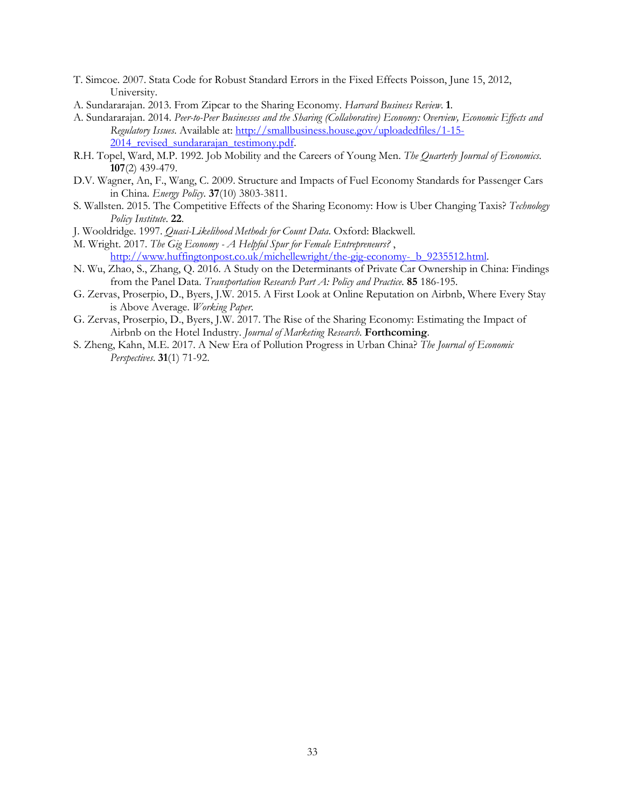- T. Simcoe. 2007. Stata Code for Robust Standard Errors in the Fixed Effects Poisson, June 15, 2012, University.
- A. Sundararajan. 2013. From Zipcar to the Sharing Economy. *Harvard Business Review*. **1**.
- A. Sundararajan. 2014. *Peer-to-Peer Businesses and the Sharing (Collaborative) Economy: Overview, Economic Effects and Regulatory Issues*. Available at[: http://smallbusiness.house.gov/uploadedfiles/1-15-](http://smallbusiness.house.gov/uploadedfiles/1-15-2014_revised_sundararajan_testimony.pdf) 2014 revised sundararajan testimony.pdf.
- R.H. Topel, Ward, M.P. 1992. Job Mobility and the Careers of Young Men. *The Quarterly Journal of Economics*. **107**(2) 439-479.
- D.V. Wagner, An, F., Wang, C. 2009. Structure and Impacts of Fuel Economy Standards for Passenger Cars in China. *Energy Policy*. **37**(10) 3803-3811.
- S. Wallsten. 2015. The Competitive Effects of the Sharing Economy: How is Uber Changing Taxis? *Technology Policy Institute*. **22**.
- J. Wooldridge. 1997. *Quasi-Likelihood Methods for Count Data*. Oxford: Blackwell.
- M. Wright. 2017. *The Gig Economy - A Helpful Spur for Female Entrepreneurs?* , [http://www.huffingtonpost.co.uk/michellewright/the-gig-economy-\\_b\\_9235512.html.](http://www.huffingtonpost.co.uk/michellewright/the-gig-economy-_b_9235512.html)
- N. Wu, Zhao, S., Zhang, Q. 2016. A Study on the Determinants of Private Car Ownership in China: Findings from the Panel Data. *Transportation Research Part A: Policy and Practice*. **85** 186-195.
- G. Zervas, Proserpio, D., Byers, J.W. 2015. A First Look at Online Reputation on Airbnb, Where Every Stay is Above Average. *Working Paper*.
- G. Zervas, Proserpio, D., Byers, J.W. 2017. The Rise of the Sharing Economy: Estimating the Impact of Airbnb on the Hotel Industry. *Journal of Marketing Research*. **Forthcoming**.
- S. Zheng, Kahn, M.E. 2017. A New Era of Pollution Progress in Urban China? *The Journal of Economic Perspectives*. **31**(1) 71-92.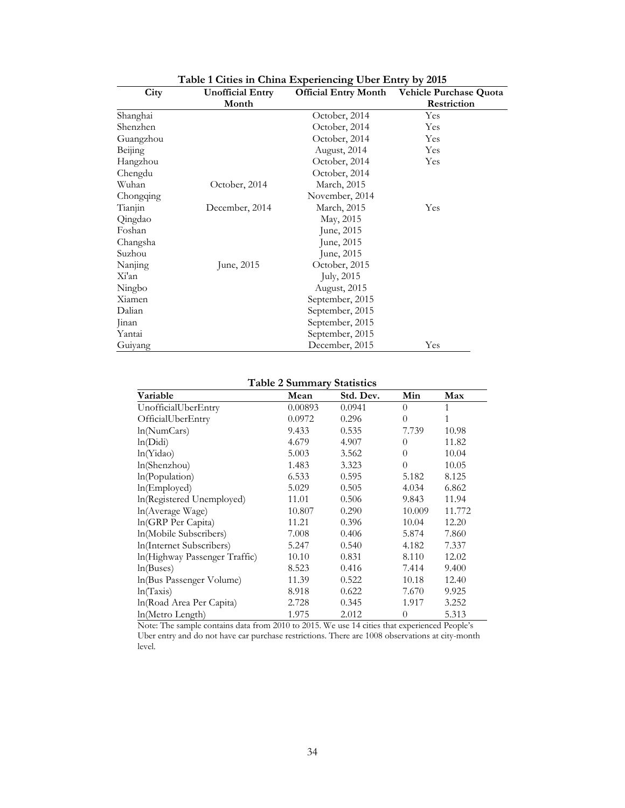| City      | <b>Unofficial Entry</b> | <b>Official Entry Month</b> | <b>Vehicle Purchase Quota</b> |
|-----------|-------------------------|-----------------------------|-------------------------------|
|           | Month                   |                             | Restriction                   |
| Shanghai  |                         | October, 2014               | Yes                           |
| Shenzhen  |                         | October, 2014               | Yes                           |
| Guangzhou |                         | October, 2014               | Yes                           |
| Beijing   |                         | August, 2014                | Yes                           |
| Hangzhou  |                         | October, 2014               | Yes                           |
| Chengdu   |                         | October, 2014               |                               |
| Wuhan     | October, 2014           | March, 2015                 |                               |
| Chongqing |                         | November, 2014              |                               |
| Tianjin   | December, 2014          | March, 2015                 | Yes                           |
| Qingdao   |                         | May, 2015                   |                               |
| Foshan    |                         | June, 2015                  |                               |
| Changsha  |                         | June, 2015                  |                               |
| Suzhou    |                         | June, 2015                  |                               |
| Nanjing   | June, 2015              | October, 2015               |                               |
| Xi'an     |                         | July, 2015                  |                               |
| Ningbo    |                         | August, 2015                |                               |
| Xiamen    |                         | September, 2015             |                               |
| Dalian    |                         | September, 2015             |                               |
| Jinan     |                         | September, 2015             |                               |
| Yantai    |                         | September, 2015             |                               |
| Guiyang   |                         | December, 2015              | Yes                           |

**Table 1 Cities in China Experiencing Uber Entry by 2015**

# **Table 2 Summary Statistics**

| Variable                       | Mean    | Std. Dev. | Min      | Max    |
|--------------------------------|---------|-----------|----------|--------|
| UnofficialUberEntry            | 0.00893 | 0.0941    | $\theta$ | 1      |
| OfficialUberEntry              | 0.0972  | 0.296     | $\theta$ | 1      |
| ln(NumCars)                    | 9.433   | 0.535     | 7.739    | 10.98  |
| ln(Didi)                       | 4.679   | 4.907     | $\theta$ | 11.82  |
| ln(Yidao)                      | 5.003   | 3.562     | $\Omega$ | 10.04  |
| ln(Shenzhou)                   | 1.483   | 3.323     | $\theta$ | 10.05  |
| In(Population)                 | 6.533   | 0.595     | 5.182    | 8.125  |
| ln(Emploved)                   | 5.029   | 0.505     | 4.034    | 6.862  |
| ln(Registered Unemployed)      | 11.01   | 0.506     | 9.843    | 11.94  |
| ln(Average Wage)               | 10.807  | 0.290     | 10.009   | 11.772 |
| ln(GRP Per Capita)             | 11.21   | 0.396     | 10.04    | 12.20  |
| ln(Mobile Subscribers)         | 7.008   | 0.406     | 5.874    | 7.860  |
| In(Internet Subscribers)       | 5.247   | 0.540     | 4.182    | 7.337  |
| In (Highway Passenger Traffic) | 10.10   | 0.831     | 8.110    | 12.02  |
| ln(Buses)                      | 8.523   | 0.416     | 7.414    | 9.400  |
| In(Bus Passenger Volume)       | 11.39   | 0.522     | 10.18    | 12.40  |
| ln(Taxis)                      | 8.918   | 0.622     | 7.670    | 9.925  |
| In(Road Area Per Capita)       | 2.728   | 0.345     | 1.917    | 3.252  |
| ln(Metro Length)               | 1.975   | 2.012     | $\Omega$ | 5.313  |

Note: The sample contains data from 2010 to 2015. We use 14 cities that experienced People's Uber entry and do not have car purchase restrictions. There are 1008 observations at city-month level.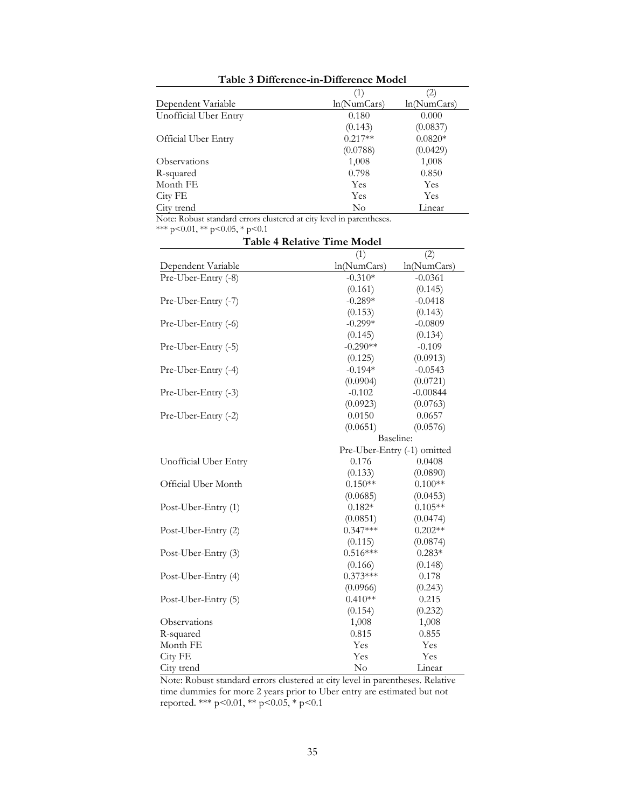|                            | (1)         | $\left( 2\right)$ |
|----------------------------|-------------|-------------------|
| Dependent Variable         | ln(NumCars) | ln(NumCars)       |
| Unofficial Uber Entry      | 0.180       | 0.000             |
|                            | (0.143)     | (0.0837)          |
| <b>Official Uber Entry</b> | $0.217**$   | $0.0820*$         |
|                            | (0.0788)    | (0.0429)          |
| <b>Observations</b>        | 1,008       | 1,008             |
| R-squared                  | 0.798       | 0.850             |
| Month FE                   | Yes         | Yes               |
| City FE                    | Yes         | <b>Yes</b>        |
| City trend                 | No          | Linear            |

**Table 3 Difference-in-Difference Model**

Note: Robust standard errors clustered at city level in parentheses.

\*\*\* p<0.01, \*\* p<0.05, \* p<0.1

| <b>Table 4 Relative Time Model</b> |             |                             |  |  |
|------------------------------------|-------------|-----------------------------|--|--|
|                                    | (1)         | (2)                         |  |  |
| Dependent Variable                 | ln(NumCars) | ln(NumCars)                 |  |  |
| Pre-Uber-Entry (-8)                | $-0.310*$   | $-0.0361$                   |  |  |
|                                    | (0.161)     | (0.145)                     |  |  |
| Pre-Uber-Entry (-7)                | $-0.289*$   | $-0.0418$                   |  |  |
|                                    | (0.153)     | (0.143)                     |  |  |
| Pre-Uber-Entry (-6)                | $-0.299*$   | $-0.0809$                   |  |  |
|                                    | (0.145)     | (0.134)                     |  |  |
| Pre-Uber-Entry (-5)                | $-0.290**$  | $-0.109$                    |  |  |
|                                    | (0.125)     | (0.0913)                    |  |  |
| Pre-Uber-Entry (-4)                | $-0.194*$   | $-0.0543$                   |  |  |
|                                    | (0.0904)    | (0.0721)                    |  |  |
| Pre-Uber-Entry (-3)                | $-0.102$    | $-0.00844$                  |  |  |
|                                    | (0.0923)    | (0.0763)                    |  |  |
| Pre-Uber-Entry (-2)                | 0.0150      | 0.0657                      |  |  |
|                                    | (0.0651)    | (0.0576)                    |  |  |
|                                    | Baseline:   |                             |  |  |
|                                    |             | Pre-Uber-Entry (-1) omitted |  |  |
| Unofficial Uber Entry              | 0.176       | 0.0408                      |  |  |
|                                    | (0.133)     | (0.0890)                    |  |  |
| Official Uber Month                | $0.150**$   | $0.100**$                   |  |  |
|                                    | (0.0685)    | (0.0453)                    |  |  |
| Post-Uber-Entry (1)                | $0.182*$    | $0.105**$                   |  |  |
|                                    | (0.0851)    | (0.0474)                    |  |  |
| Post-Uber-Entry (2)                | $0.347***$  | $0.202**$                   |  |  |
|                                    | (0.115)     | (0.0874)                    |  |  |
| Post-Uber-Entry (3)                | $0.516***$  | $0.283*$                    |  |  |
|                                    | (0.166)     | (0.148)                     |  |  |
| Post-Uber-Entry (4)                | $0.373***$  | 0.178                       |  |  |
|                                    | (0.0966)    | (0.243)                     |  |  |
| Post-Uber-Entry (5)                | $0.410**$   | 0.215                       |  |  |
|                                    | (0.154)     | (0.232)                     |  |  |
| Observations                       | 1,008       | 1,008                       |  |  |
| R-squared                          | 0.815       | 0.855                       |  |  |
| Month FE                           | Yes         | Yes                         |  |  |
| City FE                            | Yes         | Yes                         |  |  |
| City trend                         | $\rm No$    | Linear                      |  |  |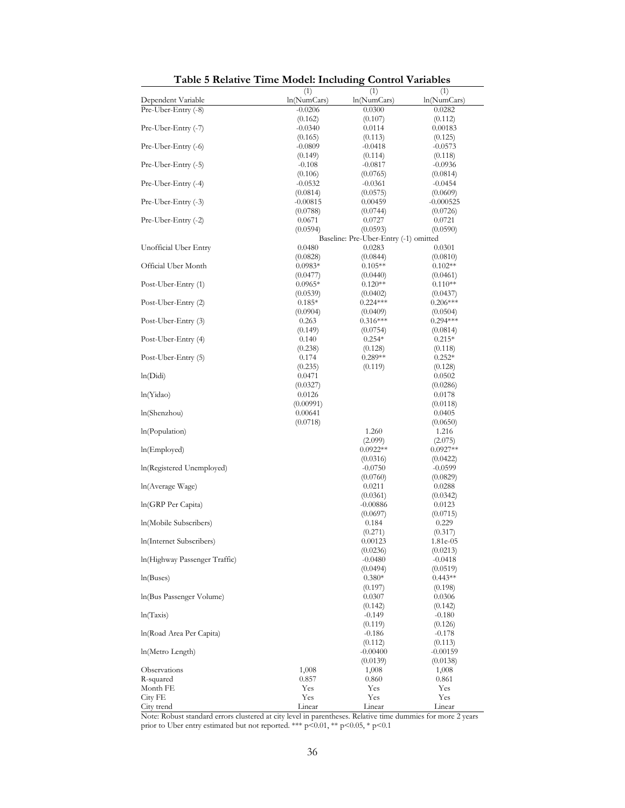| Table 9 Relative Thile Model, Including |                     |                                                 | <b>OUTHUL LATIANICS</b> |
|-----------------------------------------|---------------------|-------------------------------------------------|-------------------------|
| Dependent Variable                      | (1)<br>ln(NumCars)  | (1)<br>ln(NumCars)                              | (1)<br>ln(NumCars)      |
| Pre-Uber-Entry (-8)                     | $-0.0206$           | 0.0300                                          | 0.0282                  |
|                                         | (0.162)             | (0.107)                                         | (0.112)                 |
| Pre-Uber-Entry (-7)                     | $-0.0340$           | 0.0114                                          | 0.00183                 |
|                                         | (0.165)             | (0.113)                                         | (0.125)                 |
| Pre-Uber-Entry (-6)                     | $-0.0809$           | $-0.0418$                                       | $-0.0573$               |
| Pre-Uber-Entry (-5)                     | (0.149)<br>$-0.108$ | (0.114)<br>-0.0817                              | (0.118)<br>$-0.0936$    |
|                                         | (0.106)             | (0.0765)                                        | (0.0814)                |
| Pre-Uber-Entry (-4)                     | $-0.0532$           | $-0.0361$                                       | $-0.0454$               |
|                                         | (0.0814)            | (0.0575)                                        | (0.0609)                |
| Pre-Uber-Entry (-3)                     | $-0.00815$          | 0.00459                                         | -0.000525               |
|                                         | (0.0788)            | (0.0744)                                        | (0.0726)                |
| Pre-Uber-Entry (-2)                     | 0.0671              | 0.0727                                          | 0.0721                  |
|                                         | (0.0594)            | (0.0593)                                        | (0.0590)                |
| Unofficial Uber Entry                   | 0.0480              | Baseline: Pre-Uber-Entry (-1) omitted<br>0.0283 | 0.0301                  |
|                                         | (0.0828)            | (0.0844)                                        | (0.0810)                |
| Official Uber Month                     | $0.0983*$           | $0.105**$                                       | $0.102**$               |
|                                         | (0.0477)            | (0.0440)                                        | (0.0461)                |
| Post-Uber-Entry (1)                     | $0.0965*$           | $0.120**$                                       | $0.110**$               |
|                                         | (0.0539)            | (0.0402)                                        | (0.0437)                |
| Post-Uber-Entry (2)                     | $0.185*$            | $0.224***$                                      | $0.206***$              |
|                                         | (0.0904)            | (0.0409)                                        | (0.0504)                |
| Post-Uber-Entry (3)                     | 0.263               | $0.316***$                                      | $0.294***$              |
|                                         | (0.149)             | (0.0754)                                        | (0.0814)                |
| Post-Uber-Entry (4)                     | 0.140               | $0.254*$                                        | $0.215*$                |
| Post-Uber-Entry (5)                     | (0.238)<br>0.174    | (0.128)<br>$0.289**$                            | (0.118)<br>$0.252*$     |
|                                         | (0.235)             | (0.119)                                         | (0.128)                 |
| ln(Didi)                                | 0.0471              |                                                 | 0.0502                  |
|                                         | (0.0327)            |                                                 | (0.0286)                |
| ln(Yidao)                               | 0.0126              |                                                 | 0.0178                  |
|                                         | (0.00991)           |                                                 | (0.0118)                |
| ln(Shenzhou)                            | 0.00641             |                                                 | 0.0405                  |
|                                         | (0.0718)            |                                                 | (0.0650)                |
| In(Population)                          |                     | 1.260                                           | 1.216                   |
| ln(Emploved)                            |                     | (2.099)<br>$0.0922**$                           | (2.075)<br>$0.0927**$   |
|                                         |                     | (0.0316)                                        | (0.0422)                |
| In(Registered Unemployed)               |                     | $-0.0750$                                       | $-0.0599$               |
|                                         |                     | (0.0760)                                        | (0.0829)                |
| ln(Average Wage)                        |                     | 0.0211                                          | 0.0288                  |
|                                         |                     | (0.0361)                                        | (0.0342)                |
| In(GRP Per Capita)                      |                     | $-0.00886$                                      | 0.0123                  |
|                                         |                     | (0.0697)                                        | (0.0715)                |
| In(Mobile Subscribers)                  |                     | 0.184                                           | 0.229                   |
| In(Internet Subscribers)                |                     | (0.271)                                         | (0.317)                 |
|                                         |                     | 0.00123<br>(0.0236)                             | 1.81e-05<br>(0.0213)    |
| In(Highway Passenger Traffic)           |                     | $-0.0480$                                       | $-0.0418$               |
|                                         |                     | (0.0494)                                        | (0.0519)                |
| ln(Buses)                               |                     | $0.380*$                                        | $0.443**$               |
|                                         |                     | (0.197)                                         | (0.198)                 |
| ln(Bus Passenger Volume)                |                     | 0.0307                                          | 0.0306                  |
|                                         |                     | (0.142)                                         | (0.142)                 |
| ln(Taxis)                               |                     | $-0.149$                                        | $-0.180$                |
|                                         |                     | (0.119)                                         | (0.126)                 |
| In(Road Area Per Capita)                |                     | $-0.186$<br>(0.112)                             | $-0.178$<br>(0.113)     |
| ln(Metro Length)                        |                     | -0.00400                                        | $-0.00159$              |
|                                         |                     | (0.0139)                                        | (0.0138)                |
| Observations                            | 1,008               | 1,008                                           | 1,008                   |
| R-squared                               | 0.857               | 0.860                                           | 0.861                   |
| Month FE                                | Yes                 | Yes                                             | Yes                     |
| City FE                                 | Yes                 | Yes                                             | Yes                     |
| City trend                              | Linear              | Linear                                          | Linear                  |

**Table 5 Relative Time Model: Including Control Variables**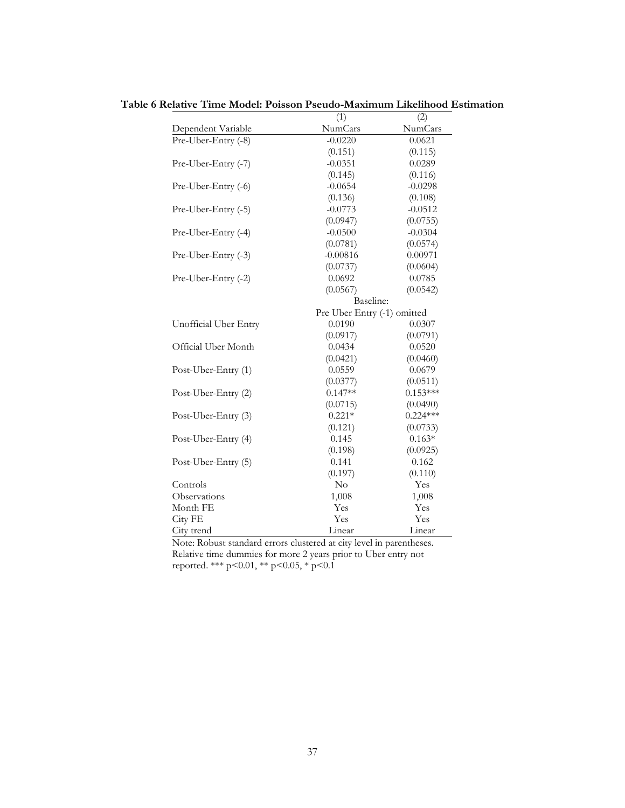|                       | (1)                         | (2)        |
|-----------------------|-----------------------------|------------|
| Dependent Variable    | NumCars                     | NumCars    |
| Pre-Uber-Entry (-8)   | $-0.0220$                   | 0.0621     |
|                       | (0.151)                     | (0.115)    |
| Pre-Uber-Entry (-7)   | $-0.0351$                   | 0.0289     |
|                       | (0.145)                     | (0.116)    |
| Pre-Uber-Entry (-6)   | $-0.0654$                   | $-0.0298$  |
|                       | (0.136)                     | (0.108)    |
| Pre-Uber-Entry (-5)   | $-0.0773$                   | $-0.0512$  |
|                       | (0.0947)                    | (0.0755)   |
| Pre-Uber-Entry (-4)   | $-0.0500$                   | $-0.0304$  |
|                       | (0.0781)                    | (0.0574)   |
| Pre-Uber-Entry (-3)   | $-0.00816$                  | 0.00971    |
|                       | (0.0737)                    | (0.0604)   |
| Pre-Uber-Entry (-2)   | 0.0692                      | 0.0785     |
|                       | (0.0567)                    | (0.0542)   |
|                       | Baseline:                   |            |
|                       | Pre Uber Entry (-1) omitted |            |
| Unofficial Uber Entry | 0.0190                      | 0.0307     |
|                       | (0.0917)                    | (0.0791)   |
| Official Uber Month   | 0.0434                      | 0.0520     |
|                       | (0.0421)                    | (0.0460)   |
| Post-Uber-Entry (1)   | 0.0559                      | 0.0679     |
|                       | (0.0377)                    | (0.0511)   |
| Post-Uber-Entry (2)   | $0.147**$                   | $0.153***$ |
|                       | (0.0715)                    | (0.0490)   |
| Post-Uber-Entry (3)   | $0.221*$                    | $0.224***$ |
|                       | (0.121)                     | (0.0733)   |
| Post-Uber-Entry (4)   | 0.145                       | $0.163*$   |
|                       | (0.198)                     | (0.0925)   |
| Post-Uber-Entry (5)   | 0.141                       | 0.162      |
|                       | (0.197)                     | (0.110)    |
| Controls              | $\rm No$                    | Yes        |
| Observations          | 1,008                       | 1,008      |
| Month FE              | Yes                         | Yes        |
| City FE               | Yes                         | Yes        |
| City trend            | Linear                      | Linear     |

**Table 6 Relative Time Model: Poisson Pseudo-Maximum Likelihood Estimation**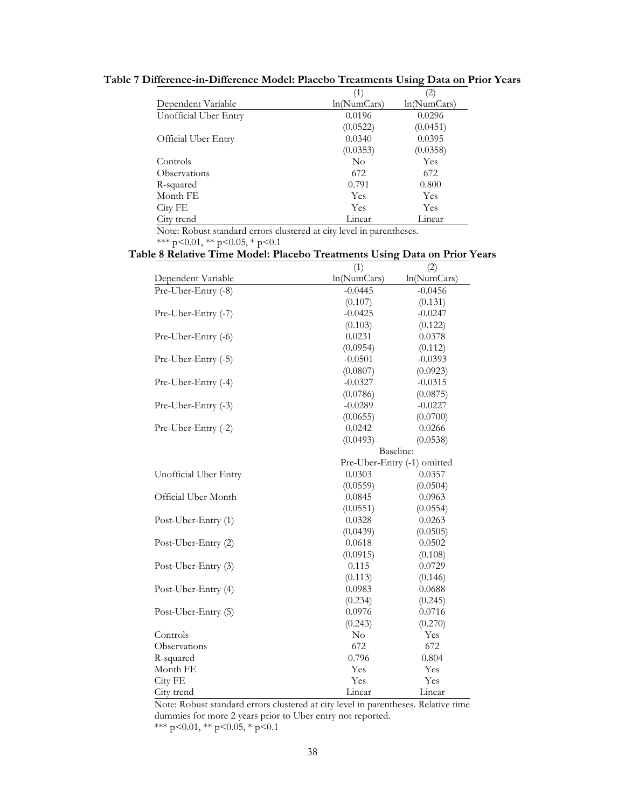|                       | (1)         | $\left( 2\right)$ |
|-----------------------|-------------|-------------------|
| Dependent Variable    | ln(NumCars) | ln(NumCars)       |
| Unofficial Uber Entry | 0.0196      | 0.0296            |
|                       | (0.0522)    | (0.0451)          |
| Official Uber Entry   | 0.0340      | 0.0395            |
|                       | (0.0353)    | (0.0358)          |
| Controls              | $\rm No$    | Yes               |
| <b>Observations</b>   | 672         | 672               |
| R-squared             | 0.791       | 0.800             |
| Month FE              | Yes         | Yes               |
| City FE               | <b>Yes</b>  | <b>Yes</b>        |
| City trend            | Linear      | Linear            |

**Table 7 Difference-in-Difference Model: Placebo Treatments Using Data on Prior Years**

Note: Robust standard errors clustered at city level in parentheses.

\*\*\* p<0.01, \*\* p<0.05, \* p<0.1

## **Table 8 Relative Time Model: Placebo Treatments Using Data on Prior Years**

|                       | (1)         | (2)                         |
|-----------------------|-------------|-----------------------------|
| Dependent Variable    | ln(NumCars) | ln(NumCars)                 |
| Pre-Uber-Entry (-8)   | $-0.0445$   | $-0.0456$                   |
|                       | (0.107)     | (0.131)                     |
| Pre-Uber-Entry (-7)   | $-0.0425$   | $-0.0247$                   |
|                       | (0.103)     | (0.122)                     |
| Pre-Uber-Entry (-6)   | 0.0231      | 0.0378                      |
|                       | (0.0954)    | (0.112)                     |
| Pre-Uber-Entry (-5)   | $-0.0501$   | $-0.0393$                   |
|                       | (0.0807)    | (0.0923)                    |
| Pre-Uber-Entry (-4)   | $-0.0327$   | $-0.0315$                   |
|                       | (0.0786)    | (0.0875)                    |
| Pre-Uber-Entry (-3)   | $-0.0289$   | $-0.0227$                   |
|                       | (0.0655)    | (0.0700)                    |
| Pre-Uber-Entry (-2)   | 0.0242      | 0.0266                      |
|                       | (0.0493)    | (0.0538)                    |
|                       |             | Baseline:                   |
|                       |             | Pre-Uber-Entry (-1) omitted |
| Unofficial Uber Entry | 0.0303      | 0.0357                      |
|                       | (0.0559)    | (0.0504)                    |
| Official Uber Month   | 0.0845      | 0.0963                      |
|                       | (0.0551)    | (0.0554)                    |
| Post-Uber-Entry (1)   | 0.0328      | 0.0263                      |
|                       | (0.0439)    | (0.0505)                    |
| Post-Uber-Entry (2)   | 0.0618      | 0.0502                      |
|                       | (0.0915)    | (0.108)                     |
| Post-Uber-Entry (3)   | 0.115       | 0.0729                      |
|                       | (0.113)     | (0.146)                     |
| Post-Uber-Entry (4)   | 0.0983      | 0.0688                      |
|                       | (0.234)     | (0.245)                     |
| Post-Uber-Entry (5)   | 0.0976      | 0.0716                      |
|                       | (0.243)     | (0.270)                     |
| Controls              | $\rm No$    | Yes                         |
| Observations          | 672         | 672                         |
| R-squared             | 0.796       | 0.804                       |
| Month FE              | Yes         | Yes                         |
| City FE               | Yes         | Yes                         |
| City trend            | Linear      | Linear                      |

Note: Robust standard errors clustered at city level in parentheses. Relative time dummies for more 2 years prior to Uber entry not reported. \*\*\* p<0.01, \*\* p<0.05, \* p<0.1

38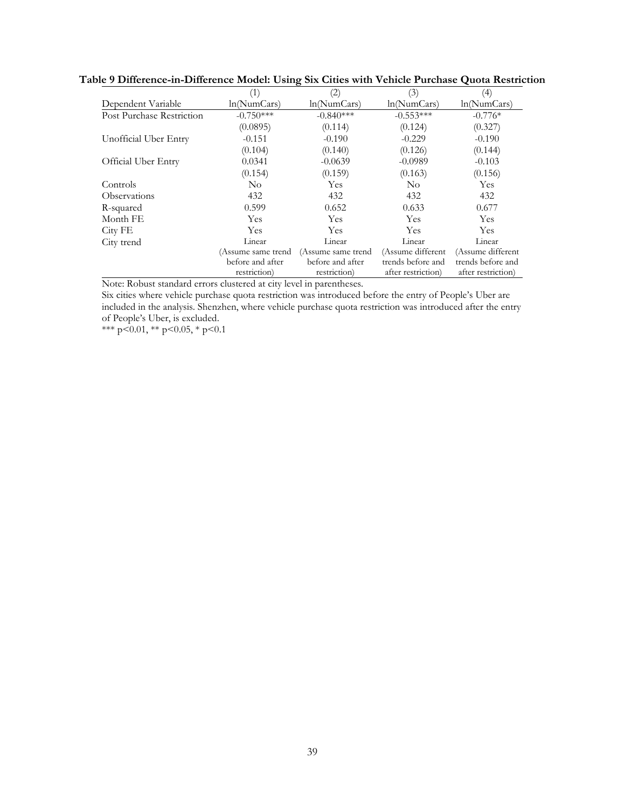|                            | (1)                | (2)                | (3)                | (4)                |
|----------------------------|--------------------|--------------------|--------------------|--------------------|
| Dependent Variable         | ln(NumCars)        | ln(NumCars)        | ln(NumCars)        | ln(NumCars)        |
| Post Purchase Restriction  | $-0.750***$        | $-0.840***$        | $-0.553***$        | $-0.776*$          |
|                            | (0.0895)           | (0.114)            | (0.124)            | (0.327)            |
| Unofficial Uber Entry      | $-0.151$           | $-0.190$           | $-0.229$           | $-0.190$           |
|                            | (0.104)            | (0.140)            | (0.126)            | (0.144)            |
| <b>Official Uber Entry</b> | 0.0341             | $-0.0639$          | $-0.0989$          | $-0.103$           |
|                            | (0.154)            | (0.159)            | (0.163)            | (0.156)            |
| Controls                   | $\rm No$           | Yes                | No                 | Yes                |
| Observations               | 432                | 432                | 432                | 432                |
| R-squared                  | 0.599              | 0.652              | 0.633              | 0.677              |
| Month FE                   | Yes                | Yes                | Yes                | Yes                |
| City FE                    | Yes                | Yes                | Yes                | Yes                |
| City trend                 | Linear             | Linear             | Linear             | Linear             |
|                            | (Assume same trend | (Assume same trend | (Assume different  | (Assume different  |
|                            | before and after   | before and after   | trends before and  | trends before and  |
|                            | restriction)       | restriction)       | after restriction) | after restriction) |

**Table 9 Difference-in-Difference Model: Using Six Cities with Vehicle Purchase Quota Restriction**

Note: Robust standard errors clustered at city level in parentheses.

Six cities where vehicle purchase quota restriction was introduced before the entry of People's Uber are included in the analysis. Shenzhen, where vehicle purchase quota restriction was introduced after the entry of People's Uber, is excluded.

\*\*\* p<0.01, \*\* p<0.05, \* p<0.1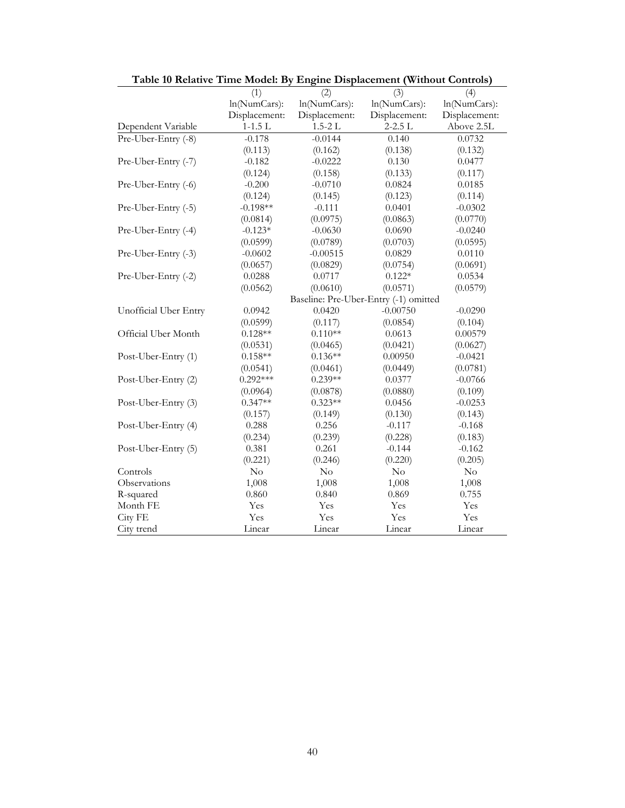| Table 10 Relative Time Model: By Engine Displacement (Without Controls) |               |               |                                       |               |
|-------------------------------------------------------------------------|---------------|---------------|---------------------------------------|---------------|
|                                                                         | (1)           | (2)           | (3)                                   | (4)           |
|                                                                         | ln(NumCars):  | ln(NumCars):  | ln(NumCars):                          | ln(NumCars):  |
|                                                                         | Displacement: | Displacement: | Displacement:                         | Displacement: |
| Dependent Variable                                                      | $1-1.5$ L     | $1.5 - 2L$    | $2 - 2.5$ L                           | Above 2.5L    |
| Pre-Uber-Entry (-8)                                                     | $-0.178$      | $-0.0144$     | 0.140                                 | 0.0732        |
|                                                                         | (0.113)       | (0.162)       | (0.138)                               | (0.132)       |
| Pre-Uber-Entry (-7)                                                     | $-0.182$      | $-0.0222$     | 0.130                                 | 0.0477        |
|                                                                         | (0.124)       | (0.158)       | (0.133)                               | (0.117)       |
| Pre-Uber-Entry (-6)                                                     | $-0.200$      | $-0.0710$     | 0.0824                                | 0.0185        |
|                                                                         | (0.124)       | (0.145)       | (0.123)                               | (0.114)       |
| Pre-Uber-Entry (-5)                                                     | $-0.198**$    | $-0.111$      | 0.0401                                | $-0.0302$     |
|                                                                         | (0.0814)      | (0.0975)      | (0.0863)                              | (0.0770)      |
| Pre-Uber-Entry (-4)                                                     | $-0.123*$     | $-0.0630$     | 0.0690                                | $-0.0240$     |
|                                                                         | (0.0599)      | (0.0789)      | (0.0703)                              | (0.0595)      |
| Pre-Uber-Entry (-3)                                                     | $-0.0602$     | $-0.00515$    | 0.0829                                | 0.0110        |
|                                                                         | (0.0657)      | (0.0829)      | (0.0754)                              | (0.0691)      |
| Pre-Uber-Entry (-2)                                                     | 0.0288        | 0.0717        | $0.122*$                              | 0.0534        |
|                                                                         | (0.0562)      | (0.0610)      | (0.0571)                              | (0.0579)      |
|                                                                         |               |               | Baseline: Pre-Uber-Entry (-1) omitted |               |
| Unofficial Uber Entry                                                   | 0.0942        | 0.0420        | $-0.00750$                            | $-0.0290$     |
|                                                                         | (0.0599)      | (0.117)       | (0.0854)                              | (0.104)       |
| Official Uber Month                                                     | $0.128**$     | $0.110**$     | 0.0613                                | 0.00579       |
|                                                                         | (0.0531)      | (0.0465)      | (0.0421)                              | (0.0627)      |
| Post-Uber-Entry (1)                                                     | $0.158**$     | $0.136**$     | 0.00950                               | $-0.0421$     |
|                                                                         | (0.0541)      | (0.0461)      | (0.0449)                              | (0.0781)      |
| Post-Uber-Entry (2)                                                     | $0.292***$    | $0.239**$     | 0.0377                                | $-0.0766$     |
|                                                                         | (0.0964)      | (0.0878)      | (0.0880)                              | (0.109)       |
| Post-Uber-Entry (3)                                                     | $0.347**$     | $0.323**$     | 0.0456                                | $-0.0253$     |
|                                                                         | (0.157)       | (0.149)       | (0.130)                               | (0.143)       |
| Post-Uber-Entry (4)                                                     | 0.288         | 0.256         | $-0.117$                              | $-0.168$      |
|                                                                         | (0.234)       | (0.239)       | (0.228)                               | (0.183)       |
| Post-Uber-Entry (5)                                                     | 0.381         | 0.261         | $-0.144$                              | $-0.162$      |
|                                                                         | (0.221)       | (0.246)       | (0.220)                               | (0.205)       |
| Controls                                                                | $\rm No$      | $\rm No$      | $\rm No$                              | $\rm No$      |
| Observations                                                            | 1,008         | 1,008         | 1,008                                 | 1,008         |
| R-squared                                                               | 0.860         | 0.840         | 0.869                                 | 0.755         |
| Month FE                                                                | Yes           | Yes           | Yes                                   | Yes           |
| City FE                                                                 | Yes           | Yes           | Yes                                   | Yes           |
| City trend                                                              | Linear        | Linear        | Linear                                | Linear        |

**Table 10 Relative Time Model: By Engine Displacement (Without Controls)**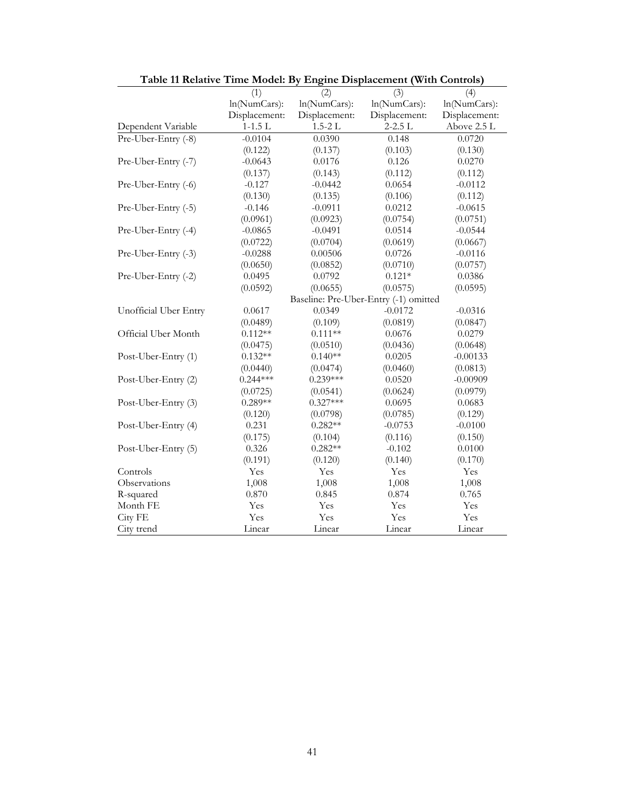| Table 11 Relative Time Model: By Engine Displacement (With Controls) |               |               |                                       |               |
|----------------------------------------------------------------------|---------------|---------------|---------------------------------------|---------------|
|                                                                      | (1)           | (2)           | (3)                                   | (4)           |
|                                                                      | ln(NumCars):  | ln(NumCars):  | ln(NumCars):                          | ln(NumCars):  |
|                                                                      | Displacement: | Displacement: | Displacement:                         | Displacement: |
| Dependent Variable                                                   | $1-1.5$ L     | $1.5 - 2L$    | $2 - 2.5$ L                           | Above 2.5 L   |
| Pre-Uber-Entry (-8)                                                  | $-0.0104$     | 0.0390        | 0.148                                 | 0.0720        |
|                                                                      | (0.122)       | (0.137)       | (0.103)                               | (0.130)       |
| Pre-Uber-Entry (-7)                                                  | $-0.0643$     | 0.0176        | 0.126                                 | 0.0270        |
|                                                                      | (0.137)       | (0.143)       | (0.112)                               | (0.112)       |
| Pre-Uber-Entry (-6)                                                  | $-0.127$      | $-0.0442$     | 0.0654                                | $-0.0112$     |
|                                                                      | (0.130)       | (0.135)       | (0.106)                               | (0.112)       |
| Pre-Uber-Entry (-5)                                                  | $-0.146$      | $-0.0911$     | 0.0212                                | $-0.0615$     |
|                                                                      | (0.0961)      | (0.0923)      | (0.0754)                              | (0.0751)      |
| Pre-Uber-Entry (-4)                                                  | $-0.0865$     | $-0.0491$     | 0.0514                                | $-0.0544$     |
|                                                                      | (0.0722)      | (0.0704)      | (0.0619)                              | (0.0667)      |
| Pre-Uber-Entry (-3)                                                  | $-0.0288$     | 0.00506       | 0.0726                                | $-0.0116$     |
|                                                                      | (0.0650)      | (0.0852)      | (0.0710)                              | (0.0757)      |
| Pre-Uber-Entry (-2)                                                  | 0.0495        | 0.0792        | $0.121*$                              | 0.0386        |
|                                                                      | (0.0592)      | (0.0655)      | (0.0575)                              | (0.0595)      |
|                                                                      |               |               | Baseline: Pre-Uber-Entry (-1) omitted |               |
| Unofficial Uber Entry                                                | 0.0617        | 0.0349        | $-0.0172$                             | $-0.0316$     |
|                                                                      | (0.0489)      | (0.109)       | (0.0819)                              | (0.0847)      |
| Official Uber Month                                                  | $0.112**$     | $0.111**$     | 0.0676                                | 0.0279        |
|                                                                      | (0.0475)      | (0.0510)      | (0.0436)                              | (0.0648)      |
| Post-Uber-Entry (1)                                                  | $0.132**$     | $0.140**$     | 0.0205                                | $-0.00133$    |
|                                                                      | (0.0440)      | (0.0474)      | (0.0460)                              | (0.0813)      |
| Post-Uber-Entry (2)                                                  | $0.244***$    | $0.239***$    | 0.0520                                | $-0.00909$    |
|                                                                      | (0.0725)      | (0.0541)      | (0.0624)                              | (0.0979)      |
| Post-Uber-Entry (3)                                                  | $0.289**$     | $0.327***$    | 0.0695                                | 0.0683        |
|                                                                      | (0.120)       | (0.0798)      | (0.0785)                              | (0.129)       |
| Post-Uber-Entry (4)                                                  | 0.231         | $0.282**$     | $-0.0753$                             | $-0.0100$     |
|                                                                      | (0.175)       | (0.104)       | (0.116)                               | (0.150)       |
| Post-Uber-Entry (5)                                                  | 0.326         | $0.282**$     | $-0.102$                              | 0.0100        |
|                                                                      | (0.191)       | (0.120)       | (0.140)                               | (0.170)       |
| Controls                                                             | Yes           | Yes           | Yes                                   | Yes           |
| Observations                                                         | 1,008         | 1,008         | 1,008                                 | 1,008         |
| R-squared                                                            | 0.870         | 0.845         | 0.874                                 | 0.765         |
| Month FE                                                             | Yes           | Yes           | Yes                                   | Yes           |
| City FE                                                              | Yes           | Yes           | Yes                                   | Yes           |
| City trend                                                           | Linear        | Linear        | Linear                                | Linear        |

**Table 11 Relative Time Model: By Engine Displacement (With Controls)**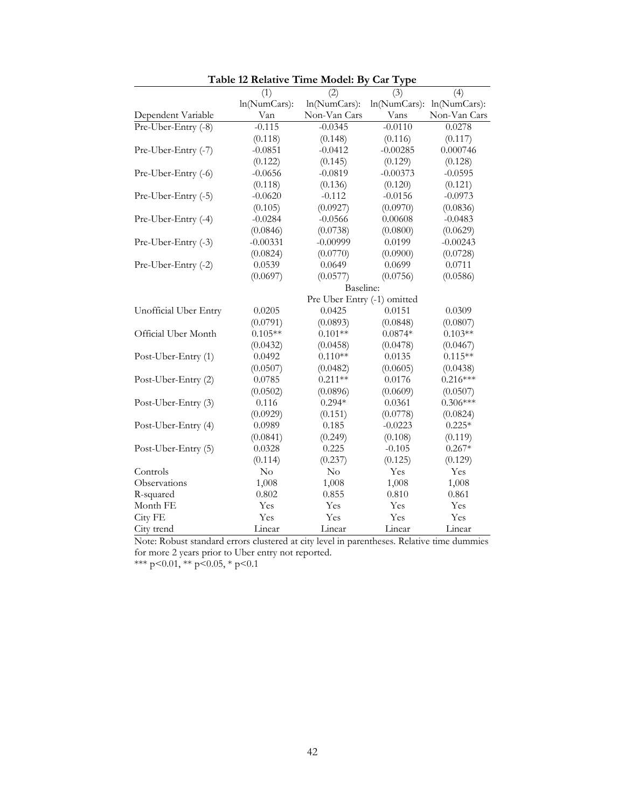|                       | (1)          | (2)                         | (3)          | (4)          |
|-----------------------|--------------|-----------------------------|--------------|--------------|
|                       | ln(NumCars): | ln(NumCars):                | ln(NumCars): | ln(NumCars): |
| Dependent Variable    | Van          | Non-Van Cars                | Vans         | Non-Van Cars |
| Pre-Uber-Entry (-8)   | $-0.115$     | $-0.0345$                   | $-0.0110$    | 0.0278       |
|                       | (0.118)      | (0.148)                     | (0.116)      | (0.117)      |
| Pre-Uber-Entry (-7)   | $-0.0851$    | $-0.0412$                   | $-0.00285$   | 0.000746     |
|                       | (0.122)      | (0.145)                     | (0.129)      | (0.128)      |
| Pre-Uber-Entry (-6)   | $-0.0656$    | $-0.0819$                   | $-0.00373$   | $-0.0595$    |
|                       | (0.118)      | (0.136)                     | (0.120)      | (0.121)      |
| Pre-Uber-Entry (-5)   | $-0.0620$    | $-0.112$                    | $-0.0156$    | $-0.0973$    |
|                       | (0.105)      | (0.0927)                    | (0.0970)     | (0.0836)     |
| Pre-Uber-Entry (-4)   | $-0.0284$    | $-0.0566$                   | 0.00608      | $-0.0483$    |
|                       | (0.0846)     | (0.0738)                    | (0.0800)     | (0.0629)     |
| Pre-Uber-Entry (-3)   | $-0.00331$   | $-0.00999$                  | 0.0199       | $-0.00243$   |
|                       | (0.0824)     | (0.0770)                    | (0.0900)     | (0.0728)     |
| Pre-Uber-Entry (-2)   | 0.0539       | 0.0649                      | 0.0699       | 0.0711       |
|                       | (0.0697)     | (0.0577)                    | (0.0756)     | (0.0586)     |
|                       |              | Baseline:                   |              |              |
|                       |              | Pre Uber Entry (-1) omitted |              |              |
| Unofficial Uber Entry | 0.0205       | 0.0425                      | 0.0151       | 0.0309       |
|                       | (0.0791)     | (0.0893)                    | (0.0848)     | (0.0807)     |
| Official Uber Month   | $0.105**$    | $0.101**$                   | $0.0874*$    | $0.103**$    |
|                       | (0.0432)     | (0.0458)                    | (0.0478)     | (0.0467)     |
| Post-Uber-Entry (1)   | 0.0492       | $0.110**$                   | 0.0135       | $0.115**$    |
|                       | (0.0507)     | (0.0482)                    | (0.0605)     | (0.0438)     |
| Post-Uber-Entry (2)   | 0.0785       | $0.211**$                   | 0.0176       | $0.216***$   |
|                       | (0.0502)     | (0.0896)                    | (0.0609)     | (0.0507)     |
| Post-Uber-Entry (3)   | 0.116        | $0.294*$                    | 0.0361       | $0.306***$   |
|                       | (0.0929)     | (0.151)                     | (0.0778)     | (0.0824)     |
| Post-Uber-Entry (4)   | 0.0989       | 0.185                       | $-0.0223$    | $0.225*$     |
|                       | (0.0841)     | (0.249)                     | (0.108)      | (0.119)      |
| Post-Uber-Entry (5)   | 0.0328       | 0.225                       | $-0.105$     | $0.267*$     |
|                       | (0.114)      | (0.237)                     | (0.125)      | (0.129)      |
| Controls              | $\rm No$     | No                          | Yes          | Yes          |
| Observations          | 1,008        | 1,008                       | 1,008        | 1,008        |
| R-squared             | 0.802        | 0.855                       | 0.810        | 0.861        |
| Month FE              | Yes          | Yes                         | Yes          | Yes          |
| City FE               | Yes          | Yes                         | Yes          | Yes          |
| City trend            | Linear       | Linear                      | Linear       | Linear       |

|  | Table 12 Relative Time Model: By Car Type |  |  |  |
|--|-------------------------------------------|--|--|--|
|  |                                           |  |  |  |

\*\*\* p<0.01, \*\* p<0.05, \* p<0.1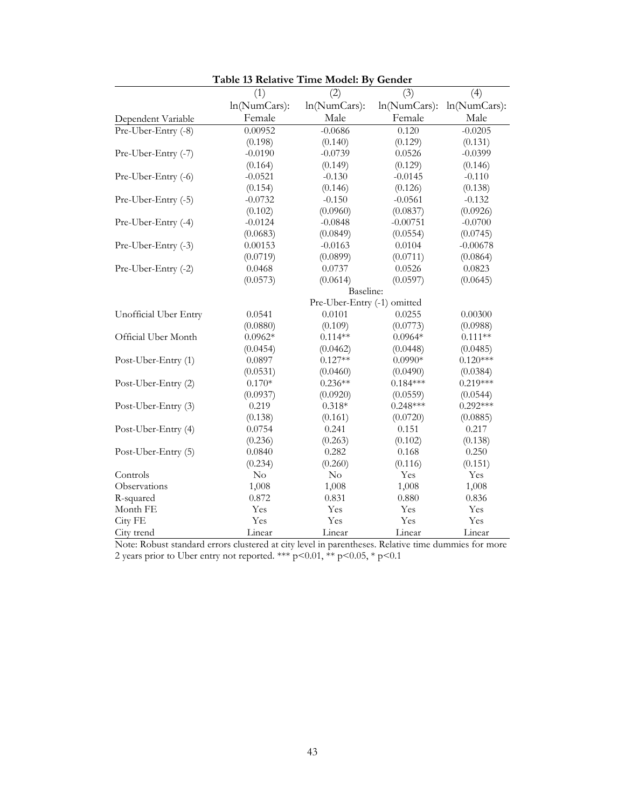|                       | Table 15 Relative Three Model. Dy |                             | ochaci          |              |
|-----------------------|-----------------------------------|-----------------------------|-----------------|--------------|
|                       | (1)                               | (2)                         | (3)             | (4)          |
|                       | ln(NumCars):                      | ln(NumCars):                | $ln(NumCars)$ : | ln(NumCars): |
| Dependent Variable    | Female                            | Male                        | Female          | Male         |
| Pre-Uber-Entry (-8)   | 0.00952                           | $-0.0686$                   | 0.120           | $-0.0205$    |
|                       | (0.198)                           | (0.140)                     | (0.129)         | (0.131)      |
| Pre-Uber-Entry (-7)   | $-0.0190$                         | $-0.0739$                   | 0.0526          | $-0.0399$    |
|                       | (0.164)                           | (0.149)                     | (0.129)         | (0.146)      |
| Pre-Uber-Entry (-6)   | $-0.0521$                         | $-0.130$                    | $-0.0145$       | $-0.110$     |
|                       | (0.154)                           | (0.146)                     | (0.126)         | (0.138)      |
| Pre-Uber-Entry (-5)   | $-0.0732$                         | $-0.150$                    | $-0.0561$       | $-0.132$     |
|                       | (0.102)                           | (0.0960)                    | (0.0837)        | (0.0926)     |
| Pre-Uber-Entry (-4)   | $-0.0124$                         | $-0.0848$                   | $-0.00751$      | $-0.0700$    |
|                       | (0.0683)                          | (0.0849)                    | (0.0554)        | (0.0745)     |
| Pre-Uber-Entry (-3)   | 0.00153                           | $-0.0163$                   | 0.0104          | $-0.00678$   |
|                       | (0.0719)                          | (0.0899)                    | (0.0711)        | (0.0864)     |
| Pre-Uber-Entry (-2)   | 0.0468                            | 0.0737                      | 0.0526          | 0.0823       |
|                       | (0.0573)                          | (0.0614)                    | (0.0597)        | (0.0645)     |
|                       |                                   | Baseline:                   |                 |              |
|                       |                                   | Pre-Uber-Entry (-1) omitted |                 |              |
| Unofficial Uber Entry | 0.0541                            | 0.0101                      | 0.0255          | 0.00300      |
|                       | (0.0880)                          | (0.109)                     | (0.0773)        | (0.0988)     |
| Official Uber Month   | $0.0962*$                         | $0.114**$                   | $0.0964*$       | $0.111**$    |
|                       | (0.0454)                          | (0.0462)                    | (0.0448)        | (0.0485)     |
| Post-Uber-Entry (1)   | 0.0897                            | $0.127**$                   | $0.0990*$       | $0.120***$   |
|                       | (0.0531)                          | (0.0460)                    | (0.0490)        | (0.0384)     |
| Post-Uber-Entry (2)   | $0.170*$                          | $0.236**$                   | $0.184***$      | $0.219***$   |
|                       | (0.0937)                          | (0.0920)                    | (0.0559)        | (0.0544)     |
| Post-Uber-Entry (3)   | 0.219                             | $0.318*$                    | $0.248***$      | $0.292***$   |
|                       | (0.138)                           | (0.161)                     | (0.0720)        | (0.0885)     |
| Post-Uber-Entry (4)   | 0.0754                            | 0.241                       | 0.151           | 0.217        |
|                       | (0.236)                           | (0.263)                     | (0.102)         | (0.138)      |
| Post-Uber-Entry (5)   | 0.0840                            | 0.282                       | 0.168           | 0.250        |
|                       | (0.234)                           | (0.260)                     | (0.116)         | (0.151)      |
| Controls              | No                                | No                          | Yes             | Yes          |
| Observations          | 1,008                             | 1,008                       | 1,008           | 1,008        |
| R-squared             | 0.872                             | 0.831                       | 0.880           | 0.836        |
| Month FE              | Yes                               | Yes                         | Yes             | Yes          |
| City FE               | Yes                               | Yes                         | Yes             | Yes          |
| City trend            | Linear                            | Linear                      | Linear          | Linear       |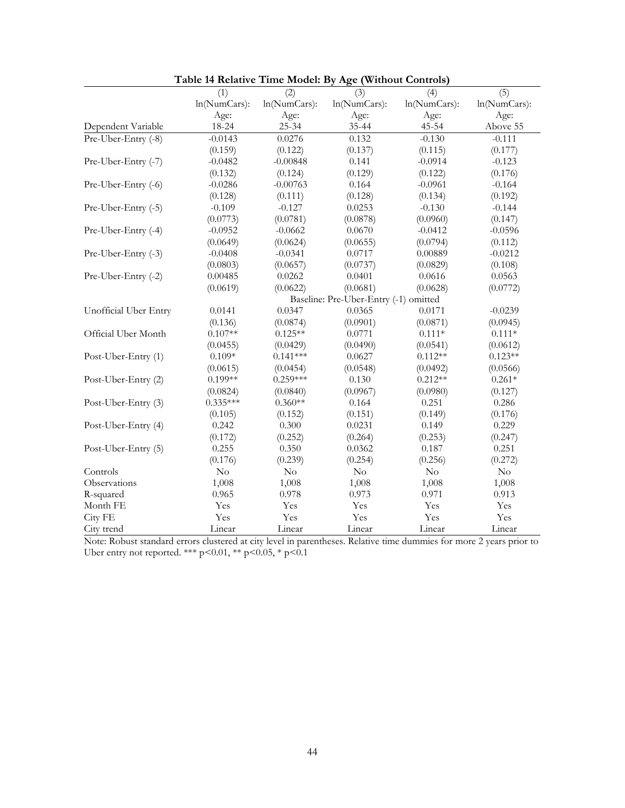|                       | (1)          | (2)          | (3)                                   | (4)          | (5)          |
|-----------------------|--------------|--------------|---------------------------------------|--------------|--------------|
|                       | ln(NumCars): | ln(NumCars): | ln(NumCars):                          | ln(NumCars): | ln(NumCars): |
|                       | Age:         | Age:         | Age:                                  | Age:         | Age:         |
| Dependent Variable    | 18-24        | 25-34        | 35-44                                 | 45-54        | Above 55     |
| Pre-Uber-Entry (-8)   | $-0.0143$    | 0.0276       | 0.132                                 | $-0.130$     | $-0.111$     |
|                       | (0.159)      | (0.122)      | (0.137)                               | (0.115)      | (0.177)      |
| Pre-Uber-Entry (-7)   | $-0.0482$    | $-0.00848$   | 0.141                                 | $-0.0914$    | $-0.123$     |
|                       | (0.132)      | (0.124)      | (0.129)                               | (0.122)      | (0.176)      |
| Pre-Uber-Entry (-6)   | $-0.0286$    | $-0.00763$   | 0.164                                 | $-0.0961$    | $-0.164$     |
|                       | (0.128)      | (0.111)      | (0.128)                               | (0.134)      | (0.192)      |
| Pre-Uber-Entry (-5)   | $-0.109$     | $-0.127$     | 0.0253                                | $-0.130$     | $-0.144$     |
|                       | (0.0773)     | (0.0781)     | (0.0878)                              | (0.0960)     | (0.147)      |
| Pre-Uber-Entry (-4)   | $-0.0952$    | $-0.0662$    | 0.0670                                | $-0.0412$    | $-0.0596$    |
|                       | (0.0649)     | (0.0624)     | (0.0655)                              | (0.0794)     | (0.112)      |
| Pre-Uber-Entry (-3)   | $-0.0408$    | $-0.0341$    | 0.0717                                | 0.00889      | $-0.0212$    |
|                       | (0.0803)     | (0.0657)     | (0.0737)                              | (0.0829)     | (0.108)      |
| Pre-Uber-Entry (-2)   | 0.00485      | 0.0262       | 0.0401                                | 0.0616       | 0.0563       |
|                       | (0.0619)     | (0.0622)     | (0.0681)                              | (0.0628)     | (0.0772)     |
|                       |              |              | Baseline: Pre-Uber-Entry (-1) omitted |              |              |
| Unofficial Uber Entry | 0.0141       | 0.0347       | 0.0365                                | 0.0171       | $-0.0239$    |
|                       | (0.136)      | (0.0874)     | (0.0901)                              | (0.0871)     | (0.0945)     |
| Official Uber Month   | $0.107**$    | $0.125**$    | 0.0771                                | $0.111*$     | $0.111*$     |
|                       | (0.0455)     | (0.0429)     | (0.0490)                              | (0.0541)     | (0.0612)     |
| Post-Uber-Entry (1)   | $0.109*$     | $0.141***$   | 0.0627                                | $0.112**$    | $0.123**$    |
|                       | (0.0615)     | (0.0454)     | (0.0548)                              | (0.0492)     | (0.0566)     |
| Post-Uber-Entry (2)   | $0.199**$    | $0.259***$   | 0.130                                 | $0.212**$    | $0.261*$     |
|                       | (0.0824)     | (0.0840)     | (0.0967)                              | (0.0980)     | (0.127)      |
| Post-Uber-Entry (3)   | $0.335***$   | $0.360**$    | 0.164                                 | 0.251        | 0.286        |
|                       | (0.105)      | (0.152)      | (0.151)                               | (0.149)      | (0.176)      |
| Post-Uber-Entry (4)   | 0.242        | 0.300        | 0.0231                                | 0.149        | 0.229        |
|                       | (0.172)      | (0.252)      | (0.264)                               | (0.253)      | (0.247)      |
| Post-Uber-Entry (5)   | 0.255        | 0.350        | 0.0362                                | 0.187        | 0.251        |
|                       | (0.176)      | (0.239)      | (0.254)                               | (0.256)      | (0.272)      |
| Controls              | No           | No           | No                                    | No           | $\rm No$     |
| Observations          | 1,008        | 1,008        | 1,008                                 | 1,008        | 1,008        |
| R-squared             | 0.965        | 0.978        | 0.973                                 | 0.971        | 0.913        |
| Month FE              | Yes          | Yes          | Yes                                   | Yes          | Yes          |
| City FE               | Yes          | Yes          | Yes                                   | Yes          | Yes          |
| City trend            | Linear       | Linear       | Linear                                | Linear       | Linear       |

**Table 14 Relative Time Model: By Age (Without Controls)**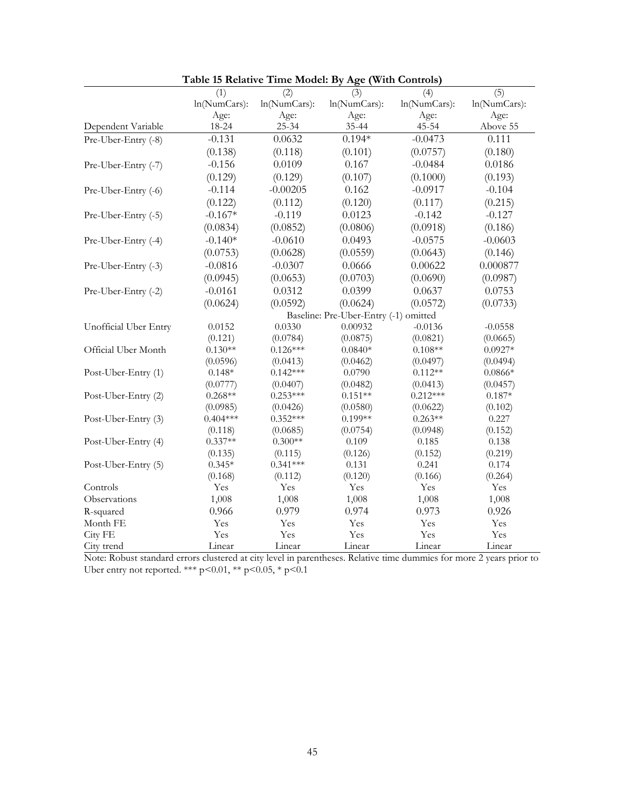| ln(NumCars):<br>ln(NumCars):<br>ln(NumCars):<br>ln(NumCars):<br>ln(NumCars):<br>Age:<br>Age:<br>Age:<br>Age:<br>Age:<br>45-54<br>18-24<br>25-34<br>35-44<br>Above 55<br>Dependent Variable<br>$-0.131$<br>0.0632<br>$0.194*$<br>$-0.0473$<br>0.111<br>Pre-Uber-Entry (-8)<br>(0.138)<br>(0.118)<br>(0.101)<br>(0.0757)<br>(0.180)<br>$-0.156$<br>0.0109<br>0.167<br>$-0.0484$<br>0.0186<br>Pre-Uber-Entry (-7)<br>(0.129)<br>(0.129)<br>(0.107)<br>(0.1000)<br>(0.193)<br>$-0.114$<br>$-0.00205$<br>0.162<br>$-0.104$<br>$-0.0917$<br>Pre-Uber-Entry (-6)<br>(0.122)<br>(0.112)<br>(0.120)<br>(0.117)<br>(0.215)<br>$-0.167*$<br>$-0.119$<br>0.0123<br>$-0.142$<br>$-0.127$<br>Pre-Uber-Entry (-5)<br>(0.0834)<br>(0.0852)<br>(0.0806)<br>(0.0918)<br>(0.186)<br>$-0.140*$<br>$-0.0610$<br>0.0493<br>$-0.0575$<br>$-0.0603$<br>Pre-Uber-Entry (-4)<br>(0.0628)<br>(0.0753)<br>(0.0559)<br>(0.0643)<br>(0.146)<br>$-0.0816$<br>$-0.0307$<br>0.0666<br>0.00622<br>0.000877<br>Pre-Uber-Entry (-3)<br>(0.0945)<br>(0.0653)<br>(0.0703)<br>(0.0690)<br>(0.0987)<br>$-0.0161$<br>0.0312<br>0.0399<br>0.0637<br>0.0753<br>Pre-Uber-Entry (-2)<br>(0.0624)<br>(0.0592)<br>(0.0624)<br>(0.0572)<br>(0.0733)<br>Baseline: Pre-Uber-Entry (-1) omitted<br>0.0330<br>0.00932<br>Unofficial Uber Entry<br>0.0152<br>$-0.0136$<br>$-0.0558$<br>(0.121)<br>(0.0784)<br>(0.0875)<br>(0.0821)<br>(0.0665)<br>Official Uber Month<br>$0.130**$<br>$0.126***$<br>$0.0840*$<br>$0.108**$<br>$0.0927*$<br>(0.0596)<br>(0.0462)<br>(0.0497)<br>(0.0494)<br>(0.0413)<br>$0.148*$<br>$0.142***$<br>0.0790<br>$0.112**$<br>$0.0866*$<br>Post-Uber-Entry (1)<br>(0.0777)<br>(0.0407)<br>(0.0482)<br>(0.0413)<br>(0.0457)<br>$0.253***$<br>$0.212***$<br>$0.268**$<br>$0.151**$<br>$0.187*$<br>Post-Uber-Entry (2)<br>(0.0426)<br>(0.0580)<br>(0.0622)<br>(0.102)<br>(0.0985)<br>$0.404***$<br>$0.352***$<br>$0.199**$<br>Post-Uber-Entry (3)<br>$0.263**$<br>0.227<br>(0.118)<br>(0.0685)<br>(0.0754)<br>(0.0948)<br>(0.152)<br>$0.337**$<br>$0.300**$<br>Post-Uber-Entry (4)<br>0.109<br>0.185<br>0.138<br>(0.126)<br>(0.135)<br>(0.115)<br>(0.152)<br>(0.219)<br>$0.341***$<br>0.241<br>$0.345*$<br>0.131<br>0.174<br>Post-Uber-Entry (5)<br>(0.166)<br>(0.264)<br>(0.168)<br>(0.112)<br>(0.120)<br>Controls<br>Yes<br>Yes<br>Yes<br>Yes<br>Yes<br>Observations<br>1,008<br>1,008<br>1,008<br>1,008<br>1,008<br>0.966<br>0.979<br>0.974<br>0.973<br>0.926<br>R-squared<br>Month FE<br>Yes<br>Yes<br>Yes<br>Yes<br>Yes<br>City FE<br>Yes<br>Yes<br>Yes<br>Yes<br>Yes<br>Linear<br>Linear<br>Linear<br>Linear<br>City trend<br>Linear |     |     |     |     |     |
|--------------------------------------------------------------------------------------------------------------------------------------------------------------------------------------------------------------------------------------------------------------------------------------------------------------------------------------------------------------------------------------------------------------------------------------------------------------------------------------------------------------------------------------------------------------------------------------------------------------------------------------------------------------------------------------------------------------------------------------------------------------------------------------------------------------------------------------------------------------------------------------------------------------------------------------------------------------------------------------------------------------------------------------------------------------------------------------------------------------------------------------------------------------------------------------------------------------------------------------------------------------------------------------------------------------------------------------------------------------------------------------------------------------------------------------------------------------------------------------------------------------------------------------------------------------------------------------------------------------------------------------------------------------------------------------------------------------------------------------------------------------------------------------------------------------------------------------------------------------------------------------------------------------------------------------------------------------------------------------------------------------------------------------------------------------------------------------------------------------------------------------------------------------------------------------------------------------------------------------------------------------------------------------------------------------------------------------------------------------------------------------------------------------------------------------------------------------------------------------------------------------------------------------------------------------------------------------------------------------|-----|-----|-----|-----|-----|
|                                                                                                                                                                                                                                                                                                                                                                                                                                                                                                                                                                                                                                                                                                                                                                                                                                                                                                                                                                                                                                                                                                                                                                                                                                                                                                                                                                                                                                                                                                                                                                                                                                                                                                                                                                                                                                                                                                                                                                                                                                                                                                                                                                                                                                                                                                                                                                                                                                                                                                                                                                                                              | (1) | (2) | (3) | (4) | (5) |
|                                                                                                                                                                                                                                                                                                                                                                                                                                                                                                                                                                                                                                                                                                                                                                                                                                                                                                                                                                                                                                                                                                                                                                                                                                                                                                                                                                                                                                                                                                                                                                                                                                                                                                                                                                                                                                                                                                                                                                                                                                                                                                                                                                                                                                                                                                                                                                                                                                                                                                                                                                                                              |     |     |     |     |     |
|                                                                                                                                                                                                                                                                                                                                                                                                                                                                                                                                                                                                                                                                                                                                                                                                                                                                                                                                                                                                                                                                                                                                                                                                                                                                                                                                                                                                                                                                                                                                                                                                                                                                                                                                                                                                                                                                                                                                                                                                                                                                                                                                                                                                                                                                                                                                                                                                                                                                                                                                                                                                              |     |     |     |     |     |
|                                                                                                                                                                                                                                                                                                                                                                                                                                                                                                                                                                                                                                                                                                                                                                                                                                                                                                                                                                                                                                                                                                                                                                                                                                                                                                                                                                                                                                                                                                                                                                                                                                                                                                                                                                                                                                                                                                                                                                                                                                                                                                                                                                                                                                                                                                                                                                                                                                                                                                                                                                                                              |     |     |     |     |     |
|                                                                                                                                                                                                                                                                                                                                                                                                                                                                                                                                                                                                                                                                                                                                                                                                                                                                                                                                                                                                                                                                                                                                                                                                                                                                                                                                                                                                                                                                                                                                                                                                                                                                                                                                                                                                                                                                                                                                                                                                                                                                                                                                                                                                                                                                                                                                                                                                                                                                                                                                                                                                              |     |     |     |     |     |
|                                                                                                                                                                                                                                                                                                                                                                                                                                                                                                                                                                                                                                                                                                                                                                                                                                                                                                                                                                                                                                                                                                                                                                                                                                                                                                                                                                                                                                                                                                                                                                                                                                                                                                                                                                                                                                                                                                                                                                                                                                                                                                                                                                                                                                                                                                                                                                                                                                                                                                                                                                                                              |     |     |     |     |     |
|                                                                                                                                                                                                                                                                                                                                                                                                                                                                                                                                                                                                                                                                                                                                                                                                                                                                                                                                                                                                                                                                                                                                                                                                                                                                                                                                                                                                                                                                                                                                                                                                                                                                                                                                                                                                                                                                                                                                                                                                                                                                                                                                                                                                                                                                                                                                                                                                                                                                                                                                                                                                              |     |     |     |     |     |
|                                                                                                                                                                                                                                                                                                                                                                                                                                                                                                                                                                                                                                                                                                                                                                                                                                                                                                                                                                                                                                                                                                                                                                                                                                                                                                                                                                                                                                                                                                                                                                                                                                                                                                                                                                                                                                                                                                                                                                                                                                                                                                                                                                                                                                                                                                                                                                                                                                                                                                                                                                                                              |     |     |     |     |     |
|                                                                                                                                                                                                                                                                                                                                                                                                                                                                                                                                                                                                                                                                                                                                                                                                                                                                                                                                                                                                                                                                                                                                                                                                                                                                                                                                                                                                                                                                                                                                                                                                                                                                                                                                                                                                                                                                                                                                                                                                                                                                                                                                                                                                                                                                                                                                                                                                                                                                                                                                                                                                              |     |     |     |     |     |
|                                                                                                                                                                                                                                                                                                                                                                                                                                                                                                                                                                                                                                                                                                                                                                                                                                                                                                                                                                                                                                                                                                                                                                                                                                                                                                                                                                                                                                                                                                                                                                                                                                                                                                                                                                                                                                                                                                                                                                                                                                                                                                                                                                                                                                                                                                                                                                                                                                                                                                                                                                                                              |     |     |     |     |     |
|                                                                                                                                                                                                                                                                                                                                                                                                                                                                                                                                                                                                                                                                                                                                                                                                                                                                                                                                                                                                                                                                                                                                                                                                                                                                                                                                                                                                                                                                                                                                                                                                                                                                                                                                                                                                                                                                                                                                                                                                                                                                                                                                                                                                                                                                                                                                                                                                                                                                                                                                                                                                              |     |     |     |     |     |
|                                                                                                                                                                                                                                                                                                                                                                                                                                                                                                                                                                                                                                                                                                                                                                                                                                                                                                                                                                                                                                                                                                                                                                                                                                                                                                                                                                                                                                                                                                                                                                                                                                                                                                                                                                                                                                                                                                                                                                                                                                                                                                                                                                                                                                                                                                                                                                                                                                                                                                                                                                                                              |     |     |     |     |     |
|                                                                                                                                                                                                                                                                                                                                                                                                                                                                                                                                                                                                                                                                                                                                                                                                                                                                                                                                                                                                                                                                                                                                                                                                                                                                                                                                                                                                                                                                                                                                                                                                                                                                                                                                                                                                                                                                                                                                                                                                                                                                                                                                                                                                                                                                                                                                                                                                                                                                                                                                                                                                              |     |     |     |     |     |
|                                                                                                                                                                                                                                                                                                                                                                                                                                                                                                                                                                                                                                                                                                                                                                                                                                                                                                                                                                                                                                                                                                                                                                                                                                                                                                                                                                                                                                                                                                                                                                                                                                                                                                                                                                                                                                                                                                                                                                                                                                                                                                                                                                                                                                                                                                                                                                                                                                                                                                                                                                                                              |     |     |     |     |     |
|                                                                                                                                                                                                                                                                                                                                                                                                                                                                                                                                                                                                                                                                                                                                                                                                                                                                                                                                                                                                                                                                                                                                                                                                                                                                                                                                                                                                                                                                                                                                                                                                                                                                                                                                                                                                                                                                                                                                                                                                                                                                                                                                                                                                                                                                                                                                                                                                                                                                                                                                                                                                              |     |     |     |     |     |
|                                                                                                                                                                                                                                                                                                                                                                                                                                                                                                                                                                                                                                                                                                                                                                                                                                                                                                                                                                                                                                                                                                                                                                                                                                                                                                                                                                                                                                                                                                                                                                                                                                                                                                                                                                                                                                                                                                                                                                                                                                                                                                                                                                                                                                                                                                                                                                                                                                                                                                                                                                                                              |     |     |     |     |     |
|                                                                                                                                                                                                                                                                                                                                                                                                                                                                                                                                                                                                                                                                                                                                                                                                                                                                                                                                                                                                                                                                                                                                                                                                                                                                                                                                                                                                                                                                                                                                                                                                                                                                                                                                                                                                                                                                                                                                                                                                                                                                                                                                                                                                                                                                                                                                                                                                                                                                                                                                                                                                              |     |     |     |     |     |
|                                                                                                                                                                                                                                                                                                                                                                                                                                                                                                                                                                                                                                                                                                                                                                                                                                                                                                                                                                                                                                                                                                                                                                                                                                                                                                                                                                                                                                                                                                                                                                                                                                                                                                                                                                                                                                                                                                                                                                                                                                                                                                                                                                                                                                                                                                                                                                                                                                                                                                                                                                                                              |     |     |     |     |     |
|                                                                                                                                                                                                                                                                                                                                                                                                                                                                                                                                                                                                                                                                                                                                                                                                                                                                                                                                                                                                                                                                                                                                                                                                                                                                                                                                                                                                                                                                                                                                                                                                                                                                                                                                                                                                                                                                                                                                                                                                                                                                                                                                                                                                                                                                                                                                                                                                                                                                                                                                                                                                              |     |     |     |     |     |
|                                                                                                                                                                                                                                                                                                                                                                                                                                                                                                                                                                                                                                                                                                                                                                                                                                                                                                                                                                                                                                                                                                                                                                                                                                                                                                                                                                                                                                                                                                                                                                                                                                                                                                                                                                                                                                                                                                                                                                                                                                                                                                                                                                                                                                                                                                                                                                                                                                                                                                                                                                                                              |     |     |     |     |     |
|                                                                                                                                                                                                                                                                                                                                                                                                                                                                                                                                                                                                                                                                                                                                                                                                                                                                                                                                                                                                                                                                                                                                                                                                                                                                                                                                                                                                                                                                                                                                                                                                                                                                                                                                                                                                                                                                                                                                                                                                                                                                                                                                                                                                                                                                                                                                                                                                                                                                                                                                                                                                              |     |     |     |     |     |
|                                                                                                                                                                                                                                                                                                                                                                                                                                                                                                                                                                                                                                                                                                                                                                                                                                                                                                                                                                                                                                                                                                                                                                                                                                                                                                                                                                                                                                                                                                                                                                                                                                                                                                                                                                                                                                                                                                                                                                                                                                                                                                                                                                                                                                                                                                                                                                                                                                                                                                                                                                                                              |     |     |     |     |     |
|                                                                                                                                                                                                                                                                                                                                                                                                                                                                                                                                                                                                                                                                                                                                                                                                                                                                                                                                                                                                                                                                                                                                                                                                                                                                                                                                                                                                                                                                                                                                                                                                                                                                                                                                                                                                                                                                                                                                                                                                                                                                                                                                                                                                                                                                                                                                                                                                                                                                                                                                                                                                              |     |     |     |     |     |
|                                                                                                                                                                                                                                                                                                                                                                                                                                                                                                                                                                                                                                                                                                                                                                                                                                                                                                                                                                                                                                                                                                                                                                                                                                                                                                                                                                                                                                                                                                                                                                                                                                                                                                                                                                                                                                                                                                                                                                                                                                                                                                                                                                                                                                                                                                                                                                                                                                                                                                                                                                                                              |     |     |     |     |     |
|                                                                                                                                                                                                                                                                                                                                                                                                                                                                                                                                                                                                                                                                                                                                                                                                                                                                                                                                                                                                                                                                                                                                                                                                                                                                                                                                                                                                                                                                                                                                                                                                                                                                                                                                                                                                                                                                                                                                                                                                                                                                                                                                                                                                                                                                                                                                                                                                                                                                                                                                                                                                              |     |     |     |     |     |
|                                                                                                                                                                                                                                                                                                                                                                                                                                                                                                                                                                                                                                                                                                                                                                                                                                                                                                                                                                                                                                                                                                                                                                                                                                                                                                                                                                                                                                                                                                                                                                                                                                                                                                                                                                                                                                                                                                                                                                                                                                                                                                                                                                                                                                                                                                                                                                                                                                                                                                                                                                                                              |     |     |     |     |     |
|                                                                                                                                                                                                                                                                                                                                                                                                                                                                                                                                                                                                                                                                                                                                                                                                                                                                                                                                                                                                                                                                                                                                                                                                                                                                                                                                                                                                                                                                                                                                                                                                                                                                                                                                                                                                                                                                                                                                                                                                                                                                                                                                                                                                                                                                                                                                                                                                                                                                                                                                                                                                              |     |     |     |     |     |
|                                                                                                                                                                                                                                                                                                                                                                                                                                                                                                                                                                                                                                                                                                                                                                                                                                                                                                                                                                                                                                                                                                                                                                                                                                                                                                                                                                                                                                                                                                                                                                                                                                                                                                                                                                                                                                                                                                                                                                                                                                                                                                                                                                                                                                                                                                                                                                                                                                                                                                                                                                                                              |     |     |     |     |     |
|                                                                                                                                                                                                                                                                                                                                                                                                                                                                                                                                                                                                                                                                                                                                                                                                                                                                                                                                                                                                                                                                                                                                                                                                                                                                                                                                                                                                                                                                                                                                                                                                                                                                                                                                                                                                                                                                                                                                                                                                                                                                                                                                                                                                                                                                                                                                                                                                                                                                                                                                                                                                              |     |     |     |     |     |
|                                                                                                                                                                                                                                                                                                                                                                                                                                                                                                                                                                                                                                                                                                                                                                                                                                                                                                                                                                                                                                                                                                                                                                                                                                                                                                                                                                                                                                                                                                                                                                                                                                                                                                                                                                                                                                                                                                                                                                                                                                                                                                                                                                                                                                                                                                                                                                                                                                                                                                                                                                                                              |     |     |     |     |     |
|                                                                                                                                                                                                                                                                                                                                                                                                                                                                                                                                                                                                                                                                                                                                                                                                                                                                                                                                                                                                                                                                                                                                                                                                                                                                                                                                                                                                                                                                                                                                                                                                                                                                                                                                                                                                                                                                                                                                                                                                                                                                                                                                                                                                                                                                                                                                                                                                                                                                                                                                                                                                              |     |     |     |     |     |
|                                                                                                                                                                                                                                                                                                                                                                                                                                                                                                                                                                                                                                                                                                                                                                                                                                                                                                                                                                                                                                                                                                                                                                                                                                                                                                                                                                                                                                                                                                                                                                                                                                                                                                                                                                                                                                                                                                                                                                                                                                                                                                                                                                                                                                                                                                                                                                                                                                                                                                                                                                                                              |     |     |     |     |     |
|                                                                                                                                                                                                                                                                                                                                                                                                                                                                                                                                                                                                                                                                                                                                                                                                                                                                                                                                                                                                                                                                                                                                                                                                                                                                                                                                                                                                                                                                                                                                                                                                                                                                                                                                                                                                                                                                                                                                                                                                                                                                                                                                                                                                                                                                                                                                                                                                                                                                                                                                                                                                              |     |     |     |     |     |
|                                                                                                                                                                                                                                                                                                                                                                                                                                                                                                                                                                                                                                                                                                                                                                                                                                                                                                                                                                                                                                                                                                                                                                                                                                                                                                                                                                                                                                                                                                                                                                                                                                                                                                                                                                                                                                                                                                                                                                                                                                                                                                                                                                                                                                                                                                                                                                                                                                                                                                                                                                                                              |     |     |     |     |     |
|                                                                                                                                                                                                                                                                                                                                                                                                                                                                                                                                                                                                                                                                                                                                                                                                                                                                                                                                                                                                                                                                                                                                                                                                                                                                                                                                                                                                                                                                                                                                                                                                                                                                                                                                                                                                                                                                                                                                                                                                                                                                                                                                                                                                                                                                                                                                                                                                                                                                                                                                                                                                              |     |     |     |     |     |
|                                                                                                                                                                                                                                                                                                                                                                                                                                                                                                                                                                                                                                                                                                                                                                                                                                                                                                                                                                                                                                                                                                                                                                                                                                                                                                                                                                                                                                                                                                                                                                                                                                                                                                                                                                                                                                                                                                                                                                                                                                                                                                                                                                                                                                                                                                                                                                                                                                                                                                                                                                                                              |     |     |     |     |     |
|                                                                                                                                                                                                                                                                                                                                                                                                                                                                                                                                                                                                                                                                                                                                                                                                                                                                                                                                                                                                                                                                                                                                                                                                                                                                                                                                                                                                                                                                                                                                                                                                                                                                                                                                                                                                                                                                                                                                                                                                                                                                                                                                                                                                                                                                                                                                                                                                                                                                                                                                                                                                              |     |     |     |     |     |
|                                                                                                                                                                                                                                                                                                                                                                                                                                                                                                                                                                                                                                                                                                                                                                                                                                                                                                                                                                                                                                                                                                                                                                                                                                                                                                                                                                                                                                                                                                                                                                                                                                                                                                                                                                                                                                                                                                                                                                                                                                                                                                                                                                                                                                                                                                                                                                                                                                                                                                                                                                                                              |     |     |     |     |     |

**Table 15 Relative Time Model: By Age (With Controls)**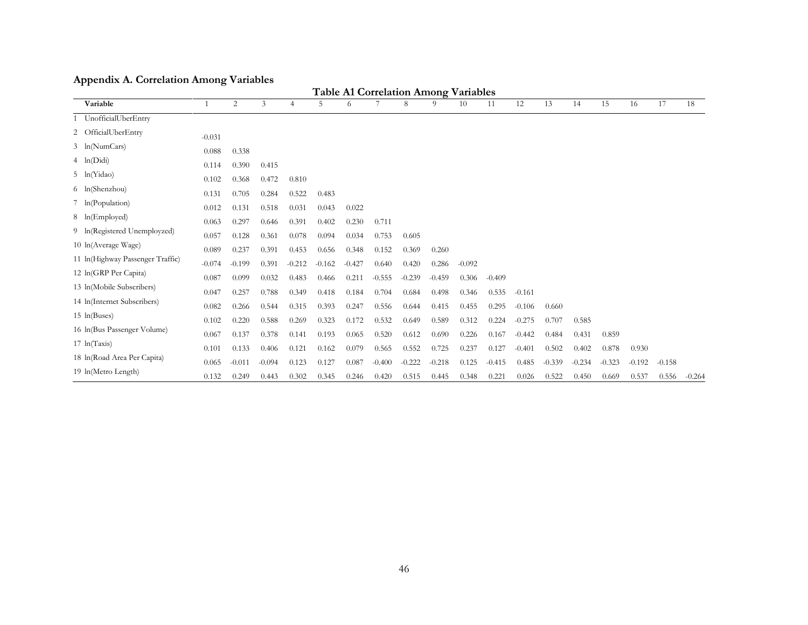# **Appendix A. Correlation Among Variables**

| <b>Table A1 Correlation Among Variables</b> |                |          |          |          |          |          |          |          |          |          |          |          |          |          |          |          |          |          |
|---------------------------------------------|----------------|----------|----------|----------|----------|----------|----------|----------|----------|----------|----------|----------|----------|----------|----------|----------|----------|----------|
| Variable                                    |                | 2        | 3        | 4        | 5        | 6        |          | 8        | 9        | 10       | 11       | 12       | 13       | 14       | 15       | 16       | 17       | 18       |
| 1 UnofficialUberEntry                       |                |          |          |          |          |          |          |          |          |          |          |          |          |          |          |          |          |          |
| 2 OfficialUberEntry                         | $-0.031$       |          |          |          |          |          |          |          |          |          |          |          |          |          |          |          |          |          |
| 3 ln(NumCars)                               | 0.088          | 0.338    |          |          |          |          |          |          |          |          |          |          |          |          |          |          |          |          |
| $4 \ln(Did)$                                | 0.114          | 0.390    | 0.415    |          |          |          |          |          |          |          |          |          |          |          |          |          |          |          |
| 5 ln(Yidao)                                 | 0.102          | 0.368    | 0.472    | 0.810    |          |          |          |          |          |          |          |          |          |          |          |          |          |          |
| 6 ln(Shenzhou)                              | 0.131          | 0.705    | 0.284    | 0.522    | 0.483    |          |          |          |          |          |          |          |          |          |          |          |          |          |
| 7 ln(Population)                            | 0.012          | 0.131    | 0.518    | 0.031    | 0.043    | 0.022    |          |          |          |          |          |          |          |          |          |          |          |          |
| 8 ln(Employed)                              | 0.063          | 0.297    | 0.646    | 0.391    | 0.402    | 0.230    | 0.711    |          |          |          |          |          |          |          |          |          |          |          |
| 9 ln(Registered Unemployzed)                | 0.057          | 0.128    | 0.361    | 0.078    | 0.094    | 0.034    | 0.753    | 0.605    |          |          |          |          |          |          |          |          |          |          |
| 10 ln(Average Wage)                         | 0.089          | 0.237    | 0.391    | 0.453    | 0.656    | 0.348    | 0.152    | 0.369    | 0.260    |          |          |          |          |          |          |          |          |          |
| 11 In (Highway Passenger Traffic)           | $-0.074$       | $-0.199$ | 0.391    | $-0.212$ | $-0.162$ | $-0.427$ | 0.640    | 0.420    | 0.286    | $-0.092$ |          |          |          |          |          |          |          |          |
| 12 ln(GRP Per Capita)                       | 0.087          | 0.099    | 0.032    | 0.483    | 0.466    | 0.211    | $-0.555$ | $-0.239$ | $-0.459$ | 0.306    | $-0.409$ |          |          |          |          |          |          |          |
| 13 In(Mobile Subscribers)                   | 0.047          | 0.257    | 0.788    | 0.349    | 0.418    | 0.184    | 0.704    | 0.684    | 0.498    | 0.346    | 0.535    | $-0.161$ |          |          |          |          |          |          |
| 14 In(Internet Subscribers)                 | 0.082          | 0.266    | 0.544    | 0.315    | 0.393    | 0.247    | 0.556    | 0.644    | 0.415    | 0.455    | 0.295    | $-0.106$ | 0.660    |          |          |          |          |          |
| $15 \ln(Buses)$                             | 0.102          | 0.220    | 0.588    | 0.269    | 0.323    | 0.172    | 0.532    | 0.649    | 0.589    | 0.312    | 0.224    | $-0.275$ | 0.707    | 0.585    |          |          |          |          |
| 16 In(Bus Passenger Volume)                 | 0.067          | 0.137    | 0.378    | 0.141    | 0.193    | 0.065    | 0.520    | 0.612    | 0.690    | 0.226    | 0.167    | $-0.442$ | 0.484    | 0.431    | 0.859    |          |          |          |
| $17 \ln(Taxis)$                             | 0.101          | 0.133    | 0.406    | 0.121    | 0.162    | 0.079    | 0.565    | 0.552    | 0.725    | 0.237    | 0.127    | $-0.401$ | 0.502    | 0.402    | 0.878    | 0.930    |          |          |
| 18 In (Road Area Per Capita)                |                | $-0.011$ | $-0.094$ | 0.123    | 0.127    | 0.087    | $-0.400$ | $-0.222$ | $-0.218$ | 0.125    | $-0.415$ | 0.485    | $-0.339$ | $-0.234$ | $-0.323$ | $-0.192$ | $-0.158$ |          |
| 19 ln(Metro Length)                         | 0.065<br>0.132 | 0.249    | 0.443    | 0.302    | 0.345    | 0.246    | 0.420    | 0.515    | 0.445    | 0.348    | 0.221    | 0.026    | 0.522    | 0.450    | 0.669    | 0.537    | 0.556    | $-0.264$ |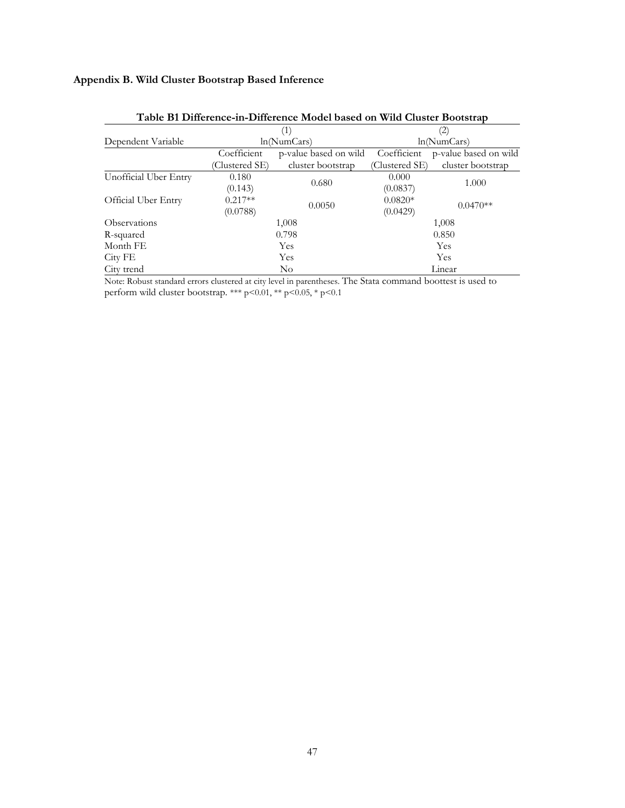# **Appendix B. Wild Cluster Bootstrap Based Inference**

|                       |                | (1)                   |             | (2)                                 |  |  |  |
|-----------------------|----------------|-----------------------|-------------|-------------------------------------|--|--|--|
| Dependent Variable    |                | ln(NumCars)           | ln(NumCars) |                                     |  |  |  |
|                       | Coefficient    | p-value based on wild | Coefficient | p-value based on wild               |  |  |  |
|                       | (Clustered SE) | cluster bootstrap     |             | cluster bootstrap<br>(Clustered SE) |  |  |  |
| Unofficial Uber Entry | 0.180          |                       | 0.000       |                                     |  |  |  |
|                       | (0.143)        | 0.680                 | (0.0837)    | 1.000                               |  |  |  |
| Official Uber Entry   | $0.217**$      | 0.0050                | $0.0820*$   | $0.0470**$                          |  |  |  |
|                       | (0.0788)       |                       | (0.0429)    |                                     |  |  |  |
| Observations          |                | 1,008                 | 1,008       |                                     |  |  |  |
| R-squared             |                | 0.798                 | 0.850       |                                     |  |  |  |
| Month FE              |                | <b>Yes</b>            | Yes         |                                     |  |  |  |
| City FE               |                | Yes                   | Yes         |                                     |  |  |  |
| City trend            |                | $\rm No$              | Linear      |                                     |  |  |  |

| Table B1 Difference-in-Difference Model based on Wild Cluster Bootstrap |  |  |  |
|-------------------------------------------------------------------------|--|--|--|
|-------------------------------------------------------------------------|--|--|--|

Note: Robust standard errors clustered at city level in parentheses. The Stata command boottest is used to perform wild cluster bootstrap. \*\*\*  $p<0.01$ , \*\*  $p<0.05$ , \*  $p<0.1$